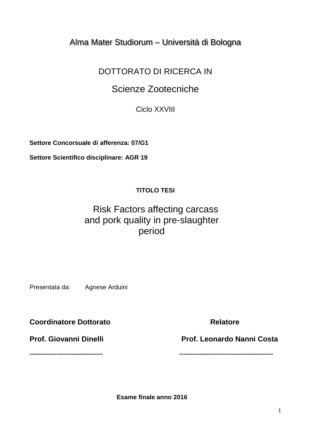### Alma Mater Studiorum – Università di Bologna

## DOTTORATO DI RICERCA IN

# Scienze Zootecniche

Ciclo XXVIII

**Settore Concorsuale di afferenza: 07/G1**

**Settore Scientifico disciplinare: AGR 19**

### **TITOLO TESI**

# Risk Factors affecting carcass and pork quality in pre-slaughter period

Presentata da: Agnese Arduini

**Coordinatore Dottorato Coordinatore Relatore** 

Prof. Giovanni Dinelli **Prof. Leonardo Nanni Costa** 

**----------------------------------- ---------------------------------------------**

 **Esame finale anno 2016**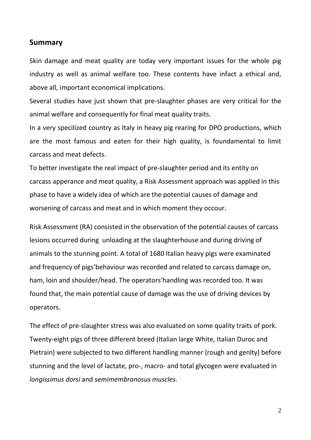#### **Summary**

Skin damage and meat quality are today very important issues for the whole pig industry as well as animal welfare too. These contents have infact a ethical and, above all, important economical implications.

Several studies have just shown that pre-slaughter phases are very critical for the animal welfare and consequently for final meat quality traits.

In a very specilized country as Italy in heavy pig rearing for DPO productions, which are the most famous and eaten for their high quality, is foundamental to limit carcass and meat defects.

To better investigate the real impact of pre-slaughter period and its entity on carcass apperance and meat quality, a Risk Assessment approach was applied in this phase to have a widely idea of which are the potential causes of damage and worsening of carcass and meat and in which moment they occour.

Risk Assessment (RA) consisted in the observation of the potential causes of carcass lesions occurred during unloading at the slaughterhouse and during driving of animals to the stunning point. A total of 1680 Italian heavy pigs were examinated and frequency of pigs'behaviour was recorded and related to carcass damage on, ham, loin and shoulder/head. The operators'handling was recorded too. It was found that, the main potential cause of damage was the use of driving devices by operators.

The effect of pre-slaughter stress was also evaluated on some quality traits of pork. Twenty-eight pigs of three different breed (Italian large White, Italian Duroc and Pietrain) were subjected to two different handling manner (rough and genlty) before stunning and the level of lactate, pro-, macro- and total glycogen were evaluated in *longissimus dorsi* and *semimembranosus muscles.*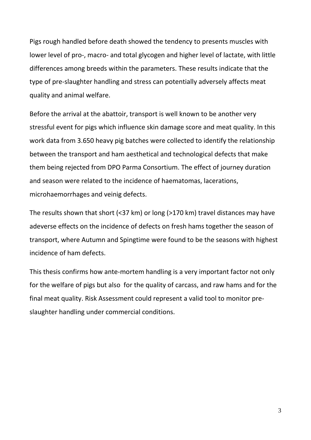Pigs rough handled before death showed the tendency to presents muscles with lower level of pro-, macro- and total glycogen and higher level of lactate, with little differences among breeds within the parameters. These results indicate that the type of pre-slaughter handling and stress can potentially adversely affects meat quality and animal welfare.

Before the arrival at the abattoir, transport is well known to be another very stressful event for pigs which influence skin damage score and meat quality. In this work data from 3.650 heavy pig batches were collected to identify the relationship between the transport and ham aesthetical and technological defects that make them being rejected from DPO Parma Consortium. The effect of journey duration and season were related to the incidence of haematomas, lacerations, microhaemorrhages and veinig defects.

The results shown that short (<37 km) or long (>170 km) travel distances may have adeverse effects on the incidence of defects on fresh hams together the season of transport, where Autumn and Spingtime were found to be the seasons with highest incidence of ham defects.

This thesis confirms how ante-mortem handling is a very important factor not only for the welfare of pigs but also for the quality of carcass, and raw hams and for the final meat quality. Risk Assessment could represent a valid tool to monitor preslaughter handling under commercial conditions.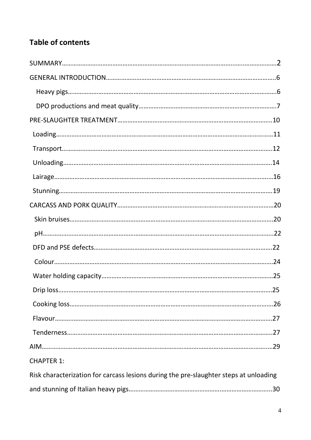# **Table of contents**

|                                                                                       | 25 |
|---------------------------------------------------------------------------------------|----|
|                                                                                       |    |
|                                                                                       |    |
|                                                                                       |    |
|                                                                                       |    |
| <b>CHAPTER 1:</b>                                                                     |    |
| Risk characterization for carcass lesions during the pre-slaughter steps at unloading |    |
|                                                                                       |    |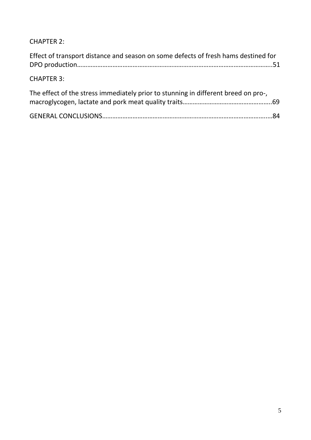CHAPTER 2:

| Effect of transport distance and season on some defects of fresh hams destined for |  |
|------------------------------------------------------------------------------------|--|
| <b>CHAPTER 3:</b>                                                                  |  |
| The effect of the stress immediately prior to stunning in different breed on pro-, |  |
|                                                                                    |  |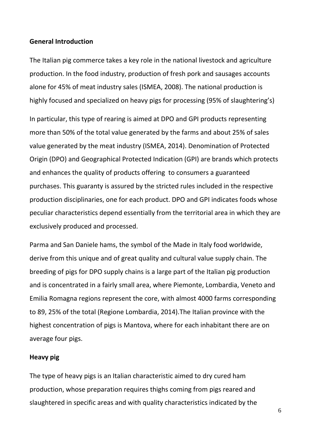#### **General Introduction**

The Italian pig commerce takes a key role in the national livestock and agriculture production. In the food industry, production of fresh pork and sausages accounts alone for 45% of meat industry sales (ISMEA, 2008). The national production is highly focused and specialized on heavy pigs for processing (95% of slaughtering's)

In particular, this type of rearing is aimed at DPO and GPI products representing more than 50% of the total value generated by the farms and about 25% of sales value generated by the meat industry (ISMEA, 2014). Denomination of Protected Origin (DPO) and Geographical Protected Indication (GPI) are brands which protects and enhances the quality of products offering to consumers a guaranteed purchases. This guaranty is assured by the stricted rules included in the respective production disciplinaries, one for each product. DPO and GPI indicates foods whose peculiar characteristics depend essentially from the territorial area in which they are exclusively produced and processed.

Parma and San Daniele hams, the symbol of the Made in Italy food worldwide, derive from this unique and of great quality and cultural value supply chain. The breeding of pigs for DPO supply chains is a large part of the Italian pig production and is concentrated in a fairly small area, where Piemonte, Lombardia, Veneto and Emilia Romagna regions represent the core, with almost 4000 farms corresponding to 89, 25% of the total (Regione Lombardia, 2014).The Italian province with the highest concentration of pigs is Mantova, where for each inhabitant there are on average four pigs.

#### **Heavy pig**

The type of heavy pigs is an Italian characteristic aimed to dry cured ham production, whose preparation requires thighs coming from pigs reared and slaughtered in specific areas and with quality characteristics indicated by the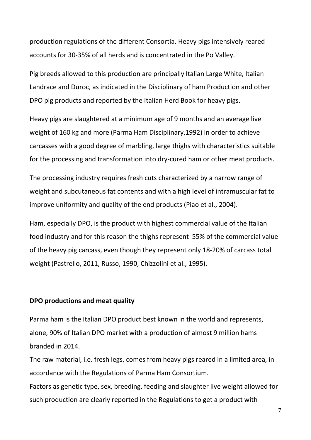production regulations of the different Consortia. Heavy pigs intensively reared accounts for 30-35% of all herds and is concentrated in the Po Valley.

Pig breeds allowed to this production are principally Italian Large White, Italian Landrace and Duroc, as indicated in the Disciplinary of ham Production and other DPO pig products and reported by the Italian Herd Book for heavy pigs.

Heavy pigs are slaughtered at a minimum age of 9 months and an average live weight of 160 kg and more (Parma Ham Disciplinary,1992) in order to achieve carcasses with a good degree of marbling, large thighs with characteristics suitable for the processing and transformation into dry-cured ham or other meat products.

The processing industry requires fresh cuts characterized by a narrow range of weight and subcutaneous fat contents and with a high level of intramuscular fat to improve uniformity and quality of the end products (Piao et al., 2004).

Ham, especially DPO, is the product with highest commercial value of the Italian food industry and for this reason the thighs represent 55% of the commercial value of the heavy pig carcass, even though they represent only 18-20% of carcass total weight (Pastrello, 2011, Russo, 1990, Chizzolini et al., 1995).

#### **DPO productions and meat quality**

Parma ham is the Italian DPO product best known in the world and represents, alone, 90% of Italian DPO market with a production of almost 9 million hams branded in 2014.

The raw material, i.e. fresh legs, comes from heavy pigs reared in a limited area, in accordance with the Regulations of Parma Ham Consortium. Factors as genetic type, sex, breeding, feeding and slaughter live weight allowed for such production are clearly reported in the Regulations to get a product with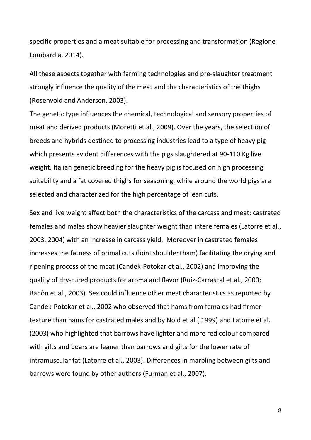specific properties and a meat suitable for processing and transformation (Regione Lombardia, 2014).

All these aspects together with farming technologies and pre-slaughter treatment strongly influence the quality of the meat and the characteristics of the thighs (Rosenvold and Andersen, 2003).

The genetic type influences the chemical, technological and sensory properties of meat and derived products (Moretti et al., 2009). Over the years, the selection of breeds and hybrids destined to processing industries lead to a type of heavy pig which presents evident differences with the pigs slaughtered at 90-110 Kg live weight. Italian genetic breeding for the heavy pig is focused on high processing suitability and a fat covered thighs for seasoning, while around the world pigs are selected and characterized for the high percentage of lean cuts.

Sex and live weight affect both the characteristics of the carcass and meat: castrated females and males show heavier slaughter weight than intere females (Latorre et al., 2003, 2004) with an increase in carcass yield. Moreover in castrated females increases the fatness of primal cuts (loin+shoulder+ham) facilitating the drying and ripening process of the meat (Candek-Potokar et al., 2002) and improving the quality of dry-cured products for aroma and flavor (Ruiz-Carrascal et al., 2000; Banòn et al., 2003). Sex could influence other meat characteristics as reported by Candek-Potokar et al., 2002 who observed that hams from females had firmer texture than hams for castrated males and by Nold et al.( 1999) and Latorre et al. (2003) who highlighted that barrows have lighter and more red colour compared with gilts and boars are leaner than barrows and gilts for the lower rate of intramuscular fat (Latorre et al., 2003). Differences in marbling between gilts and barrows were found by other authors (Furman et al., 2007).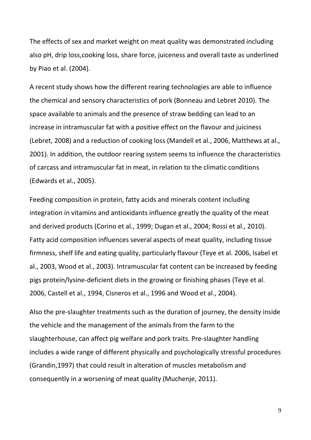The effects of sex and market weight on meat quality was demonstrated including also pH, drip loss,cooking loss, share force, juiceness and overall taste as underlined by Piao et al. (2004).

A recent study shows how the different rearing technologies are able to influence the chemical and sensory characteristics of pork (Bonneau and Lebret 2010). The space available to animals and the presence of straw bedding can lead to an increase in intramuscular fat with a positive effect on the flavour and juiciness (Lebret, 2008) and a reduction of cooking loss (Mandell et al., 2006, Matthews at al., 2001). In addition, the outdoor rearing system seems to influence the characteristics of carcass and intramuscular fat in meat, in relation to the climatic conditions (Edwards et al., 2005).

Feeding composition in protein, fatty acids and minerals content including integration in vitamins and antioxidants influence greatly the quality of the meat and derived products (Corino et al., 1999; Dugan et al., 2004; Rossi et al., 2010). Fatty acid composition influences several aspects of meat quality, including tissue firmness, shelf life and eating quality, particularly flavour (Teye et al. 2006, [Isabel et](http://www.sciencedirect.com/science/article/pii/S0309174005004110#bib20)  [al., 2003,](http://www.sciencedirect.com/science/article/pii/S0309174005004110#bib20) [Wood et al., 2003\)](http://www.sciencedirect.com/science/article/pii/S0309174005004110#bib41). Intramuscular fat content can be increased by feeding pigs protein/lysine-deficient diets in the growing or finishing phases (Teye et al. 2006, [Castell et al., 1994,](http://www.sciencedirect.com/science/article/pii/S0309174005004110#bib7) [Cisneros et al., 1996](http://www.sciencedirect.com/science/article/pii/S0309174005004110#bib8) and [Wood et al., 2004\)](http://www.sciencedirect.com/science/article/pii/S0309174005004110#bib40).

Also the pre-slaughter treatments such as the duration of journey, the density inside the vehicle and the management of the animals from the farm to the slaughterhouse, can affect pig welfare and pork traits. Pre-slaughter handling includes a wide range of different physically and psychologically stressful procedures (Grandin,1997) that could result in alteration of muscles metabolism and consequently in a worsening of meat quality (Muchenje, 2011).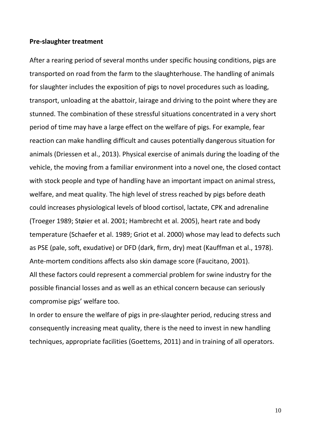#### **Pre-slaughter treatment**

After a rearing period of several months under specific housing conditions, pigs are transported on road from the farm to the slaughterhouse. The handling of animals for slaughter includes the exposition of pigs to novel procedures such as loading, transport, unloading at the abattoir, lairage and driving to the point where they are stunned. The combination of these stressful situations concentrated in a very short period of time may have a large effect on the welfare of pigs. For example, fear reaction can make handling difficult and causes potentially dangerous situation for animals (Driessen et al., 2013). Physical exercise of animals during the loading of the vehicle, the moving from a familiar environment into a novel one, the closed contact with stock people and type of handling have an important impact on animal stress, welfare, and meat quality. The high level of stress reached by pigs before death could increases physiological levels of blood cortisol, lactate, CPK and adrenaline (Troeger 1989; Støier et al. 2001; Hambrecht et al. 2005), heart rate and body temperature (Schaefer et al. 1989; Griot et al. 2000) whose may lead to defects such as PSE (pale, soft, exudative) or DFD (dark, firm, dry) meat (Kauffman et al., 1978). Ante-mortem conditions affects also skin damage score (Faucitano, 2001). All these factors could represent a commercial problem for swine industry for the possible financial losses and as well as an ethical concern because can seriously compromise pigs' welfare too.

In order to ensure the welfare of pigs in pre-slaughter period, reducing stress and consequently increasing meat quality, there is the need to invest in new handling techniques, appropriate facilities (Goettems, 2011) and in training of all operators.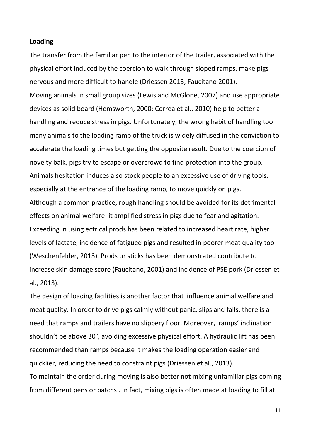#### **Loading**

The transfer from the familiar pen to the interior of the trailer, associated with the physical effort induced by the coercion to walk through sloped ramps, make pigs nervous and more difficult to handle (Driessen 2013, Faucitano 2001). Moving animals in small group sizes (Lewis and McGlone, 2007) and use appropriate devices as solid board (Hemsworth, 2000; Correa et al., 2010) help to better a handling and reduce stress in pigs. Unfortunately, the wrong habit of handling too many animals to the loading ramp of the truck is widely diffused in the conviction to accelerate the loading times but getting the opposite result. Due to the coercion of novelty balk, pigs try to escape or overcrowd to find protection into the group. Animals hesitation induces also stock people to an excessive use of driving tools, especially at the entrance of the loading ramp, to move quickly on pigs. Although a common practice, rough handling should be avoided for its detrimental effects on animal welfare: it amplified stress in pigs due to fear and agitation. Exceeding in using ectrical prods has been related to increased heart rate, higher levels of lactate, incidence of fatigued pigs and resulted in poorer meat quality too (Weschenfelder, 2013). Prods or sticks has been demonstrated contribute to increase skin damage score (Faucitano, 2001) and incidence of PSE pork (Driessen et al., 2013).

The design of loading facilities is another factor that influence animal welfare and meat quality. In order to drive pigs calmly without panic, slips and falls, there is a need that ramps and trailers have no slippery floor. Moreover, ramps' inclination shouldn't be above 30°, avoiding excessive physical effort. A hydraulic lift has been recommended than ramps because it makes the loading operation easier and quicklier, reducing the need to constraint pigs (Driessen et al., 2013). To maintain the order during moving is also better not mixing unfamiliar pigs coming from different pens or batchs . In fact, mixing pigs is often made at loading to fill at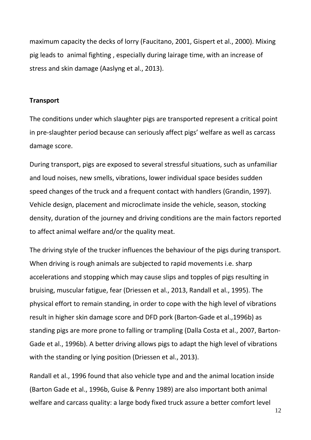maximum capacity the decks of lorry (Faucitano, 2001, Gispert et al., 2000). Mixing pig leads to animal fighting , especially during lairage time, with an increase of stress and skin damage (Aaslyng et al., 2013).

#### **Transport**

The conditions under which slaughter pigs are transported represent a critical point in pre-slaughter period because can seriously affect pigs' welfare as well as carcass damage score.

During transport, pigs are exposed to several stressful situations, such as unfamiliar and loud noises, new smells, vibrations, lower individual space besides sudden speed changes of the truck and a frequent contact with handlers (Grandin, 1997). Vehicle design, placement and microclimate inside the vehicle, season, stocking density, duration of the journey and driving conditions are the main factors reported to affect animal welfare and/or the quality meat.

The driving style of the trucker influences the behaviour of the pigs during transport. When driving is rough animals are subjected to rapid movements i.e. sharp accelerations and stopping which may cause slips and topples of pigs resulting in bruising, muscular fatigue, fear (Driessen et al., 2013, Randall et al., 1995). The physical effort to remain standing, in order to cope with the high level of vibrations result in higher skin damage score and DFD pork (Barton-Gade et al.,1996b) as standing pigs are more prone to falling or trampling (Dalla Costa et al., 2007, Barton-Gade et al., 1996b). A better driving allows pigs to adapt the high level of vibrations with the standing or lying position (Driessen et al., 2013).

Randall et al., 1996 found that also vehicle type and and the animal location inside (Barton Gade et al., 1996b, Guise & Penny 1989) are also important both animal welfare and carcass quality: a large body fixed truck assure a better comfort level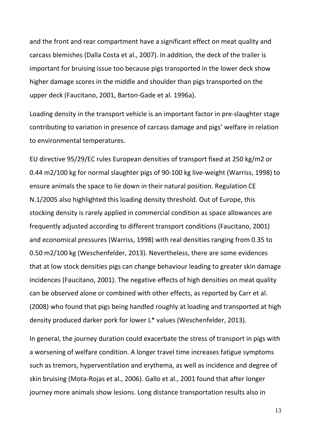and the front and rear compartment have a significant effect on meat quality and carcass blemishes (Dalla Costa et al., 2007). In addition, the deck of the trailer is important for bruising issue too because pigs transported in the lower deck show higher damage scores in the middle and shoulder than pigs transported on the upper deck (Faucitano, 2001, Barton-Gade et al. 1996a).

Loading density in the transport vehicle is an important factor in pre-slaughter stage contributing to variation in presence of carcass damage and pigs' welfare in relation to environmental temperatures.

EU directive 95/29/EC rules European densities of transport fixed at 250 kg/m2 or 0.44 m2/100 kg for normal slaughter pigs of 90-100 kg live-weight (Warriss, 1998) to ensure animals the space to lie down in their natural position. Regulation CE N.1/2005 also highlighted this loading density threshold. Out of Europe, this stocking density is rarely applied in commercial condition as space allowances are frequently adjusted according to different transport conditions (Faucitano, 2001) and economical pressures (Warriss, 1998) with real densities ranging from 0.35 to 0.50 m2/100 kg (Weschenfelder, 2013). Nevertheless, there are some evidences that at low stock densities pigs can change behaviour leading to greater skin damage incidences (Faucitano, 2001). The negative effects of high densities on meat quality can be observed alone or combined with other effects, as reported by Carr et al. (2008) who found that pigs being handled roughly at loading and transported at high density produced darker pork for lower L\* values (Weschenfelder, 2013).

In general, the journey duration could exacerbate the stress of transport in pigs with a worsening of welfare condition. A longer travel time increases fatigue symptoms such as tremors, hyperventilation and erythema, as well as incidence and degree of skin bruising (Mota-Rojas et al., 2006). Gallo et al., 2001 found that after longer journey more animals show lesions. Long distance transportation results also in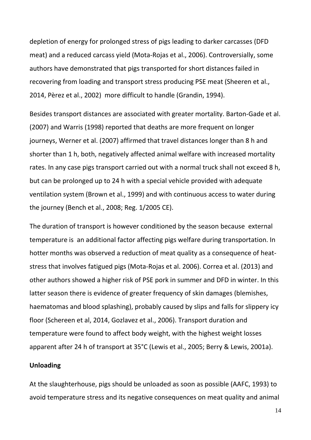depletion of energy for prolonged stress of pigs leading to darker carcasses (DFD meat) and a reduced carcass yield (Mota-Rojas et al., 2006). Controversially, some authors have demonstrated that pigs transported for short distances failed in recovering from loading and transport stress producing PSE meat (Sheeren et al., 2014, Pèrez et al., 2002) more difficult to handle (Grandin, 1994).

Besides transport distances are associated with greater mortality. Barton-Gade et al. (2007) and Warris (1998) reported that deaths are more frequent on longer journeys, Werner et al. (2007) affirmed that travel distances longer than 8 h and shorter than 1 h, both, negatively affected animal welfare with increased mortality rates. In any case pigs transport carried out with a normal truck shall not exceed 8 h, but can be prolonged up to 24 h with a special vehicle provided with adequate ventilation system (Brown et al., 1999) and with continuous access to water during the journey (Bench et al., 2008; Reg. 1/2005 CE).

The duration of transport is however conditioned by the season because external temperature is an additional factor affecting pigs welfare during transportation. In hotter months was observed a reduction of meat quality as a consequence of heatstress that involves fatigued pigs (Mota-Rojas et al. 2006). Correa et al. (2013) and other authors showed a higher risk of PSE pork in summer and DFD in winter. In this latter season there is evidence of greater frequency of skin damages (blemishes, haematomas and blood splashing), probably caused by slips and falls for slippery icy floor (Schereen et al, 2014, Gozlavez et al., 2006). Transport duration and temperature were found to affect body weight, with the highest weight losses apparent after 24 h of transport at 35°C (Lewis et al., 2005; Berry & Lewis, 2001a).

#### **Unloading**

At the slaughterhouse, pigs should be unloaded as soon as possible (AAFC, 1993) to avoid temperature stress and its negative consequences on meat quality and animal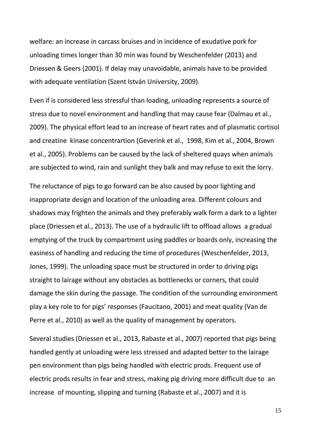welfare: an increase in carcass bruises and in incidence of exudative pork for unloading times longer than 30 min was found by Weschenfelder (2013) and Driessen & Geers (2001). If delay may unavoidable, animals have to be provided with adequate ventilation (Szent István University, 2009).

Even if is considered less stressful than loading, unloading represents a source of stress due to novel environment and handling that may cause fear (Dalmau et al., 2009). The physical effort lead to an increase of heart rates and of plasmatic cortisol and creatine kinase concentrartion (Geverink et al., 1998, Kim et al., 2004, Brown et al., 2005). Problems can be caused by the lack of sheltered quays when animals are subjected to wind, rain and sunlight they balk and may refuse to exit the lorry.

The reluctance of pigs to go forward can be also caused by poor lighting and inappropriate design and location of the unloading area. Different colours and shadows may frighten the animals and they preferably walk form a dark to a lighter place (Driessen et al., 2013). The use of a hydraulic lift to offload allows a gradual emptying of the truck by compartment using paddles or boards only, increasing the easiness of handling and reducing the time of procedures (Weschenfelder, 2013, Jones, 1999). The unloading space must be structured in order to driving pigs straight to lairage without any obstacles as bottlenecks or corners, that could damage the skin during the passage. The condition of the surrounding environment play a key role to for pigs' responses (Faucitano, 2001) and meat quality (Van de Perre et al., 2010) as well as the quality of management by operators.

Several studies (Driessen et al., 2013, Rabaste et al., 2007) reported that pigs being handled gently at unloading were less stressed and adapted better to the lairage pen environment than pigs being handled with electric prods. Frequent use of electric prods results in fear and stress, making pig driving more difficult due to an increase of mounting, slipping and turning (Rabaste et al., 2007) and it is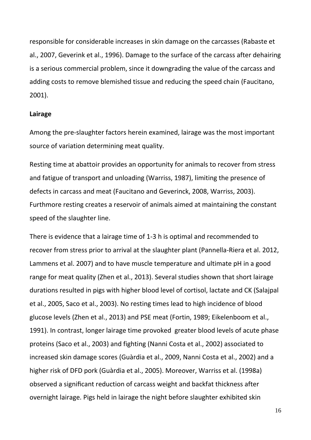responsible for considerable increases in skin damage on the carcasses (Rabaste et al., 2007, Geverink et al., 1996). Damage to the surface of the carcass after dehairing is a serious commercial problem, since it downgrading the value of the carcass and adding costs to remove blemished tissue and reducing the speed chain (Faucitano, 2001).

#### **Lairage**

Among the pre-slaughter factors herein examined, lairage was the most important source of variation determining meat quality.

Resting time at abattoir provides an opportunity for animals to recover from stress and fatigue of transport and unloading (Warriss, 1987), limiting the presence of defects in carcass and meat (Faucitano and Geverinck, 2008, Warriss, 2003). Furthmore resting creates a reservoir of animals aimed at maintaining the constant speed of the slaughter line.

There is evidence that a lairage time of 1-3 h is optimal and recommended to recover from stress prior to arrival at the slaughter plant (Pannella-Riera et al. 2012, Lammens et al. 2007) and to have muscle temperature and ultimate pH in a good range for meat quality (Zhen et al., 2013). Several studies shown that short lairage durations resulted in pigs with higher blood level of cortisol, lactate and CK (Salajpal et al., 2005, Saco et al., 2003). No resting times lead to high incidence of blood glucose levels (Zhen et al., 2013) and PSE meat (Fortin, 1989; Eikelenboom et al., 1991). In contrast, longer lairage time provoked greater blood levels of acute phase proteins (Saco et al., 2003) and fighting (Nanni Costa et al., 2002) associated to increased skin damage scores (Guàrdia et al., 2009, Nanni Costa et al., 2002) and a higher risk of DFD pork (Guàrdia et al., 2005). Moreover, Warriss et al. (1998a) observed a significant reduction of carcass weight and backfat thickness after overnight lairage. Pigs held in lairage the night before slaughter exhibited skin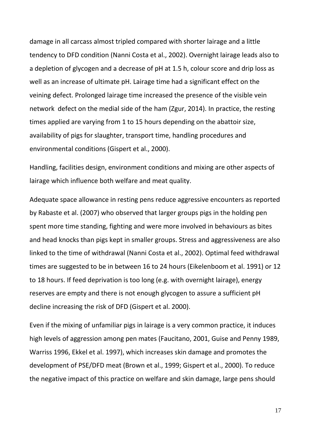damage in all carcass almost tripled compared with shorter lairage and a little tendency to DFD condition (Nanni Costa et al., 2002). Overnight lairage leads also to a depletion of glycogen and a decrease of pH at 1.5 h, colour score and drip loss as well as an increase of ultimate pH. Lairage time had a significant effect on the veining defect. Prolonged lairage time increased the presence of the visible vein network defect on the medial side of the ham (Zgur, 2014). In practice, the resting times applied are varying from 1 to 15 hours depending on the abattoir size, availability of pigs for slaughter, transport time, handling procedures and environmental conditions (Gispert et al., 2000).

Handling, facilities design, environment conditions and mixing are other aspects of lairage which influence both welfare and meat quality.

Adequate space allowance in resting pens reduce aggressive encounters as reported by Rabaste et al. (2007) who observed that larger groups pigs in the holding pen spent more time standing, fighting and were more involved in behaviours as bites and head knocks than pigs kept in smaller groups. Stress and aggressiveness are also linked to the time of withdrawal (Nanni Costa et al., 2002). Optimal feed withdrawal times are suggested to be in between 16 to 24 hours (Eikelenboom et al. 1991) or 12 to 18 hours. If feed deprivation is too long (e.g. with overnight lairage), energy reserves are empty and there is not enough glycogen to assure a sufficient pH decline increasing the risk of DFD (Gispert et al. 2000).

Even if the mixing of unfamiliar pigs in lairage is a very common practice, it induces high levels of aggression among pen mates (Faucitano, 2001, Guise and Penny 1989, Warriss 1996, Ekkel et al. 1997), which increases skin damage and promotes the development of PSE/DFD meat (Brown et al., 1999; Gispert et al., 2000). To reduce the negative impact of this practice on welfare and skin damage, large pens should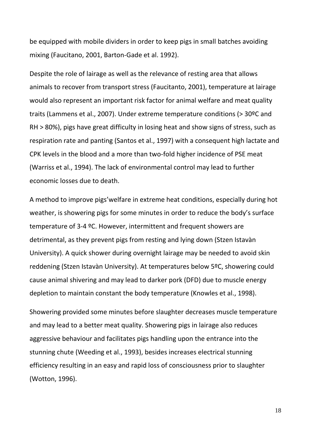be equipped with mobile dividers in order to keep pigs in small batches avoiding mixing (Faucitano, 2001, Barton-Gade et al. 1992).

Despite the role of lairage as well as the relevance of resting area that allows animals to recover from transport stress (Faucitanto, 2001), temperature at lairage would also represent an important risk factor for animal welfare and meat quality traits (Lammens et al., 2007). Under extreme temperature conditions (> 30ºC and RH > 80%), pigs have great difficulty in losing heat and show signs of stress, such as respiration rate and panting (Santos et al., 1997) with a consequent high lactate and CPK levels in the blood and a more than two-fold higher incidence of PSE meat (Warriss et al., 1994). The lack of environmental control may lead to further economic losses due to death.

A method to improve pigs'welfare in extreme heat conditions, especially during hot weather, is showering pigs for some minutes in order to reduce the body's surface temperature of 3-4 ºC. However, intermittent and frequent showers are detrimental, as they prevent pigs from resting and lying down (Stzen Istavàn University). A quick shower during overnight lairage may be needed to avoid skin reddening (Stzen Istavàn University). At temperatures below 5ºC, showering could cause animal shivering and may lead to darker pork (DFD) due to muscle energy depletion to maintain constant the body temperature (Knowles et al., 1998).

Showering provided some minutes before slaughter decreases muscle temperature and may lead to a better meat quality. Showering pigs in lairage also reduces aggressive behaviour and facilitates pigs handling upon the entrance into the stunning chute (Weeding et al., 1993), besides increases electrical stunning efficiency resulting in an easy and rapid loss of consciousness prior to slaughter (Wotton, 1996).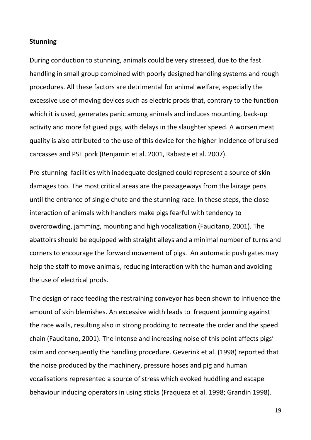#### **Stunning**

During conduction to stunning, animals could be very stressed, due to the fast handling in small group combined with poorly designed handling systems and rough procedures. All these factors are detrimental for animal welfare, especially the excessive use of moving devices such as electric prods that, contrary to the function which it is used, generates panic among animals and induces mounting, back-up activity and more fatigued pigs, with delays in the slaughter speed. A worsen meat quality is also attributed to the use of this device for the higher incidence of bruised carcasses and PSE pork (Benjamin et al. 2001, Rabaste et al. 2007).

Pre-stunning facilities with inadequate designed could represent a source of skin damages too. The most critical areas are the passageways from the lairage pens until the entrance of single chute and the stunning race. In these steps, the close interaction of animals with handlers make pigs fearful with tendency to overcrowding, jamming, mounting and high vocalization (Faucitano, 2001). The abattoirs should be equipped with straight alleys and a minimal number of turns and corners to encourage the forward movement of pigs. An automatic push gates may help the staff to move animals, reducing interaction with the human and avoiding the use of electrical prods.

The design of race feeding the restraining conveyor has been shown to influence the amount of skin blemishes. An excessive width leads to frequent jamming against the race walls, resulting also in strong prodding to recreate the order and the speed chain (Faucitano, 2001). The intense and increasing noise of this point affects pigs' calm and consequently the handling procedure. Geverink et al. (1998) reported that the noise produced by the machinery, pressure hoses and pig and human vocalisations represented a source of stress which evoked huddling and escape behaviour inducing operators in using sticks (Fraqueza et al. 1998; Grandin 1998).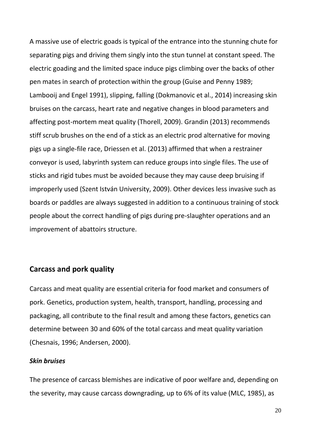A massive use of electric goads is typical of the entrance into the stunning chute for separating pigs and driving them singly into the stun tunnel at constant speed. The electric goading and the limited space induce pigs climbing over the backs of other pen mates in search of protection within the group (Guise and Penny 1989; Lambooij and Engel 1991), slipping, falling (Dokmanovic et al., 2014) increasing skin bruises on the carcass, heart rate and negative changes in blood parameters and affecting post-mortem meat quality (Thorell, 2009). Grandin (2013) recommends stiff scrub brushes on the end of a stick as an electric prod alternative for moving pigs up a single-file race, Driessen et al. (2013) affirmed that when a restrainer conveyor is used, labyrinth system can reduce groups into single files. The use of sticks and rigid tubes must be avoided because they may cause deep bruising if improperly used (Szent István University, 2009). Other devices less invasive such as boards or paddles are always suggested in addition to a continuous training of stock people about the correct handling of pigs during pre-slaughter operations and an improvement of abattoirs structure.

#### **Carcass and pork quality**

Carcass and meat quality are essential criteria for food market and consumers of pork. Genetics, production system, health, transport, handling, processing and packaging, all contribute to the final result and among these factors, genetics can determine between 30 and 60% of the total carcass and meat quality variation (Chesnais, 1996; Andersen, 2000).

#### *Skin bruises*

The presence of carcass blemishes are indicative of poor welfare and, depending on the severity, may cause carcass downgrading, up to 6% of its value (MLC, 1985), as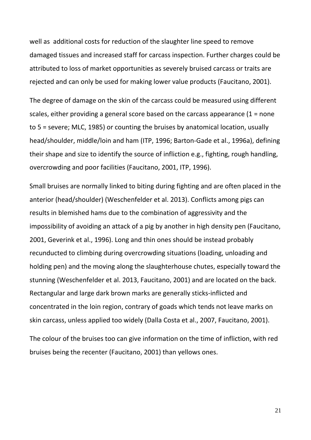well as additional costs for reduction of the slaughter line speed to remove damaged tissues and increased staff for carcass inspection. Further charges could be attributed to loss of market opportunities as severely bruised carcass or traits are rejected and can only be used for making lower value products (Faucitano, 2001).

The degree of damage on the skin of the carcass could be measured using different scales, either providing a general score based on the carcass appearance (1 = none to 5 = severe; MLC, 1985) or counting the bruises by anatomical location, usually head/shoulder, middle/loin and ham (ITP, 1996; Barton-Gade et al., 1996a), defining their shape and size to identify the source of infliction e.g., fighting, rough handling, overcrowding and poor facilities (Faucitano, 2001, ITP, 1996).

Small bruises are normally linked to biting during fighting and are often placed in the anterior (head/shoulder) (Weschenfelder et al. 2013). Conflicts among pigs can results in blemished hams due to the combination of aggressivity and the impossibility of avoiding an attack of a pig by another in high density pen (Faucitano, 2001, Geverink et al., 1996). Long and thin ones should be instead probably recunducted to climbing during overcrowding situations (loading, unloading and holding pen) and the moving along the slaughterhouse chutes, especially toward the stunning (Weschenfelder et al. 2013, Faucitano, 2001) and are located on the back. Rectangular and large dark brown marks are generally sticks-inflicted and concentrated in the loin region, contrary of goads which tends not leave marks on skin carcass, unless applied too widely (Dalla Costa et al., 2007, Faucitano, 2001).

The colour of the bruises too can give information on the time of infliction, with red bruises being the recenter (Faucitano, 2001) than yellows ones.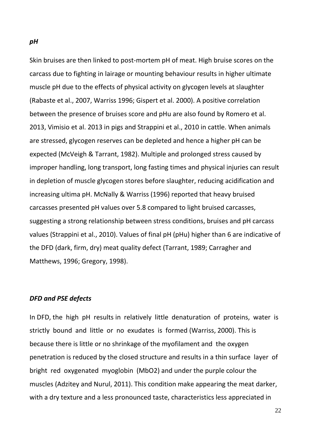Skin bruises are then linked to post-mortem pH of meat. High bruise scores on the carcass due to fighting in lairage or mounting behaviour results in higher ultimate muscle pH due to the effects of physical activity on glycogen levels at slaughter (Rabaste et al., 2007, Warriss 1996; Gispert et al. 2000). A positive correlation between the presence of bruises score and pHu are also found by Romero et al. 2013, Vimisio et al. 2013 in pigs and Strappini et al., 2010 in cattle. When animals are stressed, glycogen reserves can be depleted and hence a higher pH can be expected (McVeigh & Tarrant, 1982). Multiple and prolonged stress caused by improper handling, long transport, long fasting times and physical injuries can result in depletion of muscle glycogen stores before slaughter, reducing acidification and increasing ultima pH. McNally & Warriss (1996) reported that heavy bruised carcasses presented pH values over 5.8 compared to light bruised carcasses, suggesting a strong relationship between stress conditions, bruises and pH carcass values (Strappini et al., 2010). Values of final pH (pHu) higher than 6 are indicative of the DFD (dark, firm, dry) meat quality defect (Tarrant, 1989; Carragher and Matthews, 1996; Gregory, 1998).

#### *DFD and PSE defects*

In DFD, the high pH results in relatively little denaturation of proteins, water is strictly bound and little or no exudates is formed (Warriss, 2000). This is because there is little or no shrinkage of the myofilament and the oxygen penetration is reduced by the closed structure and results in a thin surface layer of bright red oxygenated myoglobin (MbO2) and under the purple colour the muscles (Adzitey and Nurul, 2011). This condition make appearing the meat darker, with a dry texture and a less pronounced taste, characteristics less appreciated in

*pH*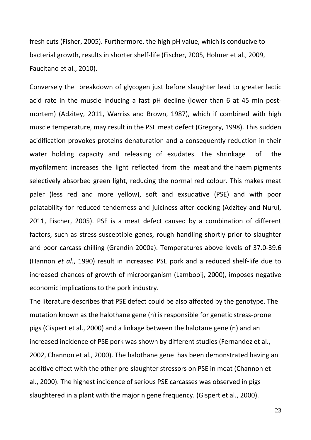fresh cuts (Fisher, 2005). Furthermore, the high pH value, which is conducive to bacterial growth, results in shorter shelf-life (Fischer, 2005, Holmer et al., 2009, Faucitano et al., 2010).

Conversely the breakdown of glycogen just before slaughter lead to greater lactic acid rate in the muscle inducing a fast pH decline (lower than 6 at 45 min postmortem) (Adzitey, 2011, Warriss and Brown, 1987), which if combined with high muscle temperature, may result in the PSE meat defect (Gregory, 1998). This sudden acidification provokes proteins denaturation and a consequently reduction in their water holding capacity and releasing of exudates. The shrinkage of the myofilament increases the light reflected from the meat and the haem pigments selectively absorbed green light, reducing the normal red colour. This makes meat paler (less red and more yellow), soft and exsudative (PSE) and with poor palatability for reduced tenderness and juiciness after cooking (Adzitey and Nurul, 2011, Fischer, 2005). PSE is a meat defect caused by a combination of different factors, such as stress-susceptible genes, rough handling shortly prior to slaughter and poor carcass chilling (Grandin 2000a). Temperatures above levels of 37.0-39.6 (Hannon *et al*., 1990) result in increased PSE pork and a reduced shelf-life due to increased chances of growth of microorganism (Lambooij, 2000), imposes negative economic implications to the pork industry.

The literature describes that PSE defect could be also affected by the genotype. The mutation known as the halothane gene (n) is responsible for genetic stress-prone pigs (Gispert et al., 2000) and a linkage between the halotane gene (n) and an increased incidence of PSE pork was shown by different studies (Fernandez et al., 2002, Channon et al., 2000). The halothane gene has been demonstrated having an additive effect with the other pre-slaughter stressors on PSE in meat (Channon et al., 2000). The highest incidence of serious PSE carcasses was observed in pigs slaughtered in a plant with the major n gene frequency. (Gispert et al., 2000).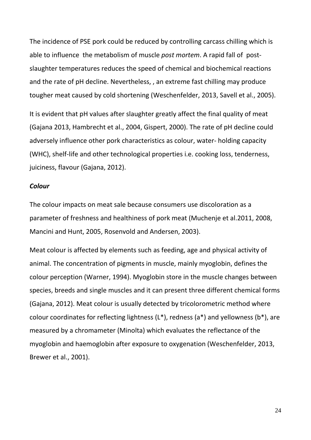The incidence of PSE pork could be reduced by controlling carcass chilling which is able to influence the metabolism of muscle *post mortem*. A rapid fall of postslaughter temperatures reduces the speed of chemical and biochemical reactions and the rate of pH decline. Nevertheless, , an extreme fast chilling may produce tougher meat caused by cold shortening (Weschenfelder, 2013, Savell et al., 2005).

It is evident that pH values after slaughter greatly affect the final quality of meat (Gajana 2013, Hambrecht et al., 2004, Gispert, 2000). The rate of pH decline could adversely influence other pork characteristics as colour, water- holding capacity (WHC), shelf-life and other technological properties i.e. cooking loss, tenderness, juiciness, flavour (Gajana, 2012).

#### *Colour*

The colour impacts on meat sale because consumers use discoloration as a parameter of freshness and healthiness of pork meat (Muchenje et al.2011, 2008, Mancini and Hunt, 2005, Rosenvold and Andersen, 2003).

Meat colour is affected by elements such as feeding, age and physical activity of animal. The concentration of pigments in muscle, mainly myoglobin, defines the colour perception (Warner, 1994). Myoglobin store in the muscle changes between species, breeds and single muscles and it can present three different chemical forms (Gajana, 2012). Meat colour is usually detected by tricolorometric method where colour coordinates for reflecting lightness  $(L^*)$ , redness  $(a^*)$  and yellowness  $(b^*)$ , are measured by a chromameter (Minolta) which evaluates the reflectance of the myoglobin and haemoglobin after exposure to oxygenation (Weschenfelder, 2013, Brewer et al., 2001).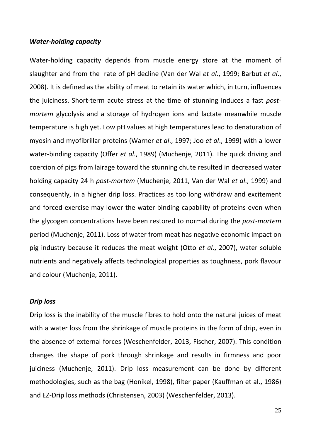#### *Water-holding capacity*

Water-holding capacity depends from muscle energy store at the moment of slaughter and from the rate of pH decline (Van der Wal *et al*., 1999; Barbut *et al*., 2008). It is defined as the ability of meat to retain its water which, in turn, influences the juiciness. Short-term acute stress at the time of stunning induces a fast *postmortem* glycolysis and a storage of hydrogen ions and lactate meanwhile muscle temperature is high yet. Low pH values at high temperatures lead to denaturation of myosin and myofibrillar proteins (Warner *et al*., 1997; Joo *et al*., 1999) with a lower water-binding capacity (Offer *et al*., 1989) (Muchenje, 2011). The quick driving and coercion of pigs from lairage toward the stunning chute resulted in decreased water holding capacity 24 h *post-mortem* (Muchenje, 2011, Van der Wal *et al*., 1999) and consequently, in a higher drip loss. Practices as too long withdraw and excitement and forced exercise may lower the water binding capability of proteins even when the glycogen concentrations have been restored to normal during the *post-mortem* period (Muchenje, 2011). Loss of water from meat has negative economic impact on pig industry because it reduces the meat weight (Otto *et al*., 2007), water soluble nutrients and negatively affects technological properties as toughness, pork flavour and colour (Muchenje, 2011).

#### *Drip loss*

Drip loss is the inability of the muscle fibres to hold onto the natural juices of meat with a water loss from the shrinkage of muscle proteins in the form of drip, even in the absence of external forces (Weschenfelder, 2013, Fischer, 2007). This condition changes the shape of pork through shrinkage and results in firmness and poor juiciness (Muchenje, 2011). Drip loss measurement can be done by different methodologies, such as the bag (Honikel, 1998), filter paper (Kauffman et al., 1986) and EZ-Drip loss methods (Christensen, 2003) (Weschenfelder, 2013).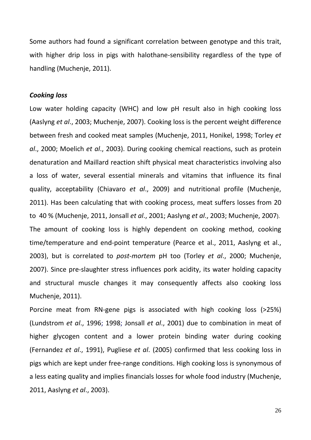Some authors had found a significant correlation between genotype and this trait, with higher drip loss in pigs with halothane-sensibility regardless of the type of handling (Muchenje, 2011).

#### *Cooking loss*

Low water holding capacity (WHC) and low pH result also in high cooking loss (Aaslyng *et al*., 2003; Muchenje, 2007). Cooking loss is the percent weight difference between fresh and cooked meat samples (Muchenje, 2011, Honikel, 1998; Torley *et al*., 2000; Moelich *et al*., 2003). During cooking chemical reactions, such as protein denaturation and Maillard reaction shift physical meat characteristics involving also a loss of water, several essential minerals and vitamins that influence its final quality, acceptability (Chiavaro *et al*., 2009) and nutritional profile (Muchenje, 2011). Has been calculating that with cooking process, meat suffers losses from 20 to 40 % (Muchenje, 2011, Jonsall *et al*., 2001; Aaslyng *et al*., 2003; Muchenje, 2007). The amount of cooking loss is highly dependent on cooking method, cooking time/temperature and end-point temperature (Pearce et al., 2011, [Aaslyng et al.,](http://www.sciencedirect.com/science/article/pii/S0309174011001434#bb0005)  [2003\)](http://www.sciencedirect.com/science/article/pii/S0309174011001434#bb0005), but is correlated to *post-mortem* pH too (Torley *et al*., 2000; Muchenje, 2007). Since pre-slaughter stress influences pork acidity, its water holding capacity and structural muscle changes it may consequently affects also cooking loss Muchenje, 2011).

Porcine meat from RN-gene pigs is associated with high cooking loss (>25%) (Lundstrom *et al*., 1996; 1998; Jonsall *et al*., 2001) due to combination in meat of higher glycogen content and a lower protein binding water during cooking (Fernandez *et al*., 1991), Pugliese *et al*. (2005) confirmed that less cooking loss in pigs which are kept under free-range conditions. High cooking loss is synonymous of a less eating quality and implies financials losses for whole food industry (Muchenje, 2011, Aaslyng *et al*., 2003).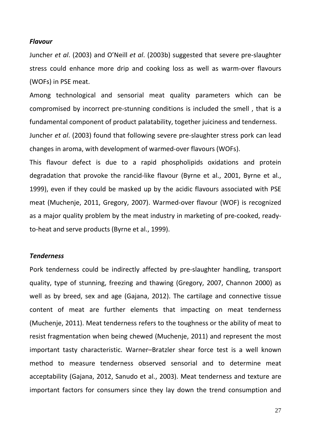#### *Flavour*

Juncher *et al*. (2003) and O'Neill *et al*. (2003b) suggested that severe pre-slaughter stress could enhance more drip and cooking loss as well as warm-over flavours (WOFs) in PSE meat.

Among technological and sensorial meat quality parameters which can be compromised by incorrect pre-stunning conditions is included the smell , that is a fundamental component of product palatability, together juiciness and tenderness.

Juncher *et al*. (2003) found that following severe pre-slaughter stress pork can lead changes in aroma, with development of warmed-over flavours (WOFs).

This flavour defect is due to a rapid phospholipids oxidations and protein degradation that provoke the rancid-like flavour (Byrne et al., 2001, Byrne et al., 1999), even if they could be masked up by the acidic flavours associated with PSE meat (Muchenje, 2011, Gregory, 2007). Warmed-over flavour (WOF) is recognized as a major quality problem by the meat industry in marketing of pre-cooked, readyto-heat and serve products (Byrne et al., 1999).

#### *Tenderness*

Pork tenderness could be indirectly affected by pre-slaughter handling, transport quality, type of stunning, freezing and thawing (Gregory, 2007, Channon 2000) as well as by breed, sex and age (Gajana, 2012). The cartilage and connective tissue content of meat are further elements that impacting on meat tenderness (Muchenje, 2011). Meat tenderness refers to the toughness or the ability of meat to resist fragmentation when being chewed (Muchenje, 2011) and represent the most important tasty characteristic. Warner–Bratzler shear force test is a well known method to measure tenderness observed sensorial and to determine meat acceptability (Gajana, 2012, Sanudo et al., 2003). Meat tenderness and texture are important factors for consumers since they lay down the trend consumption and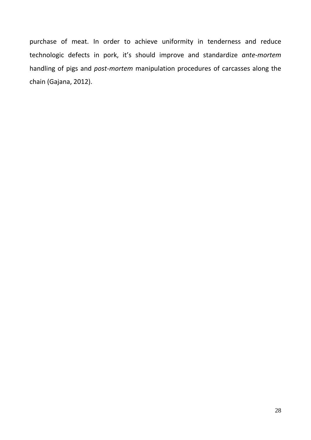purchase of meat. In order to achieve uniformity in tenderness and reduce technologic defects in pork, it's should improve and standardize *ante-mortem* handling of pigs and *post-mortem* manipulation procedures of carcasses along the chain (Gajana, 2012).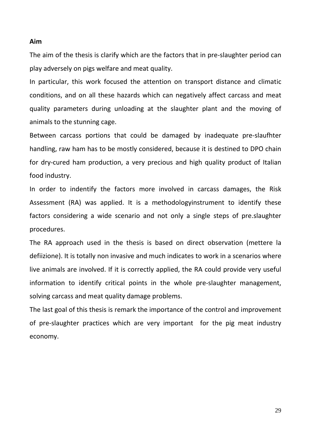#### **Aim**

The aim of the thesis is clarify which are the factors that in pre-slaughter period can play adversely on pigs welfare and meat quality.

In particular, this work focused the attention on transport distance and climatic conditions, and on all these hazards which can negatively affect carcass and meat quality parameters during unloading at the slaughter plant and the moving of animals to the stunning cage.

Between carcass portions that could be damaged by inadequate pre-slaufhter handling, raw ham has to be mostly considered, because it is destined to DPO chain for dry-cured ham production, a very precious and high quality product of Italian food industry.

In order to indentify the factors more involved in carcass damages, the Risk Assessment (RA) was applied. It is a methodologyinstrument to identify these factors considering a wide scenario and not only a single steps of pre.slaughter procedures.

The RA approach used in the thesis is based on direct observation (mettere la defiizione). It is totally non invasive and much indicates to work in a scenarios where live animals are involved. If it is correctly applied, the RA could provide very useful information to identify critical points in the whole pre-slaughter management, solving carcass and meat quality damage problems.

The last goal of this thesis is remark the importance of the control and improvement of pre-slaughter practices which are very important for the pig meat industry economy.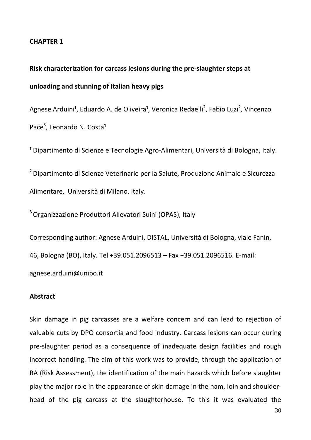#### **CHAPTER 1**

# **Risk characterization for carcass lesions during the pre-slaughter steps at unloading and stunning of Italian heavy pigs**

Agnese Arduini<sup>1</sup>, Eduardo A. de Oliveira<sup>1</sup>, Veronica Redaelli<sup>2</sup>, Fabio Luzi<sup>2</sup>, Vincenzo Pace<sup>3</sup>, Leonardo N. Costa<sup>1</sup>

<sup>1</sup> Dipartimento di Scienze e Tecnologie Agro-Alimentari, Università di Bologna, Italy.

2 Dipartimento di Scienze Veterinarie per la Salute, Produzione Animale e Sicurezza Alimentare, Università di Milano, Italy.

3 Organizzazione Produttori Allevatori Suini (OPAS), Italy

Corresponding author: Agnese Arduini, DISTAL, Università di Bologna, viale Fanin, 46, Bologna (BO), Italy. Tel +39.051.2096513 – Fax +39.051.2096516. E-mail: agnese.arduini@unibo.it

#### **Abstract**

Skin damage in pig carcasses are a welfare concern and can lead to rejection of valuable cuts by DPO consortia and food industry. Carcass lesions can occur during pre-slaughter period as a consequence of inadequate design facilities and rough incorrect handling. The aim of this work was to provide, through the application of RA (Risk Assessment), the identification of the main hazards which before slaughter play the major role in the appearance of skin damage in the ham, loin and shoulderhead of the pig carcass at the slaughterhouse. To this it was evaluated the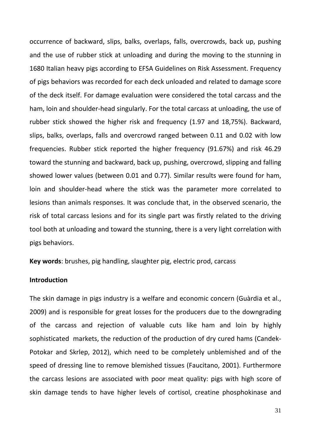occurrence of backward, slips, balks, overlaps, falls, overcrowds, back up, pushing and the use of rubber stick at unloading and during the moving to the stunning in 1680 Italian heavy pigs according to EFSA Guidelines on Risk Assessment. Frequency of pigs behaviors was recorded for each deck unloaded and related to damage score of the deck itself. For damage evaluation were considered the total carcass and the ham, loin and shoulder-head singularly. For the total carcass at unloading, the use of rubber stick showed the higher risk and frequency (1.97 and 18,75%). Backward, slips, balks, overlaps, falls and overcrowd ranged between 0.11 and 0.02 with low frequencies. Rubber stick reported the higher frequency (91.67%) and risk 46.29 toward the stunning and backward, back up, pushing, overcrowd, slipping and falling showed lower values (between 0.01 and 0.77). Similar results were found for ham, loin and shoulder-head where the stick was the parameter more correlated to lesions than animals responses. It was conclude that, in the observed scenario, the risk of total carcass lesions and for its single part was firstly related to the driving tool both at unloading and toward the stunning, there is a very light correlation with pigs behaviors.

**Key words**: brushes, pig handling, slaughter pig, electric prod, carcass

#### **Introduction**

The skin damage in pigs industry is a welfare and economic concern (Guàrdia et al., 2009) and is responsible for great losses for the producers due to the downgrading of the carcass and rejection of valuable cuts like ham and loin by highly sophisticated markets, the reduction of the production of dry cured hams (Candek-Potokar and Skrlep, 2012), which need to be completely unblemished and of the speed of dressing line to remove blemished tissues (Faucitano, 2001). Furthermore the carcass lesions are associated with poor meat quality: pigs with high score of skin damage tends to have higher levels of cortisol, creatine phosphokinase and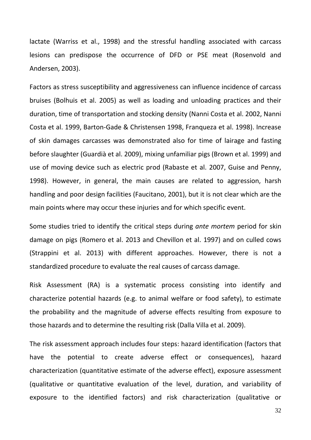lactate (Warriss et al., 1998) and the stressful handling associated with carcass lesions can predispose the occurrence of DFD or PSE meat (Rosenvold and Andersen, 2003).

Factors as stress susceptibility and aggressiveness can influence incidence of carcass bruises (Bolhuis et al. 2005) as well as loading and unloading practices and their duration, time of transportation and stocking density (Nanni Costa et al. 2002, Nanni Costa et al. 1999, Barton-Gade & Christensen 1998, Franqueza et al. 1998). Increase of skin damages carcasses was demonstrated also for time of lairage and fasting before slaughter (Guardià et al. 2009), mixing unfamiliar pigs (Brown et al. 1999) and use of moving device such as electric prod (Rabaste et al. 2007, Guise and Penny, 1998). However, in general, the main causes are related to aggression, harsh handling and poor design facilities (Faucitano, 2001), but it is not clear which are the main points where may occur these injuries and for which specific event.

Some studies tried to identify the critical steps during *ante mortem* period for skin damage on pigs (Romero et al. 2013 and Chevillon et al. 1997) and on culled cows (Strappini et al. 2013) with different approaches. However, there is not a standardized procedure to evaluate the real causes of carcass damage.

Risk Assessment (RA) is a systematic process consisting into identify and characterize potential hazards (e.g. to animal welfare or food safety), to estimate the probability and the magnitude of adverse effects resulting from exposure to those hazards and to determine the resulting risk (Dalla Villa et al. 2009).

The risk assessment approach includes four steps: hazard identification (factors that have the potential to create adverse effect or consequences), hazard characterization (quantitative estimate of the adverse effect), exposure assessment (qualitative or quantitative evaluation of the level, duration, and variability of exposure to the identified factors) and risk characterization (qualitative or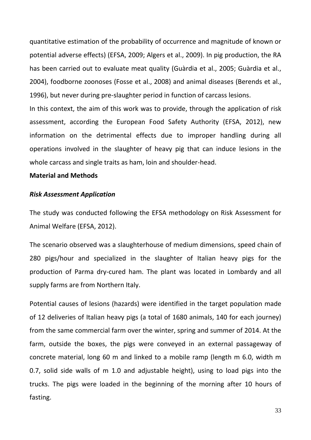quantitative estimation of the probability of occurrence and magnitude of known or potential adverse effects) (EFSA, 2009; Algers et al., 2009). In pig production, the RA has been carried out to evaluate meat quality (Guàrdia et al., 2005; Guàrdia et al., 2004), foodborne zoonoses (Fosse et al., 2008) and animal diseases (Berends et al., 1996), but never during pre-slaughter period in function of carcass lesions.

In this context, the aim of this work was to provide, through the application of risk assessment, according the European Food Safety Authority (EFSA, 2012), new information on the detrimental effects due to improper handling during all operations involved in the slaughter of heavy pig that can induce lesions in the whole carcass and single traits as ham, loin and shoulder-head.

#### **Material and Methods**

#### *Risk Assessment Application*

The study was conducted following the EFSA methodology on Risk Assessment for Animal Welfare (EFSA, 2012).

The scenario observed was a slaughterhouse of medium dimensions, speed chain of 280 pigs/hour and specialized in the slaughter of Italian heavy pigs for the production of Parma dry-cured ham. The plant was located in Lombardy and all supply farms are from Northern Italy.

Potential causes of lesions (hazards) were identified in the target population made of 12 deliveries of Italian heavy pigs (a total of 1680 animals, 140 for each journey) from the same commercial farm over the winter, spring and summer of 2014. At the farm, outside the boxes, the pigs were conveyed in an external passageway of concrete material, long 60 m and linked to a mobile ramp (length m 6.0, width m 0.7, solid side walls of m 1.0 and adjustable height), using to load pigs into the trucks. The pigs were loaded in the beginning of the morning after 10 hours of fasting.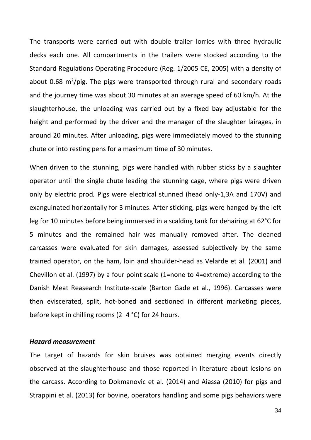The transports were carried out with double trailer lorries with three hydraulic decks each one. All compartments in the trailers were stocked according to the Standard Regulations Operating Procedure (Reg. 1/2005 CE, 2005) with a density of about 0.68 m²/pig. The pigs were transported through rural and secondary roads and the journey time was about 30 minutes at an average speed of 60 km/h. At the slaughterhouse, the unloading was carried out by a fixed bay adjustable for the height and performed by the driver and the manager of the slaughter lairages, in around 20 minutes. After unloading, pigs were immediately moved to the stunning chute or into resting pens for a maximum time of 30 minutes.

When driven to the stunning, pigs were handled with rubber sticks by a slaughter operator until the single chute leading the stunning cage, where pigs were driven only by electric prod*.* Pigs were electrical stunned (head only-1,3A and 170V) and exanguinated horizontally for 3 minutes. After sticking, pigs were hanged by the left leg for 10 minutes before being immersed in a scalding tank for dehairing at 62°C for 5 minutes and the remained hair was manually removed after. The cleaned carcasses were evaluated for skin damages, assessed subjectively by the same trained operator, on the ham, loin and shoulder-head as Velarde et al. (2001) and Chevillon et al. (1997) by a four point scale (1=none to 4=extreme) according to the Danish Meat Reasearch Institute-scale (Barton Gade et al., 1996). Carcasses were then eviscerated, split, hot-boned and sectioned in different marketing pieces, before kept in chilling rooms (2–4 °C) for 24 hours.

#### *Hazard measurement*

The target of hazards for skin bruises was obtained merging events directly observed at the slaughterhouse and those reported in literature about lesions on the carcass. According to Dokmanovic et al. (2014) and Aiassa (2010) for pigs and Strappini et al. (2013) for bovine, operators handling and some pigs behaviors were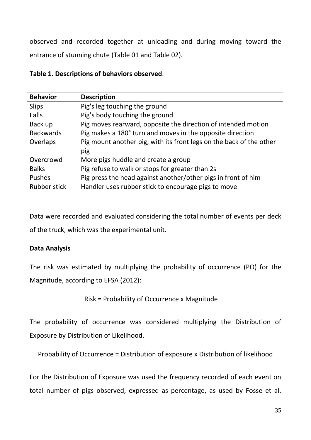observed and recorded together at unloading and during moving toward the entrance of stunning chute (Table 01 and Table 02).

### **Table 1. Descriptions of behaviors observed**.

| <b>Behavior</b>     | <b>Description</b>                                                  |
|---------------------|---------------------------------------------------------------------|
| <b>Slips</b>        | Pig's leg touching the ground                                       |
| Falls               | Pig's body touching the ground                                      |
| Back up             | Pig moves rearward, opposite the direction of intended motion       |
| <b>Backwards</b>    | Pig makes a 180° turn and moves in the opposite direction           |
| Overlaps            | Pig mount another pig, with its front legs on the back of the other |
|                     | pig                                                                 |
| Overcrowd           | More pigs huddle and create a group                                 |
| <b>Balks</b>        | Pig refuse to walk or stops for greater than 2s                     |
| <b>Pushes</b>       | Pig press the head against another/other pigs in front of him       |
| <b>Rubber stick</b> | Handler uses rubber stick to encourage pigs to move                 |

Data were recorded and evaluated considering the total number of events per deck of the truck, which was the experimental unit.

### **Data Analysis**

The risk was estimated by multiplying the probability of occurrence (PO) for the Magnitude, according to EFSA (2012):

Risk = Probability of Occurrence x Magnitude

The probability of occurrence was considered multiplying the Distribution of Exposure by Distribution of Likelihood.

Probability of Occurrence = Distribution of exposure x Distribution of likelihood

For the Distribution of Exposure was used the frequency recorded of each event on total number of pigs observed, expressed as percentage, as used by Fosse et al.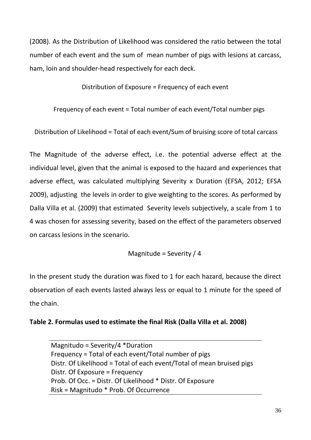(2008). As the Distribution of Likelihood was considered the ratio between the total number of each event and the sum of mean number of pigs with lesions at carcass, ham, loin and shoulder-head respectively for each deck.

Distribution of Exposure = Frequency of each event

Frequency of each event = Total number of each event/Total number pigs

Distribution of Likelihood = Total of each event/Sum of bruising score of total carcass

The Magnitude of the adverse effect, i.e. the potential adverse effect at the individual level, given that the animal is exposed to the hazard and experiences that adverse effect, was calculated multiplying Severity x Duration (EFSA, 2012; EFSA 2009), adjusting the levels in order to give weighting to the scores. As performed by Dalla Villa et al. (2009) that estimated Severity levels subjectively, a scale from 1 to 4 was chosen for assessing severity, based on the effect of the parameters observed on carcass lesions in the scenario.

Magnitude = Severity / 4

In the present study the duration was fixed to 1 for each hazard, because the direct observation of each events lasted always less or equal to 1 minute for the speed of the chain.

### **Table 2. Formulas used to estimate the final Risk (Dalla Villa et al. 2008)**

Magnitudo = Severity/4 \*Duration Frequency = Total of each event/Total number of pigs Distr. Of Likelihood = Total of each event/Total of mean bruised pigs Distr. Of Exposure = Frequency Prob. Of Occ. = Distr. Of Likelihood \* Distr. Of Exposure Risk = Magnitudo \* Prob. Of Occurrence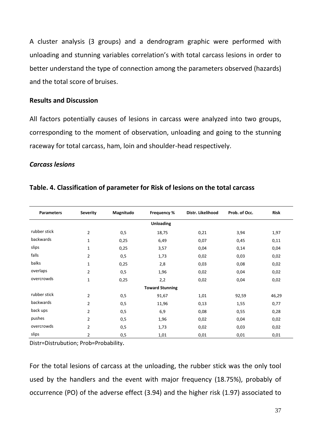A cluster analysis (3 groups) and a dendrogram graphic were performed with unloading and stunning variables correlation's with total carcass lesions in order to better understand the type of connection among the parameters observed (hazards) and the total score of bruises.

## **Results and Discussion**

All factors potentially causes of lesions in carcass were analyzed into two groups, corresponding to the moment of observation, unloading and going to the stunning raceway for total carcass, ham, loin and shoulder-head respectively.

#### *Carcass lesions*

| <b>Parameters</b> | <b>Severity</b> | Magnitudo | <b>Frequency %</b>     | Distr. Likelihood | Prob. of Occ. | <b>Risk</b> |
|-------------------|-----------------|-----------|------------------------|-------------------|---------------|-------------|
|                   |                 |           | <b>Unloading</b>       |                   |               |             |
| rubber stick      | 2               | 0,5       | 18,75                  | 0,21              | 3,94          | 1,97        |
| backwards         | $\mathbf{1}$    | 0,25      | 6,49                   | 0,07              | 0,45          | 0,11        |
| slips             | 1               | 0,25      | 3,57                   | 0,04              | 0,14          | 0,04        |
| falls             | $\overline{2}$  | 0, 5      | 1,73                   | 0,02              | 0,03          | 0,02        |
| balks             | $\mathbf{1}$    | 0,25      | 2,8                    | 0,03              | 0,08          | 0,02        |
| overlaps          | $\overline{2}$  | 0,5       | 1,96                   | 0,02              | 0,04          | 0,02        |
| overcrowds        | $\mathbf{1}$    | 0,25      | 2,2                    | 0,02              | 0,04          | 0,02        |
|                   |                 |           | <b>Toward Stunning</b> |                   |               |             |
| rubber stick      | $\overline{2}$  | 0,5       | 91,67                  | 1,01              | 92,59         | 46,29       |
| backwards         | $\overline{2}$  | 0,5       | 11,96                  | 0,13              | 1,55          | 0,77        |
| back ups          | $\overline{2}$  | 0, 5      | 6,9                    | 0,08              | 0,55          | 0,28        |
| pushes            | $\overline{2}$  | 0, 5      | 1,96                   | 0,02              | 0,04          | 0,02        |
| overcrowds        | $\overline{2}$  | 0,5       | 1,73                   | 0,02              | 0,03          | 0,02        |
| slips             | 2               | 0,5       | 1,01                   | 0,01              | 0,01          | 0,01        |

## **Table. 4. Classification of parameter for Risk of lesions on the total carcass**

Distr=Distrubution; Prob=Probability.

For the total lesions of carcass at the unloading, the rubber stick was the only tool used by the handlers and the event with major frequency (18.75%), probably of occurrence (PO) of the adverse effect (3.94) and the higher risk (1.97) associated to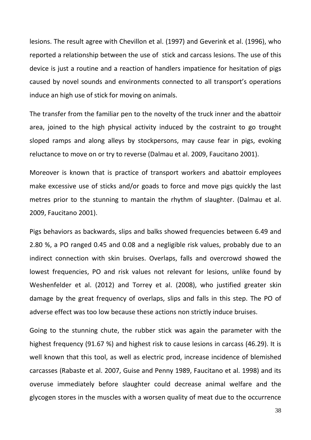lesions. The result agree with Chevillon et al. (1997) and Geverink et al. (1996), who reported a relationship between the use of stick and carcass lesions. The use of this device is just a routine and a reaction of handlers impatience for hesitation of pigs caused by novel sounds and environments connected to all transport's operations induce an high use of stick for moving on animals.

The transfer from the familiar pen to the novelty of the truck inner and the abattoir area, joined to the high physical activity induced by the costraint to go trought sloped ramps and along alleys by stockpersons, may cause fear in pigs, evoking reluctance to move on or try to reverse (Dalmau et al. 2009, Faucitano 2001).

Moreover is known that is practice of transport workers and abattoir employees make excessive use of sticks and/or goads to force and move pigs quickly the last metres prior to the stunning to mantain the rhythm of slaughter. (Dalmau et al. 2009, Faucitano 2001).

Pigs behaviors as backwards, slips and balks showed frequencies between 6.49 and 2.80 %, a PO ranged 0.45 and 0.08 and a negligible risk values, probably due to an indirect connection with skin bruises. Overlaps, falls and overcrowd showed the lowest frequencies, PO and risk values not relevant for lesions, unlike found by Weshenfelder et al. (2012) and Torrey et al. (2008), who justified greater skin damage by the great frequency of overlaps, slips and falls in this step. The PO of adverse effect was too low because these actions non strictly induce bruises.

Going to the stunning chute, the rubber stick was again the parameter with the highest frequency (91.67 %) and highest risk to cause lesions in carcass (46.29). It is well known that this tool, as well as electric prod, increase incidence of blemished carcasses (Rabaste et al. 2007, Guise and Penny 1989, Faucitano et al. 1998) and its overuse immediately before slaughter could decrease animal welfare and the glycogen stores in the muscles with a worsen quality of meat due to the occurrence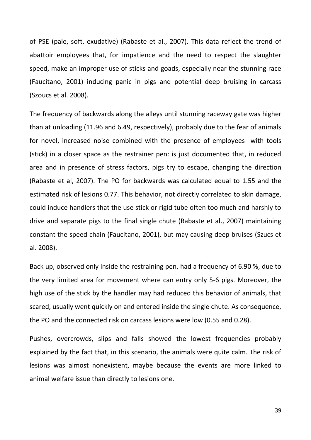of PSE (pale, soft, exudative) (Rabaste et al., 2007). This data reflect the trend of abattoir employees that, for impatience and the need to respect the slaughter speed, make an improper use of sticks and goads, especially near the stunning race (Faucitano, 2001) inducing panic in pigs and potential deep bruising in carcass (Szoucs et al. 2008).

The frequency of backwards along the alleys until stunning raceway gate was higher than at unloading (11.96 and 6.49, respectively), probably due to the fear of animals for novel, increased noise combined with the presence of employees with tools (stick) in a closer space as the restrainer pen: is just documented that, in reduced area and in presence of stress factors, pigs try to escape, changing the direction (Rabaste et al, 2007). The PO for backwards was calculated equal to 1.55 and the estimated risk of lesions 0.77. This behavior, not directly correlated to skin damage, could induce handlers that the use stick or rigid tube often too much and harshly to drive and separate pigs to the final single chute (Rabaste et al., 2007) maintaining constant the speed chain (Faucitano, 2001), but may causing deep bruises (Szucs et al. 2008).

Back up, observed only inside the restraining pen, had a frequency of 6.90 %, due to the very limited area for movement where can entry only 5-6 pigs. Moreover, the high use of the stick by the handler may had reduced this behavior of animals, that scared, usually went quickly on and entered inside the single chute. As consequence, the PO and the connected risk on carcass lesions were low (0.55 and 0.28).

Pushes, overcrowds, slips and falls showed the lowest frequencies probably explained by the fact that, in this scenario, the animals were quite calm. The risk of lesions was almost nonexistent, maybe because the events are more linked to animal welfare issue than directly to lesions one.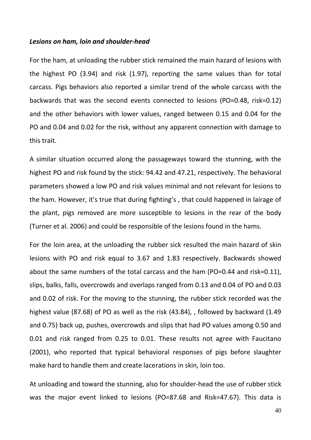#### *Lesions on ham, loin and shoulder-head*

For the ham, at unloading the rubber stick remained the main hazard of lesions with the highest PO (3.94) and risk (1.97), reporting the same values than for total carcass. Pigs behaviors also reported a similar trend of the whole carcass with the backwards that was the second events connected to lesions (PO=0.48, risk=0.12) and the other behaviors with lower values, ranged between 0.15 and 0.04 for the PO and 0.04 and 0.02 for the risk, without any apparent connection with damage to this trait.

A similar situation occurred along the passageways toward the stunning, with the highest PO and risk found by the stick: 94.42 and 47.21, respectively. The behavioral parameters showed a low PO and risk values minimal and not relevant for lesions to the ham. However, it's true that during fighting's , that could happened in lairage of the plant, pigs removed are more susceptible to lesions in the rear of the body (Turner et al. 2006) and could be responsible of the lesions found in the hams.

For the loin area, at the unloading the rubber sick resulted the main hazard of skin lesions with PO and risk equal to 3.67 and 1.83 respectively. Backwards showed about the same numbers of the total carcass and the ham (PO=0.44 and risk=0.11), slips, balks, falls, overcrowds and overlaps ranged from 0.13 and 0.04 of PO and 0.03 and 0.02 of risk. For the moving to the stunning, the rubber stick recorded was the highest value (87.68) of PO as well as the risk (43.84), , followed by backward (1.49 and 0.75) back up, pushes, overcrowds and slips that had PO values among 0.50 and 0.01 and risk ranged from 0.25 to 0.01. These results not agree with Faucitano (2001), who reported that typical behavioral responses of pigs before slaughter make hard to handle them and create lacerations in skin, loin too.

At unloading and toward the stunning, also for shoulder-head the use of rubber stick was the major event linked to lesions (PO=87.68 and Risk=47.67). This data is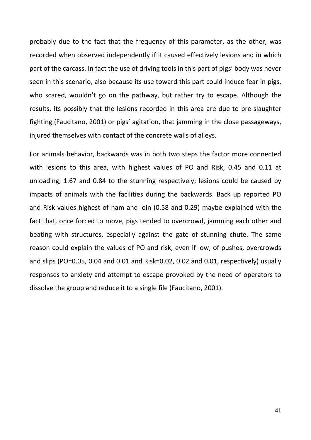probably due to the fact that the frequency of this parameter, as the other, was recorded when observed independently if it caused effectively lesions and in which part of the carcass. In fact the use of driving tools in this part of pigs' body was never seen in this scenario, also because its use toward this part could induce fear in pigs, who scared, wouldn't go on the pathway, but rather try to escape. Although the results, its possibly that the lesions recorded in this area are due to pre-slaughter fighting (Faucitano, 2001) or pigs' agitation, that jamming in the close passageways, injured themselves with contact of the concrete walls of alleys.

For animals behavior, backwards was in both two steps the factor more connected with lesions to this area, with highest values of PO and Risk, 0.45 and 0.11 at unloading, 1.67 and 0.84 to the stunning respectively; lesions could be caused by impacts of animals with the facilities during the backwards. Back up reported PO and Risk values highest of ham and loin (0.58 and 0.29) maybe explained with the fact that, once forced to move, pigs tended to overcrowd, jamming each other and beating with structures, especially against the gate of stunning chute. The same reason could explain the values of PO and risk, even if low, of pushes, overcrowds and slips (PO=0.05, 0.04 and 0.01 and Risk=0.02, 0.02 and 0.01, respectively) usually responses to anxiety and attempt to escape provoked by the need of operators to dissolve the group and reduce it to a single file (Faucitano, 2001).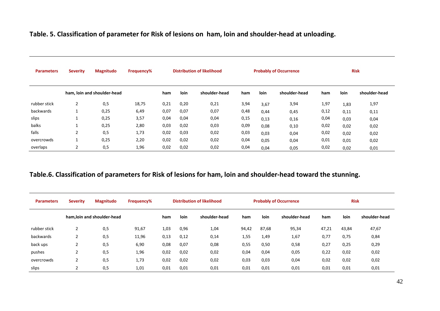# **Table. 5. Classification of parameter for Risk of lesions on ham, loin and shoulder-head at unloading.**

| <b>Parameters</b> | <b>Severity</b> | <b>Magnitudo</b>            | Frequency% | <b>Distribution of likelihood</b> |             | <b>Probably of Occurrence</b> |      |             | <b>Risk</b>   |      |      |               |
|-------------------|-----------------|-----------------------------|------------|-----------------------------------|-------------|-------------------------------|------|-------------|---------------|------|------|---------------|
|                   |                 | ham, loin and shoulder-head |            | ham                               | <b>loin</b> | shoulder-head                 | ham  | <b>loin</b> | shoulder-head | ham  | loin | shoulder-head |
| rubber stick      | $\overline{2}$  | 0,5                         | 18,75      | 0,21                              | 0,20        | 0,21                          | 3,94 | 3,67        | 3,94          | 1,97 | 1,83 | 1,97          |
| backwards         | $\mathbf{1}$    | 0,25                        | 6,49       | 0,07                              | 0,07        | 0,07                          | 0,48 | 0,44        | 0,45          | 0,12 | 0,11 | 0,11          |
| slips             | 1               | 0,25                        | 3,57       | 0,04                              | 0,04        | 0,04                          | 0,15 | 0,13        | 0,16          | 0,04 | 0,03 | 0,04          |
| balks             | 1               | 0,25                        | 2,80       | 0,03                              | 0,02        | 0,03                          | 0,09 | 0,08        | 0,10          | 0,02 | 0,02 | 0,02          |
| falls             | $\overline{2}$  | 0,5                         | 1,73       | 0,02                              | 0,03        | 0,02                          | 0,03 | 0,03        | 0,04          | 0,02 | 0,02 | 0,02          |
| overcrowds        | 1               | 0,25                        | 2,20       | 0,02                              | 0,02        | 0,02                          | 0,04 | 0,05        | 0,04          | 0,01 | 0,01 | 0,02          |
| overlaps          | 2               | 0,5                         | 1,96       | 0,02                              | 0,02        | 0,02                          | 0,04 | 0,04        | 0,05          | 0,02 | 0,02 | 0,01          |

# **Table.6. Classification of parameters for Risk of lesions for ham, loin and shoulder-head toward the stunning.**

| <b>Parameters</b> | <b>Severity</b> | Magnitudo                  | <b>Frequency%</b> | <b>Distribution of likelihood</b> |      | <b>Probably of Occurrence</b> |       |       | <b>Risk</b>   |       |       |               |
|-------------------|-----------------|----------------------------|-------------------|-----------------------------------|------|-------------------------------|-------|-------|---------------|-------|-------|---------------|
|                   |                 | ham.loin and shoulder-head |                   | ham                               | loin | shoulder-head                 | ham   | loin  | shoulder-head | ham   | loin  | shoulder-head |
| rubber stick      | $\overline{2}$  | 0,5                        | 91,67             | 1,03                              | 0,96 | 1,04                          | 94,42 | 87,68 | 95,34         | 47,21 | 43,84 | 47,67         |
| backwards         |                 | 0,5                        | 11,96             | 0,13                              | 0,12 | 0,14                          | 1,55  | 1,49  | 1,67          | 0,77  | 0,75  | 0,84          |
| back ups          | n               | 0,5                        | 6,90              | 0,08                              | 0,07 | 0,08                          | 0,55  | 0,50  | 0,58          | 0,27  | 0,25  | 0,29          |
| pushes            | ີ               | 0,5                        | 1,96              | 0,02                              | 0,02 | 0,02                          | 0,04  | 0,04  | 0,05          | 0,22  | 0,02  | 0,02          |
| overcrowds        | ຳ               | 0,5                        | 1,73              | 0,02                              | 0,02 | 0,02                          | 0,03  | 0,03  | 0,04          | 0,02  | 0,02  | 0,02          |
| slips             | ີ               | 0,5                        | 1,01              | 0,01                              | 0,01 | 0,01                          | 0,01  | 0,01  | 0,01          | 0,01  | 0,01  | 0,01          |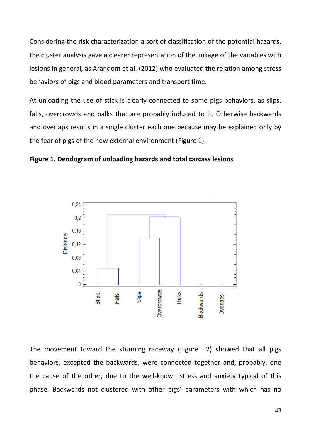Considering the risk characterization a sort of classification of the potential hazards, the cluster analysis gave a clearer representation of the linkage of the variables with lesions in general, as Arandom et al. (2012) who evaluated the relation among stress behaviors of pigs and blood parameters and transport time.

At unloading the use of stick is clearly connected to some pigs behaviors, as slips, falls, overcrowds and balks that are probably induced to it. Otherwise backwards and overlaps results in a single cluster each one because may be explained only by the fear of pigs of the new external environment (Figure 1).





The movement toward the stunning raceway (Figure 2) showed that all pigs behaviors, excepted the backwards, were connected together and, probably, one the cause of the other, due to the well-known stress and anxiety typical of this phase. Backwards not clustered with other pigs' parameters with which has no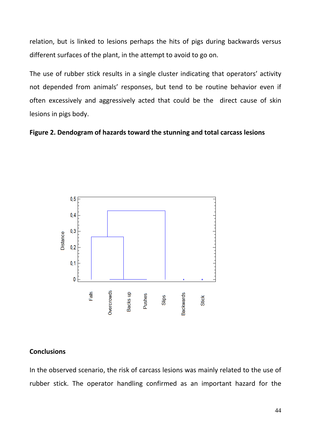relation, but is linked to lesions perhaps the hits of pigs during backwards versus different surfaces of the plant, in the attempt to avoid to go on.

The use of rubber stick results in a single cluster indicating that operators' activity not depended from animals' responses, but tend to be routine behavior even if often excessively and aggressively acted that could be the direct cause of skin lesions in pigs body.

## **Figure 2. Dendogram of hazards toward the stunning and total carcass lesions**



## **Conclusions**

In the observed scenario, the risk of carcass lesions was mainly related to the use of rubber stick. The operator handling confirmed as an important hazard for the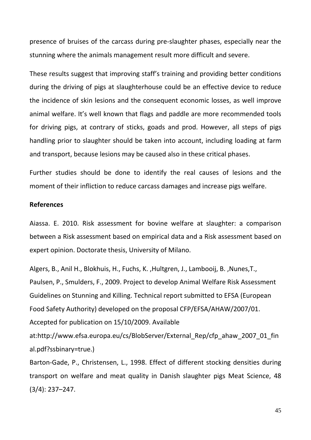presence of bruises of the carcass during pre-slaughter phases, especially near the stunning where the animals management result more difficult and severe.

These results suggest that improving staff's training and providing better conditions during the driving of pigs at slaughterhouse could be an effective device to reduce the incidence of skin lesions and the consequent economic losses, as well improve animal welfare. It's well known that flags and paddle are more recommended tools for driving pigs, at contrary of sticks, goads and prod. However, all steps of pigs handling prior to slaughter should be taken into account, including loading at farm and transport, because lesions may be caused also in these critical phases.

Further studies should be done to identify the real causes of lesions and the moment of their infliction to reduce carcass damages and increase pigs welfare.

#### **References**

Aiassa. E. 2010. Risk assessment for bovine welfare at slaughter: a comparison between a Risk assessment based on empirical data and a Risk assessment based on expert opinion. Doctorate thesis, University of Milano.

Algers, B., Anil H., Blokhuis, H., Fuchs, K. ,Hultgren, J., Lambooij, B. ,Nunes,T., Paulsen, P., Smulders, F., 2009. Project to develop Animal Welfare Risk Assessment Guidelines on Stunning and Killing. Technical report submitted to EFSA (European Food Safety Authority) developed on the proposal CFP/EFSA/AHAW/2007/01. Accepted for publication on 15/10/2009. Available

at:http://www.efsa.europa.eu/cs/BlobServer/External\_Rep/cfp\_ahaw\_2007\_01\_fin al.pdf?ssbinary=true.)

Barton-Gade, P., Christensen, L., 1998. Effect of different stocking densities during transport on welfare and meat quality in Danish slaughter pigs Meat Science, 48 (3/4): 237–247.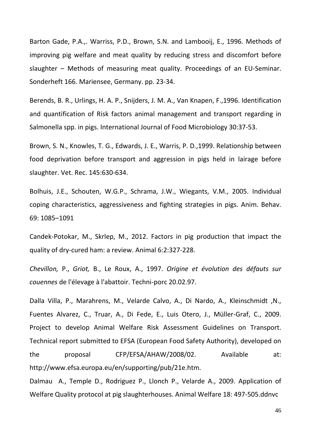Barton Gade, P.A.,. Warriss, P.D., Brown, S.N. and Lambooij, E., 1996. Methods of improving pig welfare and meat quality by reducing stress and discomfort before slaughter – Methods of measuring meat quality. Proceedings of an EU-Seminar. Sonderheft 166. Mariensee, Germany. pp. 23-34.

Berends, B. R., Urlings, H. A. P., Snijders, J. M. A., Van Knapen, F.,1996. Identification and quantification of Risk factors animal management and transport regarding in Salmonella spp. in pigs. International Journal of Food Microbiology 30:37-53.

Brown, S. N., Knowles, T. G., Edwards, J. E., Warris, P. D.,1999. Relationship between food deprivation before transport and aggression in pigs held in lairage before slaughter. Vet. Rec. 145:630-634.

Bolhuis, J.E., Schouten, W.G.P., Schrama, J.W., Wiegants, V.M., 2005. Individual coping characteristics, aggressiveness and fighting strategies in pigs. Anim. Behav. 69: 1085–1091

Candek-Potokar, M., Skrlep, M., 2012. Factors in pig production that impact the quality of dry-cured ham: a review. Animal 6:2:327-228.

*Chevillon,* P., *Griot,* B., Le Roux, A., 1997. *Origine et évolution des défauts sur couennes* de l'élevage à l'abattoir. Techni-porc 20.02.97.

Dalla Villa, P., Marahrens, M., Velarde Calvo, A., Di Nardo, A., Kleinschmidt ,N., Fuentes Alvarez, C., Truar, A., Di Fede, E., Luis Otero, J., Müller-Graf, C., 2009. Project to develop Animal Welfare Risk Assessment Guidelines on Transport. Technical report submitted to EFSA (European Food Safety Authority), developed on the proposal CFP/EFSA/AHAW/2008/02. Available at: [http://www.efsa.europa.eu/en/supporting/pub/21e.htm.](http://www.efsa.europa.eu/en/supporting/pub/21e.htm)

Dalmau A., Temple D., Rodriguez P., Llonch P., Velarde A., 2009. Application of Welfare Quality protocol at pig slaughterhouses. Animal Welfare 18: 497-505.ddnvc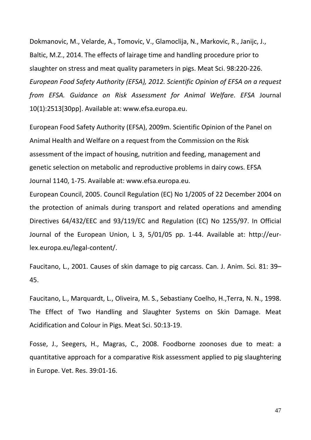Dokmanovic, M., Velarde, A., Tomovic, V., Glamoclija, N., Markovic, R., Janijc, J., Baltic, M.Z., 2014. The effects of lairage time and handling procedure prior to slaughter on stress and meat quality parameters in pigs. Meat Sci. 98:220-226. *European Food Safety Authority (EFSA), 2012. Scientific Opinion of EFSA on a request from EFSA. Guidance on Risk Assessment for Animal Welfare*. *EFSA* Journal 10(1):2513[30pp]. Available at: www.efsa.europa.eu.

European Food Safety Authority (EFSA), 2009m. Scientific Opinion of the Panel on Animal Health and Welfare on a request from the Commission on the Risk assessment of the impact of housing, nutrition and feeding, management and genetic selection on metabolic and reproductive problems in dairy cows. EFSA Journal 1140, 1-75. Available at: www.efsa.europa.eu.

European Council, 2005. Council Regulation (EC) No 1/2005 of 22 December 2004 on the protection of animals during transport and related operations and amending Directives 64/432/EEC and 93/119/EC and Regulation (EC) No 1255/97. In Official Journal of the European Union, L 3, 5/01/05 pp. 1-44. Available at: http://eurlex.europa.eu/legal-content/.

Faucitano, L., 2001. Causes of skin damage to pig carcass. Can. J. Anim. Sci. 81: 39– 45.

Faucitano, L., Marquardt, L., Oliveira, M. S., Sebastiany Coelho, H.,Terra, N. N., 1998. The Effect of Two Handling and Slaughter Systems on Skin Damage. Meat Acidification and Colour in Pigs. Meat Sci. 50:13-19.

Fosse, J., Seegers, H., Magras, C., 2008. Foodborne zoonoses due to meat: a quantitative approach for a comparative Risk assessment applied to pig slaughtering in Europe. Vet. Res. 39:01-16.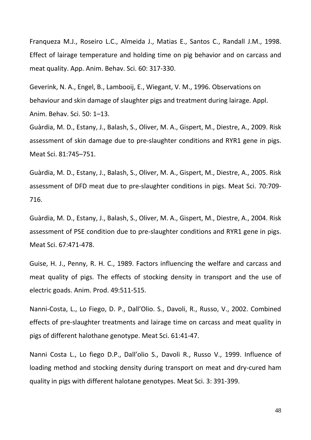Franqueza M.J., Roseiro L.C., Almeida J., Matias E., Santos C., Randall J.M., 1998. Effect of lairage temperature and holding time on pig behavior and on carcass and meat quality. App. Anim. Behav. Sci. 60: 317-330.

Geverink, N. A., Engel, B., Lambooij, E., Wiegant, V. M., 1996. Observations on behaviour and skin damage of slaughter pigs and treatment during lairage. Appl. Anim. Behav. Sci. 50: 1–13.

Guàrdia, M. D., Estany, J., Balash, S., Oliver, M. A., Gispert, M., Diestre, A., 2009. Risk assessment of skin damage due to pre-slaughter conditions and RYR1 gene in pigs. Meat Sci. 81:745–751.

Guàrdia, M. D., Estany, J., Balash, S., Oliver, M. A., Gispert, M., Diestre, A., 2005. Risk assessment of DFD meat due to pre-slaughter conditions in pigs. Meat Sci. 70:709- 716.

Guàrdia, M. D., Estany, J., Balash, S., Oliver, M. A., Gispert, M., Diestre, A., 2004. Risk assessment of PSE condition due to pre-slaughter conditions and RYR1 gene in pigs. Meat Sci. 67:471-478.

Guise, H. J., Penny, R. H. C., 1989. Factors influencing the welfare and carcass and meat quality of pigs. The effects of stocking density in transport and the use of electric goads. Anim. Prod. 49:511-515.

Nanni-Costa, L., Lo Fiego, D. P., Dall'Olio. S., Davoli, R., Russo, V., 2002. Combined effects of pre-slaughter treatments and lairage time on carcass and meat quality in pigs of different halothane genotype. Meat Sci. 61:41-47.

Nanni Costa L., Lo fiego D.P., Dall'olio S., Davoli R., Russo V., 1999. Influence of loading method and stocking density during transport on meat and dry-cured ham quality in pigs with different halotane genotypes. Meat Sci. 3: 391-399.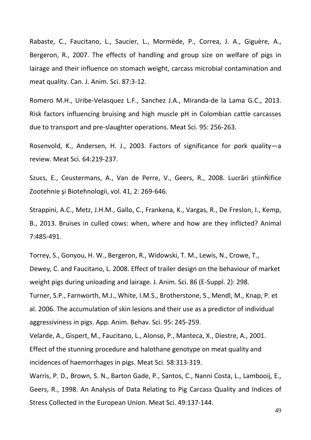Rabaste, C., Faucitano, L., Saucier, L., Mormède, P., Correa, J. A., Giguère, A., Bergeron, R., 2007. The effects of handling and group size on welfare of pigs in lairage and their influence on stomach weight, carcass microbial contamination and meat quality. Can. J. Anim. Sci. 87:3-12.

Romero M.H., Uribe-Velasquez L.F., Sanchez J.A., Miranda-de la Lama G.C., 2013. Risk factors influencing bruising and high muscle pH in Colombian cattle carcasses due to transport and pre-slaughter operations. Meat Sci. 95: 256-263.

Rosenvold, K., Andersen, H. J., 2003. Factors of significance for pork quality—a review. Meat Sci. 64:219-237.

Szucs, E., Ceustermans, A., Van de Perre, V., Geers, R., 2008. Lucrări ştiinŃifice Zootehnie şi Biotehnologii, vol. 41, 2: 269-646.

Strappini, A.C., Metz, J.H.M., Gallo, C., Frankena, K., Vargas, R., De Freslon, I., Kemp, B., 2013. Bruises in culled cows: when, where and how are they inflicted? Animal 7:485-491.

Torrey, S., Gonyou, H. W., Bergeron, R., Widowski, T. M., Lewis, N., Crowe, T., Dewey, C. and Faucitano, L. 2008. Effect of trailer design on the behaviour of market weight pigs during unloading and lairage. J. Anim. Sci. 86 (E-Suppl. 2): 298. Turner, S.P., Farnworth, M.J., White, I.M.S., Brotherstone, S., Mendl, M., Knap, P. et al. 2006. The accumulation of skin lesions and their use as a predictor of individual aggressiviness in pigs. App. Anim. Behav. Sci. 95: 245-259. Velarde, A., Gispert, M., Faucitano, L., Alonso, P., Manteca, X., Diestre, A., 2001. Effect of the stunning procedure and halothane genotype on meat quality and incidences of haemorrhages in pigs. Meat Sci. 58:313-319.

Warris, P. D., Brown, S. N., Barton Gade, P., Santos, C., Nanni Costa, L., Lambooij, E., Geers, R., 1998. An Analysis of Data Relating to Pig Carcass Quality and Indices of Stress Collected in the European Union. Meat Sci. 49:137-144.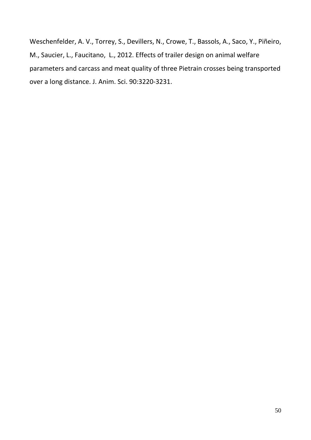Weschenfelder, A. V., Torrey, S., Devillers, N., Crowe, T., Bassols, A., Saco, Y., Piñeiro, M., Saucier, L., Faucitano, L., 2012. Effects of trailer design on animal welfare parameters and carcass and meat quality of three Pietrain crosses being transported over a long distance. J. Anim. Sci. 90:3220-3231.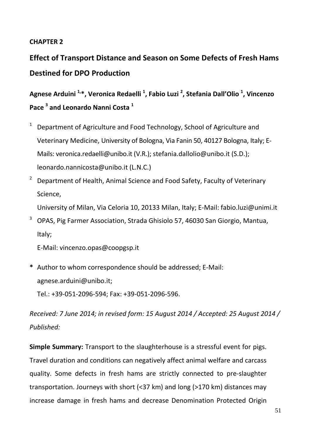# **CHAPTER 2**

**Effect of Transport Distance and Season on Some Defects of Fresh Hams Destined for DPO Production**

**Agnese Arduini 1,\*, Veronica Redaelli 1 , Fabio Luzi 2 , Stefania Dall'Olio 1 , Vincenzo Pace 3 and Leonardo Nanni Costa 1**

- <sup>1</sup> Department of Agriculture and Food Technology, School of Agriculture and Veterinary Medicine, University of Bologna, Via Fanin 50, 40127 Bologna, Italy; E-Mails: veronica.redaelli@unibo.it (V.R.); stefania.dallolio@unibo.it (S.D.); leonardo.nannicosta@unibo.it (L.N.C.)
- <sup>2</sup> Department of Health, Animal Science and Food Safety, Faculty of Veterinary Science,

University of Milan, Via Celoria 10, 20133 Milan, Italy; E-Mail: fabio.luzi@unimi.it

<sup>3</sup> OPAS, Pig Farmer Association, Strada Ghisiolo 57, 46030 San Giorgio, Mantua, Italy;

E-Mail: vincenzo.opas@coopgsp.it

**\*** Author to whom correspondence should be addressed; E-Mail: agnese.arduini@unibo.it;

Tel.: +39-051-2096-594; Fax: +39-051-2096-596.

*Received: 7 June 2014; in revised form: 15 August 2014 / Accepted: 25 August 2014 / Published:* 

**Simple Summary:** Transport to the slaughterhouse is a stressful event for pigs. Travel duration and conditions can negatively affect animal welfare and carcass quality. Some defects in fresh hams are strictly connected to pre-slaughter transportation. Journeys with short (<37 km) and long (>170 km) distances may increase damage in fresh hams and decrease Denomination Protected Origin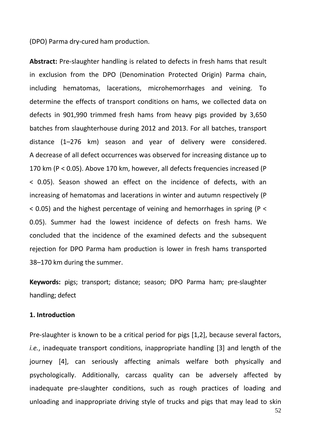(DPO) Parma dry-cured ham production.

**Abstract:** Pre-slaughter handling is related to defects in fresh hams that result in exclusion from the DPO (Denomination Protected Origin) Parma chain, including hematomas, lacerations, microhemorrhages and veining. To determine the effects of transport conditions on hams, we collected data on defects in 901,990 trimmed fresh hams from heavy pigs provided by 3,650 batches from slaughterhouse during 2012 and 2013. For all batches, transport distance (1–276 km) season and year of delivery were considered. A decrease of all defect occurrences was observed for increasing distance up to 170 km (P < 0.05). Above 170 km, however, all defects frequencies increased (P < 0.05). Season showed an effect on the incidence of defects, with an increasing of hematomas and lacerations in winter and autumn respectively (P < 0.05) and the highest percentage of veining and hemorrhages in spring (P < 0.05). Summer had the lowest incidence of defects on fresh hams. We concluded that the incidence of the examined defects and the subsequent rejection for DPO Parma ham production is lower in fresh hams transported 38–170 km during the summer.

**Keywords:** pigs; transport; distance; season; DPO Parma ham; pre-slaughter handling; defect

## **1. Introduction**

Pre-slaughter is known to be a critical period for pigs [1,2], because several factors, *i.e.*, inadequate transport conditions, inappropriate handling [3] and length of the journey [4], can seriously affecting animals welfare both physically and psychologically. Additionally, carcass quality can be adversely affected by inadequate pre-slaughter conditions, such as rough practices of loading and unloading and inappropriate driving style of trucks and pigs that may lead to skin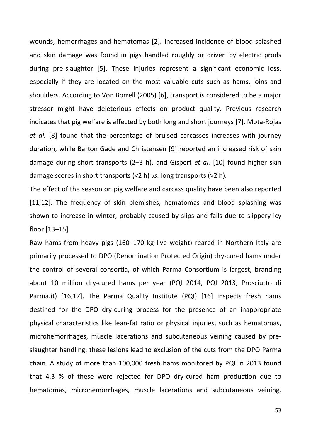wounds, hemorrhages and hematomas [2]. Increased incidence of blood-splashed and skin damage was found in pigs handled roughly or driven by electric prods during pre-slaughter [5]. These injuries represent a significant economic loss, especially if they are located on the most valuable cuts such as hams, loins and shoulders. According to Von Borrell (2005) [6], transport is considered to be a major stressor might have deleterious effects on product quality. Previous research indicates that pig welfare is affected by both long and short journeys [7]. Mota-Rojas *et al.* [8] found that the percentage of bruised carcasses increases with journey duration, while Barton Gade and Christensen [9] reported an increased risk of skin damage during short transports (2–3 h), and Gispert *et al.* [10] found higher skin damage scores in short transports (<2 h) *vs.* long transports (>2 h).

The effect of the season on pig welfare and carcass quality have been also reported [11,12]. The frequency of skin blemishes, hematomas and blood splashing was shown to increase in winter, probably caused by slips and falls due to slippery icy floor [13–15].

Raw hams from heavy pigs (160–170 kg live weight) reared in Northern Italy are primarily processed to DPO (Denomination Protected Origin) dry-cured hams under the control of several consortia, of which Parma Consortium is largest, branding about 10 million dry-cured hams per year (PQI 2014, PQI 2013, Prosciutto di Parma.it) [16,17]. The Parma Quality Institute (PQI) [16] inspects fresh hams destined for the DPO dry-curing process for the presence of an inappropriate physical characteristics like lean-fat ratio or physical injuries, such as hematomas, microhemorrhages, muscle lacerations and subcutaneous veining caused by preslaughter handling; these lesions lead to exclusion of the cuts from the DPO Parma chain. A study of more than 100,000 fresh hams monitored by PQI in 2013 found that 4.3 % of these were rejected for DPO dry-cured ham production due to hematomas, microhemorrhages, muscle lacerations and subcutaneous veining.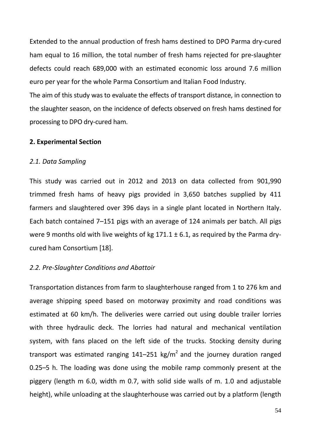Extended to the annual production of fresh hams destined to DPO Parma dry-cured ham equal to 16 million, the total number of fresh hams rejected for pre-slaughter defects could reach 689,000 with an estimated economic loss around 7.6 million euro per year for the whole Parma Consortium and Italian Food Industry.

The aim of this study was to evaluate the effects of transport distance, in connection to the slaughter season, on the incidence of defects observed on fresh hams destined for processing to DPO dry-cured ham.

#### **2. Experimental Section**

#### *2.1. Data Sampling*

This study was carried out in 2012 and 2013 on data collected from 901,990 trimmed fresh hams of heavy pigs provided in 3,650 batches supplied by 411 farmers and slaughtered over 396 days in a single plant located in Northern Italy. Each batch contained 7–151 pigs with an average of 124 animals per batch. All pigs were 9 months old with live weights of kg  $171.1 \pm 6.1$ , as required by the Parma drycured ham Consortium [18].

#### *2.2. Pre-Slaughter Conditions and Abattoir*

Transportation distances from farm to slaughterhouse ranged from 1 to 276 km and average shipping speed based on motorway proximity and road conditions was estimated at 60 km/h. The deliveries were carried out using double trailer lorries with three hydraulic deck. The lorries had natural and mechanical ventilation system, with fans placed on the left side of the trucks. Stocking density during transport was estimated ranging  $141-251$  kg/m<sup>2</sup> and the journey duration ranged 0.25–5 h. The loading was done using the mobile ramp commonly present at the piggery (length m 6.0, width m 0.7, with solid side walls of m. 1.0 and adjustable height), while unloading at the slaughterhouse was carried out by a platform (length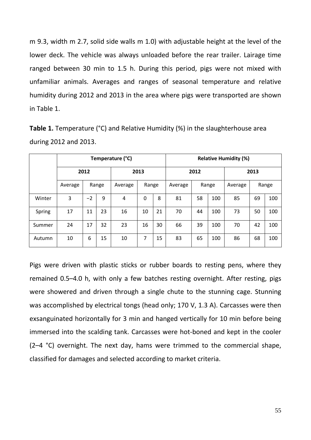m 9.3, width m 2.7, solid side walls m 1.0) with adjustable height at the level of the lower deck. The vehicle was always unloaded before the rear trailer. Lairage time ranged between 30 min to 1.5 h. During this period, pigs were not mixed with unfamiliar animals. Averages and ranges of seasonal temperature and relative humidity during 2012 and 2013 in the area where pigs were transported are shown in Table 1.

|        |         | Temperature (°C) |       |         |          |      |         | <b>Relative Humidity (%)</b> |       |         |    |       |  |
|--------|---------|------------------|-------|---------|----------|------|---------|------------------------------|-------|---------|----|-------|--|
|        | 2012    |                  |       | 2013    |          | 2012 |         |                              | 2013  |         |    |       |  |
|        | Average |                  | Range | Average | Range    |      | Average |                              | Range | Average |    | Range |  |
| Winter | 3       | $-2$             | 9     | 4       | $\Omega$ | 8    | 81      | 58                           | 100   | 85      | 69 | 100   |  |
| Spring | 17      | 11               | 23    | 16      | 10       | 21   | 70      | 44                           | 100   | 73      | 50 | 100   |  |
| Summer | 24      | 17               | 32    | 23      | 16       | 30   | 66      | 39                           | 100   | 70      | 42 | 100   |  |
| Autumn | 10      | 6                | 15    | 10      | 7        | 15   | 83      | 65                           | 100   | 86      | 68 | 100   |  |

**Table 1.** Temperature (°C) and Relative Humidity (%) in the slaughterhouse area during 2012 and 2013.

Pigs were driven with plastic sticks or rubber boards to resting pens, where they remained 0.5–4.0 h, with only a few batches resting overnight. After resting, pigs were showered and driven through a single chute to the stunning cage. Stunning was accomplished by electrical tongs (head only; 170 V, 1.3 A). Carcasses were then exsanguinated horizontally for 3 min and hanged vertically for 10 min before being immersed into the scalding tank. Carcasses were hot-boned and kept in the cooler (2–4 °C) overnight. The next day, hams were trimmed to the commercial shape, classified for damages and selected according to market criteria.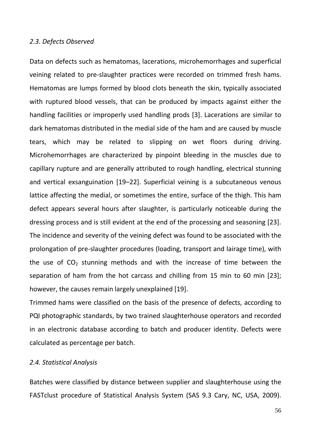#### *2.3. Defects Observed*

Data on defects such as hematomas, lacerations, microhemorrhages and superficial veining related to pre-slaughter practices were recorded on trimmed fresh hams. Hematomas are lumps formed by blood clots beneath the skin, typically associated with ruptured blood vessels, that can be produced by impacts against either the handling facilities or improperly used handling prods [3]. Lacerations are similar to dark hematomas distributed in the medial side of the ham and are caused by muscle tears, which may be related to slipping on wet floors during driving. Microhemorrhages are characterized by pinpoint bleeding in the muscles due to capillary rupture and are generally attributed to rough handling, electrical stunning and vertical exsanguination [19–22]. Superficial veining is a subcutaneous venous lattice affecting the medial, or sometimes the entire, surface of the thigh. This ham defect appears several hours after slaughter, is particularly noticeable during the dressing process and is still evident at the end of the processing and seasoning [23]. The incidence and severity of the veining defect was found to be associated with the prolongation of pre-slaughter procedures (loading, transport and lairage time), with the use of  $CO<sub>2</sub>$  stunning methods and with the increase of time between the separation of ham from the hot carcass and chilling from 15 min to 60 min [23]; however, the causes remain largely unexplained [19].

Trimmed hams were classified on the basis of the presence of defects, according to PQI photographic standards, by two trained slaughterhouse operators and recorded in an electronic database according to batch and producer identity. Defects were calculated as percentage per batch.

#### *2.4. Statistical Analysis*

Batches were classified by distance between supplier and slaughterhouse using the FASTclust procedure of Statistical Analysis System (SAS 9.3 Cary, NC, USA, 2009).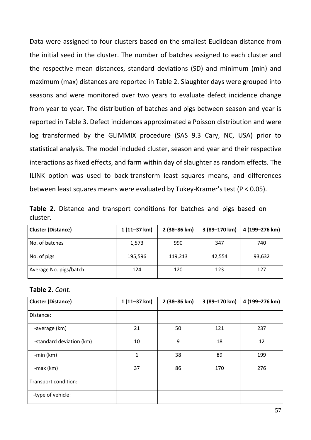Data were assigned to four clusters based on the smallest Euclidean distance from the initial seed in the cluster. The number of batches assigned to each cluster and the respective mean distances, standard deviations (SD) and minimum (min) and maximum (max) distances are reported in Table 2. Slaughter days were grouped into seasons and were monitored over two years to evaluate defect incidence change from year to year. The distribution of batches and pigs between season and year is reported in Table 3. Defect incidences approximated a Poisson distribution and were log transformed by the GLIMMIX procedure (SAS 9.3 Cary, NC, USA) prior to statistical analysis. The model included cluster, season and year and their respective interactions as fixed effects, and farm within day of slaughter as random effects. The ILINK option was used to back-transform least squares means, and differences between least squares means were evaluated by Tukey-Kramer's test (P < 0.05).

|          |  |  | Table 2. Distance and transport conditions for batches and pigs based on |  |  |  |
|----------|--|--|--------------------------------------------------------------------------|--|--|--|
| cluster. |  |  |                                                                          |  |  |  |

| <b>Cluster (Distance)</b> | $1(11-37 km)$ | 2 (38-86 km) | 3 (89–170 km) | 4 (199–276 km) |
|---------------------------|---------------|--------------|---------------|----------------|
| No. of batches            | 1,573         | 990          | 347           | 740            |
| No. of pigs               | 195,596       | 119,213      | 42,554        | 93,632         |
| Average No. pigs/batch    | 124           | 120          | 123           | 127            |

#### **Table 2.** *Cont*.

| <b>Cluster (Distance)</b> | $1(11-37 km)$ | 2 (38-86 km) | 3 (89-170 km) | 4 (199-276 km) |
|---------------------------|---------------|--------------|---------------|----------------|
| Distance:                 |               |              |               |                |
| -average (km)             | 21            | 50           | 121           | 237            |
| -standard deviation (km)  | 10            | 9            | 18            | 12             |
| -min $(km)$               | 1             | 38           | 89            | 199            |
| $-max$ ( $km$ )           | 37            | 86           | 170           | 276            |
| Transport condition:      |               |              |               |                |
| -type of vehicle:         |               |              |               |                |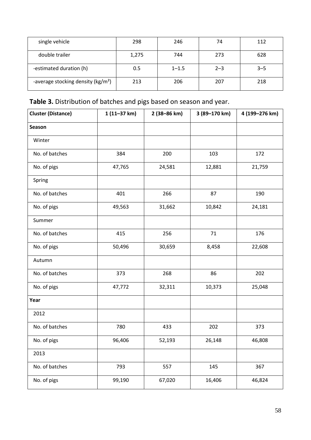| single vehicle                                | 298   | 246       | 74      | 112     |
|-----------------------------------------------|-------|-----------|---------|---------|
| double trailer                                | 1,275 | 744       | 273     | 628     |
| -estimated duration (h)                       | 0.5   | $1 - 1.5$ | $2 - 3$ | $3 - 5$ |
| -average stocking density ( $\text{kg/m}^2$ ) | 213   | 206       | 207     | 218     |

# **Table 3.** Distribution of batches and pigs based on season and year.

| <b>Cluster (Distance)</b> | $1(11-37 km)$ | 2 (38-86 km) | 3 (89-170 km) | 4 (199-276 km) |
|---------------------------|---------------|--------------|---------------|----------------|
| Season                    |               |              |               |                |
| Winter                    |               |              |               |                |
| No. of batches            | 384           | 200          | 103           | 172            |
| No. of pigs               | 47,765        | 24,581       | 12,881        | 21,759         |
| Spring                    |               |              |               |                |
| No. of batches            | 401           | 266          | 87            | 190            |
| No. of pigs               | 49,563        | 31,662       | 10,842        | 24,181         |
| Summer                    |               |              |               |                |
| No. of batches            | 415           | 256          | 71            | 176            |
| No. of pigs               | 50,496        | 30,659       | 8,458         | 22,608         |
| Autumn                    |               |              |               |                |
| No. of batches            | 373           | 268          | 86            | 202            |
| No. of pigs               | 47,772        | 32,311       | 10,373        | 25,048         |
| Year                      |               |              |               |                |
| 2012                      |               |              |               |                |
| No. of batches            | 780           | 433          | 202           | 373            |
| No. of pigs               | 96,406        | 52,193       | 26,148        | 46,808         |
| 2013                      |               |              |               |                |
| No. of batches            | 793           | 557          | 145           | 367            |
| No. of pigs               | 99,190        | 67,020       | 16,406        | 46,824         |
|                           |               |              |               |                |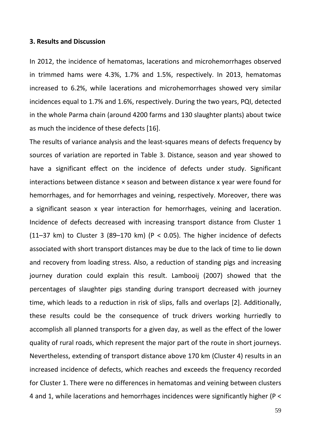#### **3. Results and Discussion**

In 2012, the incidence of hematomas, lacerations and microhemorrhages observed in trimmed hams were 4.3%, 1.7% and 1.5%, respectively. In 2013, hematomas increased to 6.2%, while lacerations and microhemorrhages showed very similar incidences equal to 1.7% and 1.6%, respectively. During the two years, PQI, detected in the whole Parma chain (around 4200 farms and 130 slaughter plants) about twice as much the incidence of these defects [16].

The results of variance analysis and the least-squares means of defects frequency by sources of variation are reported in Table 3. Distance, season and year showed to have a significant effect on the incidence of defects under study. Significant interactions between distance × season and between distance x year were found for hemorrhages, and for hemorrhages and veining, respectively. Moreover, there was a significant season x year interaction for hemorrhages, veining and laceration. Incidence of defects decreased with increasing transport distance from Cluster 1 (11–37 km) to Cluster 3 (89–170 km) (P < 0.05). The higher incidence of defects associated with short transport distances may be due to the lack of time to lie down and recovery from loading stress. Also, a reduction of standing pigs and increasing journey duration could explain this result. Lambooij (2007) showed that the percentages of slaughter pigs standing during transport decreased with journey time, which leads to a reduction in risk of slips, falls and overlaps [2]. Additionally, these results could be the consequence of truck drivers working hurriedly to accomplish all planned transports for a given day, as well as the effect of the lower quality of rural roads, which represent the major part of the route in short journeys. Nevertheless, extending of transport distance above 170 km (Cluster 4) results in an increased incidence of defects, which reaches and exceeds the frequency recorded for Cluster 1. There were no differences in hematomas and veining between clusters 4 and 1, while lacerations and hemorrhages incidences were significantly higher (P <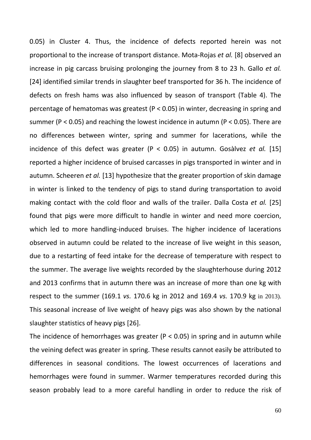0.05) in Cluster 4. Thus, the incidence of defects reported herein was not proportional to the increase of transport distance. Mota-Rojas *et al.* [8] observed an increase in pig carcass bruising prolonging the journey from 8 to 23 h. Gallo *et al.* [24] identified similar trends in slaughter beef transported for 36 h. The incidence of defects on fresh hams was also influenced by season of transport (Table 4). The percentage of hematomas was greatest (P < 0.05) in winter, decreasing in spring and summer (P < 0.05) and reaching the lowest incidence in autumn (P < 0.05). There are no differences between winter, spring and summer for lacerations, while the incidence of this defect was greater (P < 0.05) in autumn. Gosàlvez *et al.* [15] reported a higher incidence of bruised carcasses in pigs transported in winter and in autumn. Scheeren *et al.* [13] hypothesize that the greater proportion of skin damage in winter is linked to the tendency of pigs to stand during transportation to avoid making contact with the cold floor and walls of the trailer. Dalla Costa *et al.* [25] found that pigs were more difficult to handle in winter and need more coercion, which led to more handling-induced bruises. The higher incidence of lacerations observed in autumn could be related to the increase of live weight in this season, due to a restarting of feed intake for the decrease of temperature with respect to the summer. The average live weights recorded by the slaughterhouse during 2012 and 2013 confirms that in autumn there was an increase of more than one kg with respect to the summer (169.1 *vs.* 170.6 kg in 2012 and 169.4 *vs.* 170.9 kg in 2013). This seasonal increase of live weight of heavy pigs was also shown by the national slaughter statistics of heavy pigs [26].

The incidence of hemorrhages was greater ( $P < 0.05$ ) in spring and in autumn while the veining defect was greater in spring. These results cannot easily be attributed to differences in seasonal conditions. The lowest occurrences of lacerations and hemorrhages were found in summer. Warmer temperatures recorded during this season probably lead to a more careful handling in order to reduce the risk of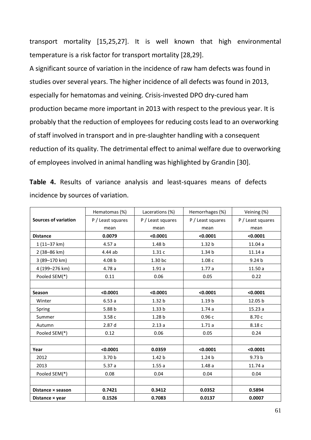transport mortality [15,25,27]. It is well known that high environmental temperature is a risk factor for transport mortality [28,29].

A significant source of variation in the incidence of raw ham defects was found in studies over several years. The higher incidence of all defects was found in 2013, especially for hematomas and veining. Crisis-invested DPO dry-cured ham production became more important in 2013 with respect to the previous year. It is probably that the reduction of employees for reducing costs lead to an overworking of staff involved in transport and in pre-slaughter handling with a consequent reduction of its quality. The detrimental effect to animal welfare due to overworking of employees involved in animal handling was highlighted by Grandin [30].

**Table 4.** Results of variance analysis and least-squares means of defects incidence by sources of variation.

|                             | Hematomas (%)     | Lacerations (%)   | Hemorrhages (%)   | Veining (%)       |
|-----------------------------|-------------------|-------------------|-------------------|-------------------|
| <b>Sources of variation</b> | P / Least squares | P / Least squares | P / Least squares | P / Least squares |
|                             | mean              | mean              | mean              | mean              |
| <b>Distance</b>             | 0.0079            | < 0.0001          | < 0.0001          | < 0.0001          |
| $1(11-37 km)$               | 4.57a             | 1.48 <sub>b</sub> | 1.32 <sub>b</sub> | 11.04a            |
| 2 (38-86 km)                | 4.44 ab           | 1.31c             | 1.34 <sub>b</sub> | 11.14a            |
| 3 (89-170 km)               | 4.08 b            | 1.30 bc           | 1.08c             | 9.24 <sub>b</sub> |
| 4 (199-276 km)              | 4.78a             | 1.91a             | 1.77a             | 11.50a            |
| Pooled SEM(*)               | 0.11              | 0.06              | 0.05              | 0.22              |
|                             |                   |                   |                   |                   |
| <b>Season</b>               | < 0.0001          | < 0.0001          | < 0.0001          | < 0.0001          |
| Winter                      | 6.53a             | 1.32 <sub>b</sub> | 1.19 <sub>b</sub> | 12.05 b           |
| Spring                      | 5.88 b            | 1.33 <sub>b</sub> | 1.74a             | 15.23a            |
| Summer                      | 3.58c             | 1.28 <sub>b</sub> | 0.96c             | 8.70 c            |
| Autumn                      | 2.87 d            | 2.13a             | 1.71a             | 8.18 c            |
| Pooled SEM(*)               | 0.12              | 0.06              | 0.05              | 0.24              |
|                             |                   |                   |                   |                   |
| Year                        | < 0.0001          | 0.0359            | < 0.0001          | < 0.0001          |
| 2012                        | 3.70 <sub>b</sub> | 1.42 <sub>b</sub> | 1.24 <sub>b</sub> | 9.73 <sub>b</sub> |
| 2013                        | 5.37a             | 1.55a             | 1.48a             | 11.74a            |
| Pooled SEM(*)               | 0.08              | 0.04              | 0.04              | 0.04              |
|                             |                   |                   |                   |                   |
| Distance × season           | 0.7421            | 0.3412            | 0.0352            | 0.5894            |
| Distance × year             | 0.1526            | 0.7083            | 0.0137            | 0.0007            |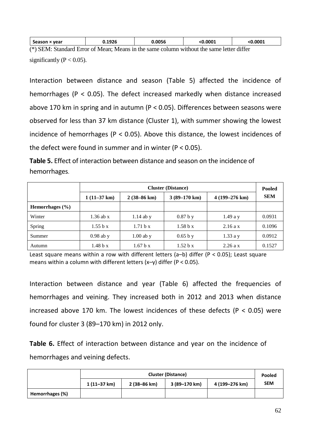| x year<br>season                                                         | 0.1926<br>____ | .0056 | .0001<br>-0 | .0001    |
|--------------------------------------------------------------------------|----------------|-------|-------------|----------|
| $\left( \psi \right)$ $\left( \mathbf{r} \right)$ $\mathbf{r}$<br>$\sim$ |                |       |             | $\cdots$ |

(\*) SEM: Standard Error of Mean; Means in the same column without the same letter differ significantly ( $P < 0.05$ ).

Interaction between distance and season (Table 5) affected the incidence of hemorrhages (P < 0.05). The defect increased markedly when distance increased above 170 km in spring and in autumn (P < 0.05). Differences between seasons were observed for less than 37 km distance (Cluster 1), with summer showing the lowest incidence of hemorrhages (P < 0.05). Above this distance, the lowest incidences of the defect were found in summer and in winter ( $P < 0.05$ ).

**Table 5.** Effect of interaction between distance and season on the incidence of hemorrhages.

| <b>Cluster (Distance)</b> |                       |                       |                        |                         |            |  |  |
|---------------------------|-----------------------|-----------------------|------------------------|-------------------------|------------|--|--|
|                           | $1(11-37 \text{ km})$ | $2(38-86 \text{ km})$ | $3(89-170 \text{ km})$ | $4(199-276 \text{ km})$ | <b>SEM</b> |  |  |
| Hemorrhages $(\% )$       |                       |                       |                        |                         |            |  |  |
| Winter                    | $1.36$ ab x           | $1.14$ ab y           | 0.87 b y               | $1.49a$ v               | 0.0931     |  |  |
| Spring                    | 1.55 b x              | 1.71 b x              | 1.58 b x               | 2.16a x                 | 0.1096     |  |  |
| Summer                    | $0.98$ ab y           | $1.00$ ab y           | 0.65 b y               | $1.33a$ y               | 0.0912     |  |  |
| Autumn                    | 1.48 b x              | 1.67 b x              | 1.52 b x               | 2.26a x                 | 0.1527     |  |  |

Least square means within a row with different letters (a-b) differ ( $P < 0.05$ ); Least square means within a column with different letters (x–y) differ (P < 0.05).

Interaction between distance and year (Table 6) affected the frequencies of hemorrhages and veining. They increased both in 2012 and 2013 when distance increased above 170 km. The lowest incidences of these defects ( $P < 0.05$ ) were found for cluster 3 (89–170 km) in 2012 only.

**Table 6.** Effect of interaction between distance and year on the incidence of hemorrhages and veining defects.

|                 | <b>Cluster (Distance)</b> |              |               |                |            |
|-----------------|---------------------------|--------------|---------------|----------------|------------|
|                 | $1(11-37 km)$             | 2 (38-86 km) | 3 (89–170 km) | 4 (199–276 km) | <b>SEM</b> |
| Hemorrhages (%) |                           |              |               |                |            |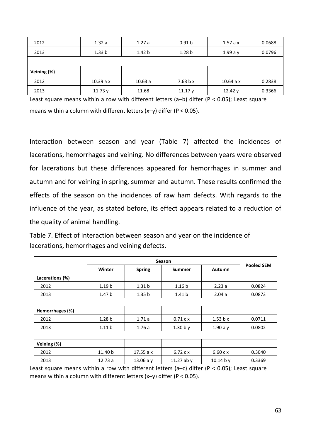| 2012        | 1.32a             | 1.27a             | 0.91 <sub>b</sub> | 1.57a x   | 0.0688 |
|-------------|-------------------|-------------------|-------------------|-----------|--------|
| 2013        | 1.33 <sub>b</sub> | 1.42 <sub>b</sub> | 1.28 <sub>b</sub> | $1.99a$ y | 0.0796 |
|             |                   |                   |                   |           |        |
| Veining (%) |                   |                   |                   |           |        |
| 2012        | 10.39a x          | 10.63a            | 7.63 b x          | 10.64a x  | 0.2838 |
| 2013        | 11.73y            | 11.68             | 11.17y            | 12.42y    | 0.3366 |

Least square means within a row with different letters (a–b) differ (P < 0.05); Least square means within a column with different letters (x–y) differ (P < 0.05).

Interaction between season and year (Table 7) affected the incidences of lacerations, hemorrhages and veining. No differences between years were observed for lacerations but these differences appeared for hemorrhages in summer and autumn and for veining in spring, summer and autumn. These results confirmed the effects of the season on the incidences of raw ham defects. With regards to the influence of the year, as stated before, its effect appears related to a reduction of the quality of animal handling.

Table 7. Effect of interaction between season and year on the incidence of lacerations, hemorrhages and veining defects.

|                 | Winter            | <b>Spring</b>     | <b>Summer</b>     | <b>Autumn</b> | <b>Pooled SEM</b> |  |
|-----------------|-------------------|-------------------|-------------------|---------------|-------------------|--|
| Lacerations (%) |                   |                   |                   |               |                   |  |
| 2012            | 1.19 <sub>b</sub> | 1.31 <sub>b</sub> | 1.16 <sub>b</sub> | 2.23a         | 0.0824            |  |
| 2013            | 1.47 <sub>b</sub> | 1.35 <sub>b</sub> | 1.41 <sub>b</sub> | 2.04a         | 0.0873            |  |
|                 |                   |                   |                   |               |                   |  |
| Hemorrhages (%) |                   |                   |                   |               |                   |  |
| 2012            | 1.28 <sub>b</sub> | 1.71a             | 0.71 c x          | 1.53 b x      | 0.0711            |  |
| 2013            | 1.11 <sub>b</sub> | 1.76a             | 1.30 b y          | 1.90a y       | 0.0802            |  |
|                 |                   |                   |                   |               |                   |  |
| Veining (%)     |                   |                   |                   |               |                   |  |
| 2012            | 11.40 b           | 17.55a x          | 6.72 c x          | 6.60c x       | 0.3040            |  |
| 2013            | 12.73a            | 13.06 a $y$       | 11.27 ab $y$      | 10.14 b y     | 0.3369            |  |

Least square means within a row with different letters (a-c) differ ( $P < 0.05$ ); Least square means within a column with different letters (x–y) differ (P < 0.05).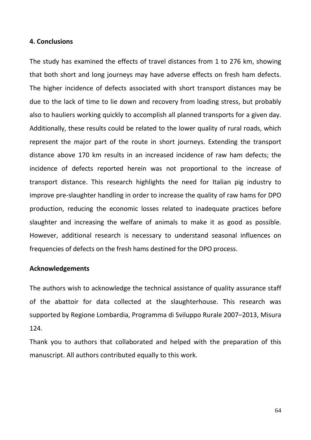#### **4. Conclusions**

The study has examined the effects of travel distances from 1 to 276 km, showing that both short and long journeys may have adverse effects on fresh ham defects. The higher incidence of defects associated with short transport distances may be due to the lack of time to lie down and recovery from loading stress, but probably also to hauliers working quickly to accomplish all planned transports for a given day. Additionally, these results could be related to the lower quality of rural roads, which represent the major part of the route in short journeys. Extending the transport distance above 170 km results in an increased incidence of raw ham defects; the incidence of defects reported herein was not proportional to the increase of transport distance. This research highlights the need for Italian pig industry to improve pre-slaughter handling in order to increase the quality of raw hams for DPO production, reducing the economic losses related to inadequate practices before slaughter and increasing the welfare of animals to make it as good as possible. However, additional research is necessary to understand seasonal influences on frequencies of defects on the fresh hams destined for the DPO process.

### **Acknowledgements**

The authors wish to acknowledge the technical assistance of quality assurance staff of the abattoir for data collected at the slaughterhouse. This research was supported by Regione Lombardia, Programma di Sviluppo Rurale 2007–2013, Misura 124.

Thank you to authors that collaborated and helped with the preparation of this manuscript. All authors contributed equally to this work.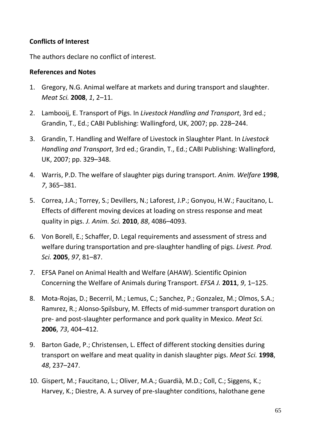# **Conflicts of Interest**

The authors declare no conflict of interest.

## **References and Notes**

- 1. Gregory, N.G. Animal welfare at markets and during transport and slaughter. *Meat Sci.* **2008**, *1*, 2–11.
- 2. Lambooij, E. Transport of Pigs. In *Livestock Handling and Transport*, 3rd ed.; Grandin, T., Ed.; CABI Publishing: Wallingford, UK, 2007; pp. 228–244.
- 3. Grandin, T. Handling and Welfare of Livestock in Slaughter Plant. In *Livestock Handling and Transport*, 3rd ed.; Grandin, T., Ed.; CABI Publishing: Wallingford, UK, 2007; pp. 329–348.
- 4. Warris, P.D. The welfare of slaughter pigs during transport. *Anim. Welfare* **1998**, *7*, 365–381.
- 5. Correa, J.A.; Torrey, S.; Devillers, N.; Laforest, J.P.; Gonyou, H.W.; Faucitano, L. Effects of different moving devices at loading on stress response and meat quality in pigs. *J. Anim. Sci.* **2010**, *88*, 4086–4093.
- 6. Von Borell, E.; Schaffer, D. Legal requirements and assessment of stress and welfare during transportation and pre-slaughter handling of pigs. *Livest. Prod. Sci.* **2005**, *97*, 81–87.
- 7. EFSA Panel on Animal Health and Welfare (AHAW). Scientific Opinion Concerning the Welfare of Animals during Transport. *EFSA J.* **2011**, *9*, 1–125.
- 8. Mota-Rojas, D.; Becerril, M.; Lemus, C.; Sanchez, P.; Gonzalez, M.; Olmos, S.A.; Ramırez, R.; Alonso-Spilsbury, M. Effects of mid-summer transport duration on pre- and post-slaughter performance and pork quality in Mexico. *Meat Sci.* **2006**, *73*, 404–412.
- 9. Barton Gade, P.; Christensen, L. Effect of different stocking densities during transport on welfare and meat quality in danish slaughter pigs. *Meat Sci.* **1998**, *48*, 237–247.
- 10. Gispert, M.; Faucitano, L.; Oliver, M.A.; Guardià, M.D.; Coll, C.; Siggens, K.; Harvey, K.; Diestre, A. A survey of pre-slaughter conditions, halothane gene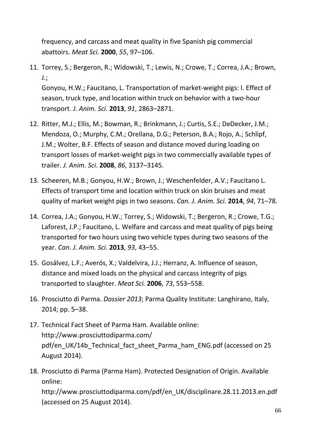frequency, and carcass and meat quality in five Spanish pig commercial abattoirs. *Meat Sci.* **2000**, *55*, 97–106.

11. Torrey, S.; Bergeron, R.; Widowski, T.; Lewis, N.; Crowe, T.; Correa, J.A.; Brown, J.; Gonyou, H.W.; Faucitano, L. Transportation of market-weight pigs: I. Effect of season, truck type, and location within truck on behavior with a two-hour

transport. *J. Anim. Sci.* **2013**, *91*, 2863–2871.

- 12. Ritter, M.J.; Ellis, M.; Bowman, R.; Brinkmann, J.; Curtis, S.E.; DeDecker, J.M.; Mendoza, O.; Murphy, C.M.; Orellana, D.G.; Peterson, B.A.; Rojo, A.; Schlipf, J.M.; Wolter, B.F. Effects of season and distance moved during loading on transport losses of market-weight pigs in two commercially available types of trailer. *J. Anim. Sci.* **2008**, *86*, 3137–3145.
- 13. Scheeren, M.B.; Gonyou, H.W.; Brown, J.; Weschenfelder, A.V.; Faucitano L. Effects of transport time and location within truck on skin bruises and meat quality of market weight pigs in two seasons. *Can. J. Anim. Sci.* **2014**, *94*, 71–78.
- 14. Correa, J.A.; Gonyou, H.W.; Torrey, S.; Widowski, T.; Bergeron, R.; Crowe, T.G.; Laforest, J.P.; Faucitano, L. Welfare and carcass and meat quality of pigs being transported for two hours using two vehicle types during two seasons of the year. *Can. J. Anim. Sci.* **2013**, *93*, 43–55.
- 15. Gosálvez, L.F.; Averós, X.; Valdelvira, J.J.; Herranz, A. Influence of season, distance and mixed loads on the physical and carcass integrity of pigs transported to slaughter. *Meat Sci.* **2006**, *73*, 553–558.
- 16. Prosciutto di Parma. *Dossier 2013*; Parma Quality Institute: Langhirano, Italy, 2014; pp. 5–38.
- 17. Technical Fact Sheet of Parma Ham. Available online: http://www.prosciuttodiparma.com/ pdf/en\_UK/14b\_Technical\_fact\_sheet\_Parma\_ham\_ENG.pdf (accessed on 25 August 2014).
- 18. Prosciutto di Parma (Parma Ham). Protected Designation of Origin. Available online: http://www.prosciuttodiparma.com/pdf/en\_UK/disciplinare.28.11.2013.en.pdf (accessed on 25 August 2014).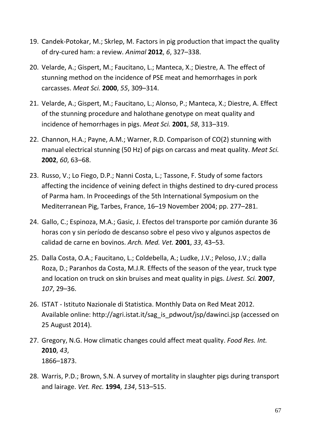- 19. Candek-Potokar, M.; Skrlep, M. Factors in pig production that impact the quality of dry-cured ham: a review. *Animal* **2012**, *6*, 327–338.
- 20. Velarde, A.; Gispert, M.; Faucitano, L.; Manteca, X.; Diestre, A. The effect of stunning method on the incidence of PSE meat and hemorrhages in pork carcasses. *Meat Sci.* **2000**, *55*, 309–314.
- 21. Velarde, A.; Gispert, M.; Faucitano, L.; Alonso, P.; Manteca, X.; Diestre, A. Effect of the stunning procedure and halothane genotype on meat quality and incidence of hemorrhages in pigs. *Meat Sci.* **2001**, *58*, 313–319.
- 22. Channon, H.A.; Payne, A.M.; Warner, R.D. Comparison of CO(2) stunning with manual electrical stunning (50 Hz) of pigs on carcass and meat quality. *Meat Sci.* **2002**, *60*, 63–68.
- 23. Russo, V.; Lo Fiego, D.P.; Nanni Costa, L.; Tassone, F. Study of some factors affecting the incidence of veining defect in thighs destined to dry-cured process of Parma ham. In Proceedings of the 5th International Symposium on the Mediterranean Pig, Tarbes, France, 16–19 November 2004; pp. 277–281.
- 24. Gallo, C.; Espinoza, M.A.; Gasic, J. Efectos del transporte por camión durante 36 horas con y sin período de descanso sobre el peso vivo y algunos aspectos de calidad de carne en bovinos. *Arch. Med. Vet.* **2001**, *33*, 43–53.
- 25. Dalla Costa, O.A.; Faucitano, L.; Coldebella, A.; Ludke, J.V.; Peloso, J.V.; dalla Roza, D.; Paranhos da Costa, M.J.R. Effects of the season of the year, truck type and location on truck on skin bruises and meat quality in pigs. *Livest. Sci.* **2007**, *107*, 29–36.
- 26. ISTAT Istituto Nazionale di Statistica. Monthly Data on Red Meat 2012. Available online: http://agri.istat.it/sag\_is\_pdwout/jsp/dawinci.jsp (accessed on 25 August 2014).
- 27. Gregory, N.G. How climatic changes could affect meat quality. *Food Res. Int.* **2010**, *43*, 1866–1873.
- 28. Warris, P.D.; Brown, S.N. A survey of mortality in slaughter pigs during transport and lairage. *Vet. Rec.* **1994**, *134*, 513–515.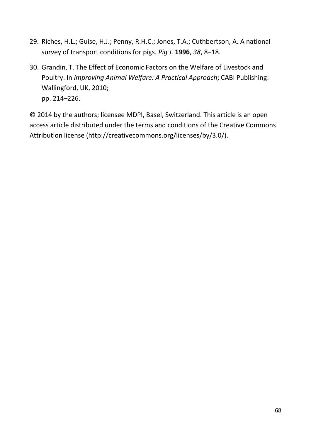- 29. Riches, H.L.; Guise, H.J.; Penny, R.H.C.; Jones, T.A.; Cuthbertson, A. A national survey of transport conditions for pigs. *Pig J.* **1996**, *38*, 8–18.
- 30. Grandin, T. The Effect of Economic Factors on the Welfare of Livestock and Poultry. In *Improving Animal Welfare: A Practical Approach*; CABI Publishing: Wallingford, UK, 2010; pp. 214–226.

© 2014 by the authors; licensee MDPI, Basel, Switzerland. This article is an open access article distributed under the terms and conditions of the Creative Commons Attribution license (http://creativecommons.org/licenses/by/3.0/).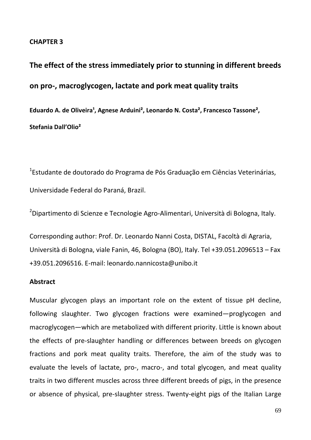#### **CHAPTER 3**

**The effect of the stress immediately prior to stunning in different breeds on pro-, macroglycogen, lactate and pork meat quality traits** Eduardo A. de Oliveira<sup>1</sup>, Agnese Arduini<sup>2</sup>, Leonardo N. Costa<sup>2</sup>, Francesco Tassone<sup>2</sup>, **Stefania Dall'Olio²**

1 Estudante de doutorado do Programa de Pós Graduação em Ciências Veterinárias, Universidade Federal do Paraná, Brazil.

<sup>2</sup>Dipartimento di Scienze e Tecnologie Agro-Alimentari, Università di Bologna, Italy.

Corresponding author: Prof. Dr. Leonardo Nanni Costa, DISTAL, Facoltà di Agraria, Università di Bologna, viale Fanin, 46, Bologna (BO), Italy. Tel +39.051.2096513 – Fax +39.051.2096516. E-mail: leonardo.nannicosta@unibo.it

#### **Abstract**

Muscular glycogen plays an important role on the extent of tissue pH decline, following slaughter. Two glycogen fractions were examined—proglycogen and macroglycogen—which are metabolized with different priority. Little is known about the effects of pre-slaughter handling or differences between breeds on glycogen fractions and pork meat quality traits. Therefore, the aim of the study was to evaluate the levels of lactate, pro-, macro-, and total glycogen, and meat quality traits in two different muscles across three different breeds of pigs, in the presence or absence of physical, pre-slaughter stress. Twenty-eight pigs of the Italian Large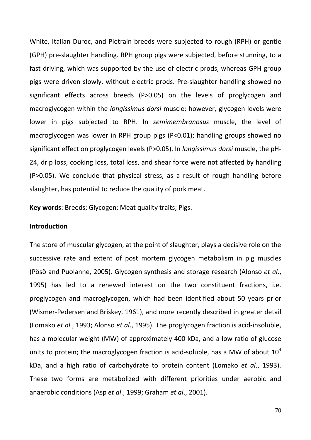White, Italian Duroc, and Pietrain breeds were subjected to rough (RPH) or gentle (GPH) pre-slaughter handling. RPH group pigs were subjected, before stunning, to a fast driving, which was supported by the use of electric prods, whereas GPH group pigs were driven slowly, without electric prods. Pre-slaughter handling showed no significant effects across breeds (P>0.05) on the levels of proglycogen and macroglycogen within the *longissimus dorsi* muscle; however, glycogen levels were lower in pigs subjected to RPH. In *semimembranosus* muscle, the level of macroglycogen was lower in RPH group pigs (P<0.01); handling groups showed no significant effect on proglycogen levels (P>0.05). In *longissimus dorsi* muscle, the pH-24, drip loss, cooking loss, total loss, and shear force were not affected by handling (P>0.05). We conclude that physical stress, as a result of rough handling before slaughter, has potential to reduce the quality of pork meat.

**Key words**: Breeds; Glycogen; Meat quality traits; Pigs.

#### **Introduction**

The store of muscular glycogen, at the point of slaughter, plays a decisive role on the successive rate and extent of post mortem glycogen metabolism in pig muscles (Pösö and Puolanne, 2005). Glycogen synthesis and storage research (Alonso *et al*., 1995) has led to a renewed interest on the two constituent fractions, i.e. proglycogen and macroglycogen, which had been identified about 50 years prior (Wismer-Pedersen and Briskey, 1961), and more recently described in greater detail (Lomako *et al.*, 1993; Alonso *et al*., 1995). The proglycogen fraction is acid-insoluble, has a molecular weight (MW) of approximately 400 kDa, and a low ratio of glucose units to protein; the macroglycogen fraction is acid-soluble, has a MW of about  $10^4$ kDa, and a high ratio of carbohydrate to protein content (Lomako *et al*., 1993). These two forms are metabolized with different priorities under aerobic and anaerobic conditions (Asp *et al*., 1999; Graham *et al*., 2001).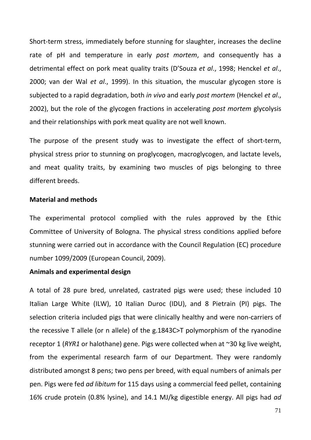Short-term stress, immediately before stunning for slaughter, increases the decline rate of pH and temperature in early *post mortem*, and consequently has a detrimental effect on pork meat quality traits (D'Souza *et al*., 1998; Henckel *et al*., 2000; van der Wal *et al*., 1999). In this situation, the muscular glycogen store is subjected to a rapid degradation, both *in vivo* and early *post mortem* (Henckel *et al*., 2002), but the role of the glycogen fractions in accelerating *post mortem* glycolysis and their relationships with pork meat quality are not well known.

The purpose of the present study was to investigate the effect of short-term, physical stress prior to stunning on proglycogen, macroglycogen, and lactate levels, and meat quality traits, by examining two muscles of pigs belonging to three different breeds.

#### **Material and methods**

The experimental protocol complied with the rules approved by the Ethic Committee of University of Bologna. The physical stress conditions applied before stunning were carried out in accordance with the Council Regulation (EC) procedure number 1099/2009 (European Council, 2009).

#### **Animals and experimental design**

A total of 28 pure bred, unrelated, castrated pigs were used; these included 10 Italian Large White (ILW), 10 Italian Duroc (IDU), and 8 Pietrain (PI) pigs. The selection criteria included pigs that were clinically healthy and were non-carriers of the recessive T allele (or n allele) of the g.1843C>T polymorphism of the ryanodine receptor 1 (*RYR1* or halothane) gene. Pigs were collected when at ~30 kg live weight, from the experimental research farm of our Department. They were randomly distributed amongst 8 pens; two pens per breed, with equal numbers of animals per pen. Pigs were fed *ad libitum* for 115 days using a commercial feed pellet, containing 16% crude protein (0.8% lysine), and 14.1 MJ/kg digestible energy. All pigs had *ad*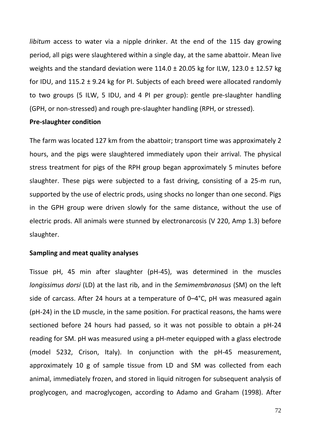*libitum* access to water via a nipple drinker. At the end of the 115 day growing period, all pigs were slaughtered within a single day, at the same abattoir. Mean live weights and the standard deviation were  $114.0 \pm 20.05$  kg for ILW,  $123.0 \pm 12.57$  kg for IDU, and 115.2 ± 9.24 kg for PI. Subjects of each breed were allocated randomly to two groups (5 ILW, 5 IDU, and 4 PI per group): gentle pre-slaughter handling (GPH, or non-stressed) and rough pre-slaughter handling (RPH, or stressed).

#### **Pre-slaughter condition**

The farm was located 127 km from the abattoir; transport time was approximately 2 hours, and the pigs were slaughtered immediately upon their arrival. The physical stress treatment for pigs of the RPH group began approximately 5 minutes before slaughter. These pigs were subjected to a fast driving, consisting of a 25-m run, supported by the use of electric prods, using shocks no longer than one second. Pigs in the GPH group were driven slowly for the same distance, without the use of electric prods. All animals were stunned by electronarcosis (V 220, Amp 1.3) before slaughter.

#### **Sampling and meat quality analyses**

Tissue pH, 45 min after slaughter (pH-45), was determined in the muscles *longissimus dorsi* (LD) at the last rib, and in the *Semimembranosus* (SM) on the left side of carcass. After 24 hours at a temperature of 0–4°C, pH was measured again (pH-24) in the LD muscle, in the same position. For practical reasons, the hams were sectioned before 24 hours had passed, so it was not possible to obtain a pH-24 reading for SM. pH was measured using a pH-meter equipped with a glass electrode (model 5232, Crison, Italy). In conjunction with the pH-45 measurement, approximately 10 g of sample tissue from LD and SM was collected from each animal, immediately frozen, and stored in liquid nitrogen for subsequent analysis of proglycogen, and macroglycogen, according to Adamo and Graham (1998). After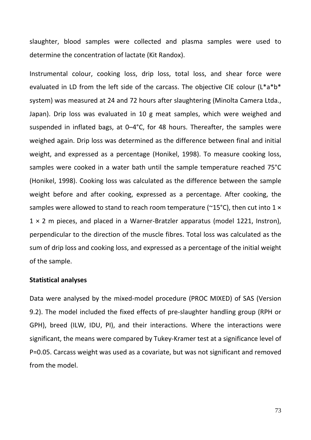slaughter, blood samples were collected and plasma samples were used to determine the concentration of lactate (Kit Randox).

Instrumental colour, cooking loss, drip loss, total loss, and shear force were evaluated in LD from the left side of the carcass. The objective CIE colour (L\*a\*b\* system) was measured at 24 and 72 hours after slaughtering (Minolta Camera Ltda., Japan). Drip loss was evaluated in 10 g meat samples, which were weighed and suspended in inflated bags, at 0–4°C, for 48 hours. Thereafter, the samples were weighed again. Drip loss was determined as the difference between final and initial weight, and expressed as a percentage (Honikel, 1998). To measure cooking loss, samples were cooked in a water bath until the sample temperature reached 75°C (Honikel, 1998). Cooking loss was calculated as the difference between the sample weight before and after cooking, expressed as a percentage. After cooking, the samples were allowed to stand to reach room temperature ( $\sim$ 15°C), then cut into 1  $\times$  $1 \times 2$  m pieces, and placed in a Warner-Bratzler apparatus (model 1221, Instron), perpendicular to the direction of the muscle fibres. Total loss was calculated as the sum of drip loss and cooking loss, and expressed as a percentage of the initial weight of the sample.

#### **Statistical analyses**

Data were analysed by the mixed-model procedure (PROC MIXED) of SAS (Version 9.2). The model included the fixed effects of pre-slaughter handling group (RPH or GPH), breed (ILW, IDU, PI), and their interactions. Where the interactions were significant, the means were compared by Tukey-Kramer test at a significance level of P=0.05. Carcass weight was used as a covariate, but was not significant and removed from the model.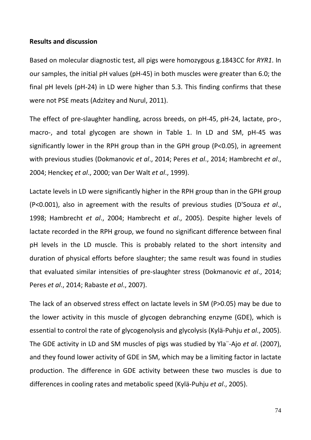### **Results and discussion**

Based on molecular diagnostic test, all pigs were homozygous g.1843CC for *RYR1*. In our samples, the initial pH values (pH-45) in both muscles were greater than 6.0; the final pH levels (pH-24) in LD were higher than 5.3. This finding confirms that these were not PSE meats (Adzitey and Nurul, 2011).

The effect of pre-slaughter handling, across breeds, on pH-45, pH-24, lactate, pro-, macro-, and total glycogen are shown in Table 1. In LD and SM, pH-45 was significantly lower in the RPH group than in the GPH group (P<0.05), in agreement with previous studies (Dokmanovic *et al*., 2014; Peres *et al*., 2014; Hambrecht *et al*., 2004; Henckeç *et al*., 2000; van Der Walt *et al*., 1999).

Lactate levels in LD were significantly higher in the RPH group than in the GPH group (P<0.001), also in agreement with the results of previous studies (D'Souza *et al*., 1998; Hambrecht *et al*., 2004; Hambrecht *et al*., 2005). Despite higher levels of lactate recorded in the RPH group, we found no significant difference between final pH levels in the LD muscle. This is probably related to the short intensity and duration of physical efforts before slaughter; the same result was found in studies that evaluated similar intensities of pre-slaughter stress (Dokmanovic *et al*., 2014; Peres *et al*., 2014; Rabaste *et al*., 2007).

The lack of an observed stress effect on lactate levels in SM (P>0.05) may be due to the lower activity in this muscle of glycogen debranching enzyme (GDE), which is essential to control the rate of glycogenolysis and glycolysis (Kylä-Puhju *et al*., 2005). The GDE activity in LD and SM muscles of pigs was studied by Yla¨-Ajo *et al*. (2007), and they found lower activity of GDE in SM, which may be a limiting factor in lactate production. The difference in GDE activity between these two muscles is due to differences in cooling rates and metabolic speed (Kylä-Puhju *et al*., 2005).

74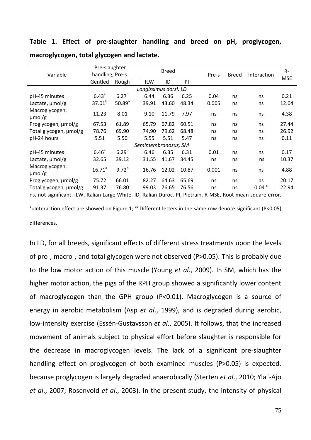### **Table 1. Effect of pre-slaughter handling and breed on pH, proglycogen,**

|                                                                                                                | Pre-slaughter    |                      |       | <b>Breed</b> |       |       | <b>Breed</b> | Interaction       | $R-$       |  |  |  |
|----------------------------------------------------------------------------------------------------------------|------------------|----------------------|-------|--------------|-------|-------|--------------|-------------------|------------|--|--|--|
| Variable                                                                                                       | handling, Pre-s. |                      |       |              |       |       |              |                   | <b>MSE</b> |  |  |  |
|                                                                                                                | Gentled          | Rough                | ILW   | ID           | PI    |       |              |                   |            |  |  |  |
| Longissimus dorsi, LD                                                                                          |                  |                      |       |              |       |       |              |                   |            |  |  |  |
| pH-45 minutes                                                                                                  | $6.43^{a}$       | $6.27^{b}$           | 6.44  | 6.36         | 6.25  | 0.04  | ns           | ns                | 0.21       |  |  |  |
| Lactate, $\mu$ mol/g                                                                                           | $37.01^{b}$      | $50.89$ <sup>a</sup> | 39.91 | 43.60        | 48.34 | 0.005 | ns           | ns                | 12.04      |  |  |  |
| Macroglycogen,<br>$\mu$ mol/g                                                                                  | 11.23            | 8.01                 | 9.10  | 11.79        | 7.97  | ns    | ns           | ns                | 4.38       |  |  |  |
| Proglycogen, µmol/g                                                                                            | 67.53            | 61.89                | 65.79 | 67.82        | 60.51 | ns    | ns           | ns                | 27.44      |  |  |  |
| Total glycogen, µmol/g                                                                                         | 78.76            | 69.90                | 74.90 | 79.62        | 68.48 | ns    | ns           | ns                | 26.92      |  |  |  |
| pH-24 hours                                                                                                    | 5.51             | 5.50                 | 5.55  | 5.51         | 5.47  | ns    | ns           | ns                | 0.11       |  |  |  |
| Semimembranosus, SM                                                                                            |                  |                      |       |              |       |       |              |                   |            |  |  |  |
| pH-45 minutes                                                                                                  | $6.46^{\circ}$   | $6.29^{b}$           | 6.46  | 6.35         | 6.31  | 0.01  | ns           | ns                | 0.17       |  |  |  |
| Lactate, $\mu$ mol/g                                                                                           | 32.65            | 39.12                | 31.55 | 41.67        | 34.45 | ns    | ns           | ns                | 10.37      |  |  |  |
| Macroglycogen,<br>$\mu$ mol/g                                                                                  | $16.71^{a}$      | $9.72^{b}$           | 16.76 | 12.02        | 10.87 | 0.001 | ns           | ns                | 4.88       |  |  |  |
| Proglycogen, µmol/g                                                                                            | 75.72            | 66.01                | 82.27 | 64.63        | 65.69 | ns    | ns           | ns                | 20.17      |  |  |  |
| Total glycogen, µmol/g                                                                                         | 91.37            | 76.80                | 99.03 | 76.65        | 76.56 | ns    | ns           | $0.04$ $^{\circ}$ | 22.94      |  |  |  |
| ns, not significant. ILW, Italian Large White. ID, Italian Duroc. PI, Pietrain. R-MSE, Root mean square error. |                  |                      |       |              |       |       |              |                   |            |  |  |  |

**macroglycogen, total glycogen and lactate.**

°=Interaction effect are showed on Figure 1;  $^{ab}$  Different letters in the same row denote significant (P<0.05) differences.

In LD, for all breeds, significant effects of different stress treatments upon the levels of pro-, macro-, and total glycogen were not observed (P>0.05). This is probably due to the low motor action of this muscle (Young *et al*., 2009). In SM, which has the higher motor action, the pigs of the RPH group showed a significantly lower content of macroglycogen than the GPH group (P<0.01). Macroglycogen is a source of energy in aerobic metabolism (Asp *et al*., 1999), and is degraded during aerobic, low-intensity exercise (Essén-Gustavsson *et al*., 2005). It follows, that the increased movement of animals subject to physical effort before slaughter is responsible for the decrease in macroglycogen levels. The lack of a significant pre-slaughter handling effect on proglycogen of both examined muscles (P>0.05) is expected, because proglycogen is largely degraded anaerobically (Sterten *et al*., 2010; Yla¨-Ajo *et al*., 2007; Rosenvold *et al*., 2003). In the present study, the intensity of physical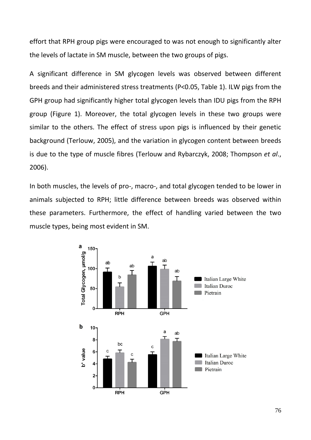effort that RPH group pigs were encouraged to was not enough to significantly alter the levels of lactate in SM muscle, between the two groups of pigs.

A significant difference in SM glycogen levels was observed between different breeds and their administered stress treatments (P<0.05, Table 1). ILW pigs from the GPH group had significantly higher total glycogen levels than IDU pigs from the RPH group (Figure 1). Moreover, the total glycogen levels in these two groups were similar to the others. The effect of stress upon pigs is influenced by their genetic background (Terlouw, 2005), and the variation in glycogen content between breeds is due to the type of muscle fibres (Terlouw and Rybarczyk, 2008; Thompson *et al*., 2006).

In both muscles, the levels of pro-, macro-, and total glycogen tended to be lower in animals subjected to RPH; little difference between breeds was observed within these parameters. Furthermore, the effect of handling varied between the two muscle types, being most evident in SM.

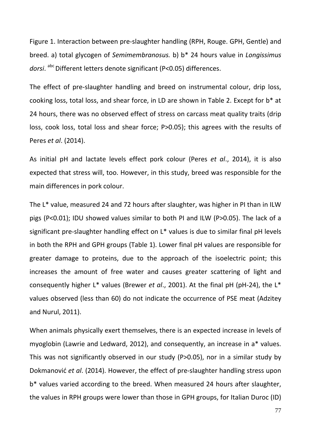Figure 1. Interaction between pre-slaughter handling (RPH, Rouge. GPH, Gentle) and breed. a) total glycogen of *Semimembranosus.* b) b\* 24 hours value in *Longissimus*  dorsi. abc Different letters denote significant (P<0.05) differences.

The effect of pre-slaughter handling and breed on instrumental colour, drip loss, cooking loss, total loss, and shear force, in LD are shown in Table 2. Except for b\* at 24 hours, there was no observed effect of stress on carcass meat quality traits (drip loss, cook loss, total loss and shear force; P>0.05); this agrees with the results of Peres *et al*. (2014).

As initial pH and lactate levels effect pork colour (Peres *et al*., 2014), it is also expected that stress will, too. However, in this study, breed was responsible for the main differences in pork colour.

The L\* value, measured 24 and 72 hours after slaughter, was higher in PI than in ILW pigs (P<0.01); IDU showed values similar to both PI and ILW (P>0.05). The lack of a significant pre-slaughter handling effect on L\* values is due to similar final pH levels in both the RPH and GPH groups (Table 1). Lower final pH values are responsible for greater damage to proteins, due to the approach of the isoelectric point; this increases the amount of free water and causes greater scattering of light and consequently higher L\* values (Brewer *et al*., 2001). At the final pH (pH-24), the L\* values observed (less than 60) do not indicate the occurrence of PSE meat (Adzitey and Nurul, 2011).

When animals physically exert themselves, there is an expected increase in levels of myoglobin (Lawrie and Ledward, 2012), and consequently, an increase in a\* values. This was not significantly observed in our study (P>0.05), nor in a similar study by Dokmanović *et al*. (2014). However, the effect of pre-slaughter handling stress upon b\* values varied according to the breed. When measured 24 hours after slaughter, the values in RPH groups were lower than those in GPH groups, for Italian Duroc (ID)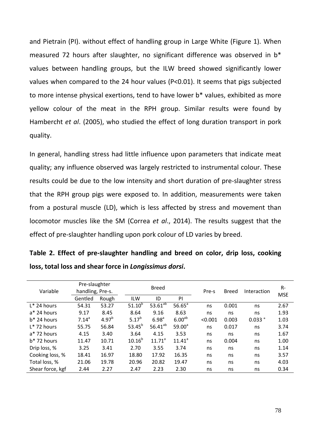and Pietrain (PI). without effect of handling group in Large White (Figure 1). When measured 72 hours after slaughter, no significant difference was observed in b\* values between handling groups, but the ILW breed showed significantly lower values when compared to the 24 hour values (P<0.01). It seems that pigs subjected to more intense physical exertions, tend to have lower b\* values, exhibited as more yellow colour of the meat in the RPH group. Similar results were found by Hambercht *et al*. (2005), who studied the effect of long duration transport in pork quality.

In general, handling stress had little influence upon parameters that indicate meat quality; any influence observed was largely restricted to instrumental colour. These results could be due to the low intensity and short duration of pre-slaughter stress that the RPH group pigs were exposed to. In addition, measurements were taken from a postural muscle (LD), which is less affected by stress and movement than locomotor muscles like the SM (Correa *et al*., 2014). The results suggest that the effect of pre-slaughter handling upon pork colour of LD varies by breed.

|  |  | Table 2. Effect of pre-slaughter handling and breed on color, drip loss, cooking |  |  |  |  |
|--|--|----------------------------------------------------------------------------------|--|--|--|--|
|  |  | loss, total loss and shear force in Longissimus dorsi.                           |  |  |  |  |

| Variable         | Pre-slaughter<br>handling, Pre-s. |            |             | <b>Breed</b> |                    |         | <b>Breed</b> | Interaction        | $R-$       |
|------------------|-----------------------------------|------------|-------------|--------------|--------------------|---------|--------------|--------------------|------------|
|                  | Gentled                           | Rough      | <b>ILW</b>  | ID           | PI                 |         |              |                    | <b>MSE</b> |
| $L^*$ 24 hours   | 54.31                             | 53.27      | $51.10^{b}$ | $53.61^{ab}$ | $56.65^a$          | ns      | 0.001        | ns                 | 2.67       |
| a* 24 hours      | 9.17                              | 8.45       | 8.64        | 9.16         | 8.63               | ns      | ns           | ns                 | 1.93       |
| $b*$ 24 hours    | $7.14^a$                          | $4.97^{b}$ | $5.17^{b}$  | $6.98^{a}$   | 6.00 <sup>ab</sup> | < 0.001 | 0.003        | $0.033$ $^{\circ}$ | 1.03       |
| $L^*$ 72 hours   | 55.75                             | 56.84      | $53.45^{b}$ | $56.41^{ab}$ | $59.00^a$          | ns      | 0.017        | ns                 | 3.74       |
| $a*$ 72 hours    | 4.15                              | 3.40       | 3.64        | 4.15         | 3.53               | ns      | ns           | ns                 | 1.67       |
| $b*$ 72 hours    | 11.47                             | 10.71      | $10.16^{b}$ | $11.71^a$    | $11.41^a$          | ns      | 0.004        | ns                 | 1.00       |
| Drip loss, %     | 3.25                              | 3.41       | 2.70        | 3.55         | 3.74               | ns      | ns           | ns                 | 1.14       |
| Cooking loss, %  | 18.41                             | 16.97      | 18.80       | 17.92        | 16.35              | ns      | ns           | ns                 | 3.57       |
| Total loss, %    | 21.06                             | 19.78      | 20.96       | 20.82        | 19.47              | ns      | ns           | ns                 | 4.03       |
| Shear force, kgf | 2.44                              | 2.27       | 2.47        | 2.23         | 2.30               | ns      | ns           | ns                 | 0.34       |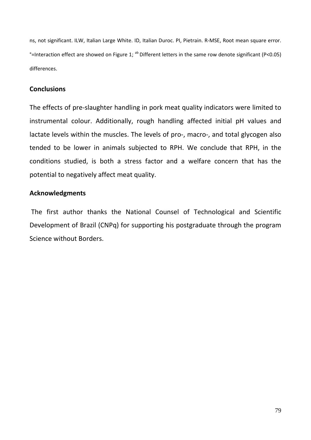ns, not significant. ILW, Italian Large White. ID, Italian Duroc. PI, Pietrain. R-MSE, Root mean square error. °=Interaction effect are showed on Figure 1;  $^{ab}$  Different letters in the same row denote significant (P<0.05) differences.

# **Conclusions**

The effects of pre-slaughter handling in pork meat quality indicators were limited to instrumental colour. Additionally, rough handling affected initial pH values and lactate levels within the muscles. The levels of pro-, macro-, and total glycogen also tended to be lower in animals subjected to RPH. We conclude that RPH, in the conditions studied, is both a stress factor and a welfare concern that has the potential to negatively affect meat quality.

# **Acknowledgments**

The first author thanks the National Counsel of Technological and Scientific Development of Brazil (CNPq) for supporting his postgraduate through the program Science without Borders.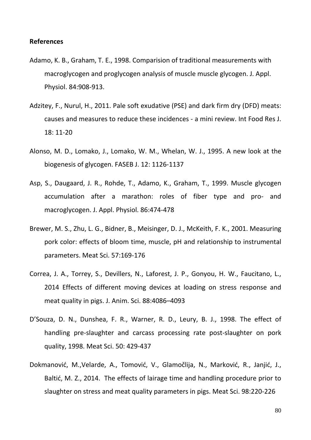### **References**

- Adamo, K. B., Graham, T. E., 1998. Comparision of traditional measurements with macroglycogen and proglycogen analysis of muscle muscle glycogen. J. Appl. Physiol. 84:908-913.
- Adzitey, F., Nurul, H., 2011. Pale soft exudative (PSE) and dark firm dry (DFD) meats: causes and measures to reduce these incidences - a mini review. Int Food Res J. 18: 11-20
- Alonso, M. D., Lomako, J., Lomako, W. M., Whelan, W. J., 1995. A new look at the biogenesis of glycogen. FASEB J. 12: 1126-1137
- Asp, S., Daugaard, J. R., Rohde, T., Adamo, K., Graham, T., 1999. Muscle glycogen accumulation after a marathon: roles of fiber type and pro- and macroglycogen. J. Appl. Physiol. 86:474-478
- Brewer, M. S., Zhu, L. G., Bidner, B., Meisinger, D. J., McKeith, F. K., 2001. Measuring pork color: effects of bloom time, muscle, pH and relationship to instrumental parameters. Meat Sci. 57:169-176
- Correa, J. A., Torrey, S., Devillers, N., Laforest, J. P., Gonyou, H. W., Faucitano, L., 2014 Effects of different moving devices at loading on stress response and meat quality in pigs. J. Anim. Sci. 88:4086–4093
- D'Souza, D. N., Dunshea, F. R., Warner, R. D., Leury, B. J., 1998. The effect of handling pre-slaughter and carcass processing rate post-slaughter on pork quality, 1998. Meat Sci. 50: 429-437
- Dokmanović, M.,Velarde, A., Tomović, V., Glamočlija, N., Marković, R., Janjić, J., Baltić, M. Z., 2014. The effects of lairage time and handling procedure prior to slaughter on stress and meat quality parameters in pigs. Meat Sci. 98:220-226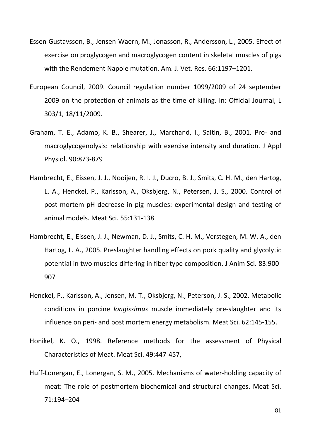- Essen-Gustavsson, B., Jensen-Waern, M., Jonasson, R., Andersson, L., 2005. Effect of exercise on proglycogen and macroglycogen content in skeletal muscles of pigs with the Rendement Napole mutation. Am. J. Vet. Res. 66:1197–1201.
- European Council, 2009. Council regulation number 1099/2009 of 24 september 2009 on the protection of animals as the time of killing. In: Official Journal, L 303/1, 18/11/2009.
- Graham, T. E., Adamo, K. B., Shearer, J., Marchand, I., Saltin, B., 2001. Pro- and macroglycogenolysis: relationship with exercise intensity and duration. J Appl Physiol. 90:873-879
- Hambrecht, E., Eissen, J. J., Nooijen, R. I. J., Ducro, B. J., Smits, C. H. M., den Hartog, L. A., Henckel, P., Karlsson, A., Oksbjerg, N., Petersen, J. S., 2000. Control of post mortem pH decrease in pig muscles: experimental design and testing of animal models. Meat Sci. 55:131-138.
- Hambrecht, E., Eissen, J. J., Newman, D. J., Smits, C. H. M., Verstegen, M. W. A., den Hartog, L. A., 2005. Preslaughter handling effects on pork quality and glycolytic potential in two muscles differing in fiber type composition. J Anim Sci. 83:900- 907
- Henckel, P., Karlsson, A., Jensen, M. T., Oksbjerg, N., Peterson, J. S., 2002. Metabolic conditions in porcine *longissimus* muscle immediately pre-slaughter and its influence on peri- and post mortem energy metabolism. Meat Sci. 62:145-155.
- Honikel, K. O., 1998. Reference methods for the assessment of Physical Characteristics of Meat. Meat Sci. 49:447-457,
- Huff-Lonergan, E., Lonergan, S. M., 2005. Mechanisms of water-holding capacity of meat: The role of postmortem biochemical and structural changes. Meat Sci. 71:194–204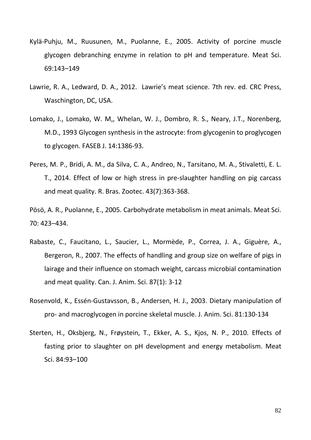- Kylä-Puhju, M., Ruusunen, M., Puolanne, E., 2005. Activity of porcine muscle glycogen debranching enzyme in relation to pH and temperature. Meat Sci. 69:143–149
- Lawrie, R. A., Ledward, D. A., 2012. Lawrie's meat science. 7th rev. ed. CRC Press, Waschington, DC, USA.
- Lomako, J., Lomako, W. M,, Whelan, W. J., Dombro, R. S., Neary, J.T., Norenberg, M.D., 1993 Glycogen synthesis in the astrocyte: from glycogenin to proglycogen to glycogen. FASEB J. 14:1386-93.
- Peres, M. P., Bridi, A. M., da Silva, C. A., Andreo, N., Tarsitano, M. A., Stivaletti, E. L. T., 2014. Effect of low or high stress in pre-slaughter handling on pig carcass and meat quality. R. Bras. Zootec. 43(7):363-368.
- Pösö, A. R., Puolanne, E., 2005. Carbohydrate metabolism in meat animals. Meat Sci. 70: 423–434.
- Rabaste, C., Faucitano, L., Saucier, L., Mormède, P., Correa, J. A., Giguère, A., Bergeron, R., 2007. The effects of handling and group size on welfare of pigs in lairage and their influence on stomach weight, carcass microbial contamination and meat quality. Can. J. Anim. Sci. 87(1): 3-12
- Rosenvold, K., Essén-Gustavsson, B., Andersen, H. J., 2003. Dietary manipulation of pro- and macroglycogen in porcine skeletal muscle. J. Anim. Sci. 81:130-134
- Sterten, H., Oksbjerg, N., Frøystein, T., Ekker, A. S., Kjos, N. P., 2010. Effects of fasting prior to slaughter on pH development and energy metabolism. Meat Sci. 84:93–100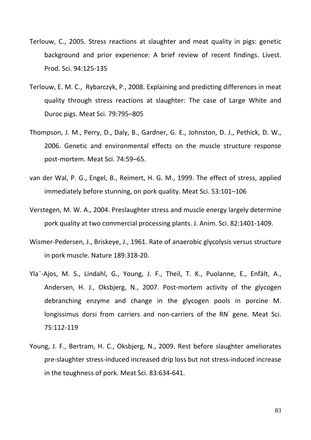- Terlouw, C., 2005. Stress reactions at slaughter and meat quality in pigs: genetic background and prior experience: A brief review of recent findings. Livest. Prod. Sci. 94:125-135
- Terlouw, E. M. C., Rybarczyk, P., 2008. Explaining and predicting differences in meat quality through stress reactions at slaughter: The case of Large White and Duroc pigs. Meat Sci. 79:795–805
- Thompson, J. M., Perry, D., Daly, B., Gardner, G. E., Johnston, D. J., Pethick, D. W., 2006. Genetic and environmental effects on the muscle structure response post-mortem. Meat Sci. 74:59–65.
- van der Wal, P. G., Engel, B., Reimert, H. G. M., 1999. The effect of stress, applied immediately before stunning, on pork quality. Meat Sci. 53:101–106
- Verstegen, M. W. A., 2004. Preslaughter stress and muscle energy largely determine pork quality at two commercial processing plants. J. Anim. Sci. 82:1401-1409.
- Wismer-Pedersen, J., Briskeye, J., 1961. Rate of anaerobic glycolysis versus structure in pork muscle. Nature 189:318-20.
- Yla¨-Ajos, M. S., Lindahl, G., Young, J. F., Theil, T. K., Puolanne, E., Enfält, A., Andersen, H. J., Oksbjerg, N., 2007. Post-mortem activity of the glycogen debranching enzyme and change in the glycogen pools in porcine M. longissimus dorsi from carriers and non-carriers of the RN gene. Meat Sci. 75:112-119
- Young, J. F., Bertram, H. C., Oksbjerg, N., 2009. Rest before slaughter ameliorates pre-slaughter stress-induced increased drip loss but not stress-induced increase in the toughness of pork. Meat Sci. 83:634-641.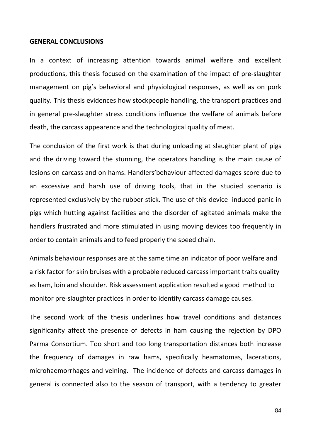#### **GENERAL CONCLUSIONS**

In a context of increasing attention towards animal welfare and excellent productions, this thesis focused on the examination of the impact of pre-slaughter management on pig's behavioral and physiological responses, as well as on pork quality. This thesis evidences how stockpeople handling, the transport practices and in general pre-slaughter stress conditions influence the welfare of animals before death, the carcass appearence and the technological quality of meat.

The conclusion of the first work is that during unloading at slaughter plant of pigs and the driving toward the stunning, the operators handling is the main cause of lesions on carcass and on hams. Handlers'behaviour affected damages score due to an excessive and harsh use of driving tools, that in the studied scenario is represented exclusively by the rubber stick. The use of this device induced panic in pigs which hutting against facilities and the disorder of agitated animals make the handlers frustrated and more stimulated in using moving devices too frequently in order to contain animals and to feed properly the speed chain.

Animals behaviour responses are at the same time an indicator of poor welfare and a risk factor for skin bruises with a probable reduced carcass important traits quality as ham, loin and shoulder. Risk assessment application resulted a good method to monitor pre-slaughter practices in order to identify carcass damage causes.

The second work of the thesis underlines how travel conditions and distances significanlty affect the presence of defects in ham causing the rejection by DPO Parma Consortium. Too short and too long transportation distances both increase the frequency of damages in raw hams, specifically heamatomas, lacerations, microhaemorrhages and veining. The incidence of defects and carcass damages in general is connected also to the season of transport, with a tendency to greater

84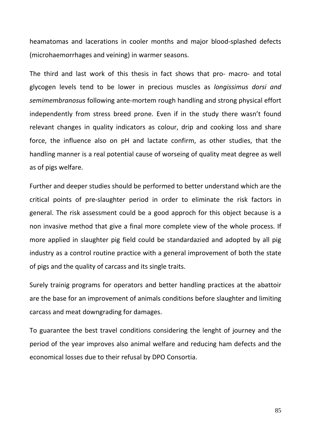heamatomas and lacerations in cooler months and major blood-splashed defects (microhaemorrhages and veining) in warmer seasons.

The third and last work of this thesis in fact shows that pro- macro- and total glycogen levels tend to be lower in precious muscles as *longissimus dorsi and semimembranosus* following ante-mortem rough handling and strong physical effort independently from stress breed prone. Even if in the study there wasn't found relevant changes in quality indicators as colour, drip and cooking loss and share force, the influence also on pH and lactate confirm, as other studies, that the handling manner is a real potential cause of worseing of quality meat degree as well as of pigs welfare.

Further and deeper studies should be performed to better understand which are the critical points of pre-slaughter period in order to eliminate the risk factors in general. The risk assessment could be a good approch for this object because is a non invasive method that give a final more complete view of the whole process. If more applied in slaughter pig field could be standardazied and adopted by all pig industry as a control routine practice with a general improvement of both the state of pigs and the quality of carcass and its single traits.

Surely trainig programs for operators and better handling practices at the abattoir are the base for an improvement of animals conditions before slaughter and limiting carcass and meat downgrading for damages.

To guarantee the best travel conditions considering the lenght of journey and the period of the year improves also animal welfare and reducing ham defects and the economical losses due to their refusal by DPO Consortia.

85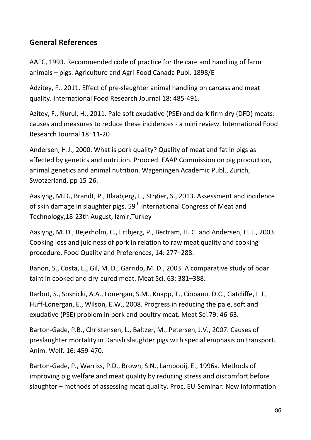# **General References**

AAFC, 1993. Recommended code of practice for the care and handling of farm animals – pigs. Agriculture and Agri-Food Canada Publ. 1898/E

Adzitey, F., 2011. Effect of pre-slaughter animal handling on carcass and meat quality. International Food Research Journal 18: 485-491.

Azitey, F., Nurul, H., 2011. Pale soft exudative (PSE) and dark firm dry (DFD) meats: causes and measures to reduce these incidences - a mini review. International Food Research Journal 18: 11-20

Andersen, H.J., 2000. What is pork quality? Quality of meat and fat in pigs as affected by genetics and nutrition. Prooced. EAAP Commission on pig production, animal genetics and animal nutrition. Wageningen Academic Publ., Zurich, Swotzerland, pp 15-26.

Aaslyng, M.D., Brandt, P., Blaabjerg, L., Strøier, S., 2013. Assessment and incidence of skin damage in slaughter pigs.  $59<sup>th</sup>$  International Congress of Meat and Technology,18-23th August, Izmir,Turkey

Aaslyng, M. D., Bejerholm, C., Ertbjerg, P., Bertram, H. C. and Andersen, H. J., 2003. Cooking loss and juiciness of pork in relation to raw meat quality and cooking procedure. Food Quality and Preferences, 14: 277–288.

Banon, S., Costa, E., Gil, M. D., Garrido, M. D., 2003. A comparative study of boar taint in cooked and dry-cured meat. Meat Sci. 63: 381–388.

Barbut, S., Sosnicki, A.A., Lonergan, S.M., Knapp, T., Ciobanu, D.C., Gatcliffe, L.J., Huff-Lonergan, E., Wilson, E.W., 2008. Progress in reducing the pale, soft and exudative (PSE) problem in pork and poultry meat. Meat Sci.79: 46-63.

Barton-Gade, P.B., Christensen, L., Baltzer, M., Petersen, J.V., 2007. Causes of preslaughter mortality in Danish slaughter pigs with special emphasis on transport. Anim. Welf. 16: 459-470.

Barton-Gade, P., Warriss, P.D., Brown, S.N., Lambooij, E., 1996a. Methods of improving pig welfare and meat quality by reducing stress and discomfort before slaughter – methods of assessing meat quality. Proc. EU-Seminar: New information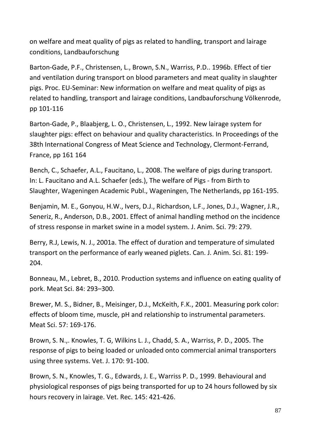on welfare and meat quality of pigs as related to handling, transport and lairage conditions, Landbauforschung

Barton-Gade, P.F., Christensen, L., Brown, S.N., Warriss, P.D.. 1996b. Effect of tier and ventilation during transport on blood parameters and meat quality in slaughter pigs. Proc. EU-Seminar: New information on welfare and meat quality of pigs as related to handling, transport and lairage conditions, Landbauforschung Völkenrode, pp 101-116

Barton-Gade, P., Blaabjerg, L. O., Christensen, L., 1992. New lairage system for slaughter pigs: effect on behaviour and quality characteristics. In Proceedings of the 38th International Congress of Meat Science and Technology, Clermont-Ferrand, France, pp 161 164

Bench, C., Schaefer, A.L., Faucitano, L., 2008. The welfare of pigs during transport. In: L. Faucitano and A.L. Schaefer (eds.), The welfare of Pigs - from Birth to Slaughter, Wageningen Academic Publ., Wageningen, The Netherlands, pp 161-195.

Benjamin, M. E., Gonyou, H.W., Ivers, D.J., Richardson, L.F., Jones, D.J., Wagner, J.R., Seneriz, R., Anderson, D.B., 2001. Effect of animal handling method on the incidence of stress response in market swine in a model system. J. Anim. Sci. 79: 279.

Berry, R.J, Lewis, N. J., 2001a. The effect of duration and temperature of simulated transport on the performance of early weaned piglets. Can. J. Anim. Sci. 81: 199- 204.

Bonneau, M., Lebret, B., 2010. Production systems and influence on eating quality of pork. Meat Sci. 84: 293–300.

Brewer, M. S., Bidner, B., Meisinger, D.J., McKeith, F.K., 2001. Measuring pork color: effects of bloom time, muscle, pH and relationship to instrumental parameters. Meat Sci. 57: 169-176.

Brown, S. N.,. Knowles, T. G, Wilkins L. J., Chadd, S. A., Warriss, P. D., 2005. The response of pigs to being loaded or unloaded onto commercial animal transporters using three systems. Vet. J. 170: 91-100.

Brown, S. N., Knowles, T. G., Edwards, J. E., Warriss P. D., 1999. Behavioural and physiological responses of pigs being transported for up to 24 hours followed by six hours recovery in lairage. Vet. Rec. 145: 421-426.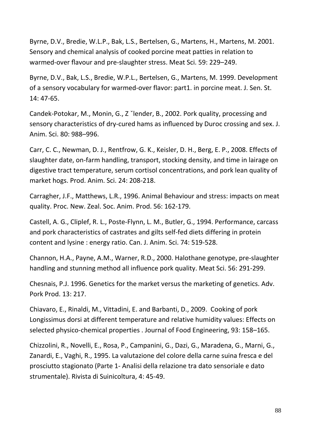Byrne, D.V., Bredie, W.L.P., Bak, L.S., Bertelsen, G., Martens, H., Martens, M. 2001. Sensory and chemical analysis of cooked porcine meat patties in relation to warmed-over flavour and pre-slaughter stress. Meat Sci. 59: 229–249.

Byrne, D.V., Bak, L.S., Bredie, W.P.L., Bertelsen, G., Martens, M. 1999. Development of a sensory vocabulary for warmed-over flavor: part1. in porcine meat. J. Sen. St. 14: 47-65.

Candek-Potokar, M., Monin, G., Z ˇlender, B., 2002. Pork quality, processing and sensory characteristics of dry-cured hams as influenced by Duroc crossing and sex. J. Anim. Sci. 80: 988–996.

Carr, C. C., Newman, D. J., Rentfrow, G. K., Keisler, D. H., Berg, E. P., 2008. Effects of slaughter date, on-farm handling, transport, stocking density, and time in lairage on digestive tract temperature, serum cortisol concentrations, and pork lean quality of market hogs. Prod. Anim. Sci. 24: 208-218.

Carragher, J.F., Matthews, L.R., 1996. Animal Behaviour and stress: impacts on meat quality. Proc. New. Zeal. Soc. Anim. Prod. 56: 162-179.

Castell, A. G., Cliplef, R. L., Poste-Flynn, L. M., Butler, G., 1994. Performance, carcass and pork characteristics of castrates and gilts self-fed diets differing in protein content and lysine : energy ratio. Can. J. Anim. Sci. 74: 519-528.

Channon, H.A., Payne, A.M., Warner, R.D., 2000. Halothane genotype, pre-slaughter handling and stunning method all influence pork quality. Meat Sci. 56: 291-299.

Chesnais, P.J. 1996. Genetics for the market versus the marketing of genetics. Adv. Pork Prod. 13: 217.

Chiavaro, E., Rinaldi, M., Vittadini, E. and Barbanti, D., 2009. Cooking of pork Longissimus dorsi at different temperature and relative humidity values: Effects on selected physico-chemical properties . Journal of Food Engineering, 93: 158–165.

Chizzolini, R., Novelli, E., Rosa, P., Campanini, G., Dazi, G., Maradena, G., Marni, G., Zanardi, E., Vaghi, R., 1995. La valutazione del colore della carne suina fresca e del prosciutto stagionato (Parte 1- Analisi della relazione tra dato sensoriale e dato strumentale). Rivista di Suinicoltura, 4: 45-49.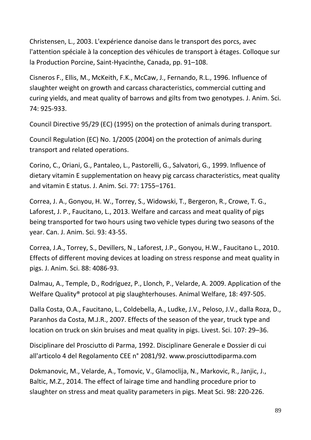Christensen, L., 2003. L'expérience danoise dans le transport des porcs, avec l'attention spéciale à la conception des véhicules de transport à étages. Colloque sur la Production Porcine, Saint-Hyacinthe, Canada, pp. 91–108.

Cisneros F., Ellis, M., McKeith, F.K., McCaw, J., Fernando, R.L., 1996. Influence of slaughter weight on growth and carcass characteristics, commercial cutting and curing yields, and meat quality of barrows and gilts from two genotypes. J. Anim. Sci. 74: 925-933.

Council Directive 95/29 (EC) (1995) on the protection of animals during transport.

Council Regulation (EC) No. 1/2005 (2004) on the protection of animals during transport and related operations.

Corino, C., Oriani, G., Pantaleo, L., Pastorelli, G., Salvatori, G., 1999. Influence of dietary vitamin E supplementation on heavy pig carcass characteristics, meat quality and vitamin E status. J. Anim. Sci. 77: 1755–1761.

Correa, J. A., Gonyou, H. W., Torrey, S., Widowski, T., Bergeron, R., Crowe, T. G., Laforest, J. P., Faucitano, L., 2013. Welfare and carcass and meat quality of pigs being transported for two hours using two vehicle types during two seasons of the year. Can. J. Anim. Sci. 93: 43-55.

Correa, J.A., Torrey, S., Devillers, N., Laforest, J.P., Gonyou, H.W., Faucitano L., 2010. Effects of different moving devices at loading on stress response and meat quality in pigs. J. Anim. Sci. 88: 4086-93.

Dalmau, A., Temple, D., Rodríguez, P., Llonch, P., Velarde, A. 2009. Application of the Welfare Quality® protocol at pig slaughterhouses. Animal Welfare, 18: 497-505.

Dalla Costa, O.A., Faucitano, L., Coldebella, A., Ludke, J.V., Peloso, J.V., dalla Roza, D., Paranhos da Costa, M.J.R., 2007. Effects of the season of the year, truck type and location on truck on skin bruises and meat quality in pigs. Livest. Sci. 107: 29–36.

Disciplinare del Prosciutto di Parma, 1992. Disciplinare Generale e Dossier di cui all'articolo 4 del Regolamento CEE n° 2081/92. www.prosciuttodiparma.com

Dokmanovic, M., Velarde, A., Tomovic, V., Glamoclija, N., Markovic, R., Janjic, J., Baltic, M.Z., 2014. The effect of lairage time and handling procedure prior to slaughter on stress and meat quality parameters in pigs. Meat Sci. 98: 220-226.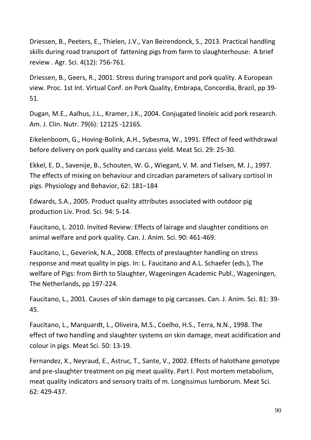Driessen, B., Peeters, E., Thielen, J.V., Van Beirendonck, S., 2013. Practical handling skills during road transport of fattening pigs from farm to slaughterhouse: A brief review . Agr. Sci. 4(12): 756-761.

Driessen, B., Geers, R., 2001. Stress during transport and pork quality. A European view. Proc. 1st Int. Virtual Conf. on Pork Quality, Embrapa, Concordia, Brazil, pp 39- 51.

[Dugan, M.E.](http://www.ncbi.nlm.nih.gov/pubmed/?term=Dugan%20ME%5BAuthor%5D&cauthor=true&cauthor_uid=15159259), [Aalhus, J.L.](http://www.ncbi.nlm.nih.gov/pubmed/?term=Aalhus%20JL%5BAuthor%5D&cauthor=true&cauthor_uid=15159259), [Kramer, J.K.](http://www.ncbi.nlm.nih.gov/pubmed/?term=Kramer%20JK%5BAuthor%5D&cauthor=true&cauthor_uid=15159259), 2004. Conjugated linoleic acid pork research. [Am. J. Clin. Nutr.](http://www.ncbi.nlm.nih.gov/pubmed/15159259) 79(6): 1212S -1216S.

Eikelenboom, G., Hoving-Bolink, A.H., Sybesma, W., 1991. Effect of feed withdrawal before delivery on pork quality and carcass yield. Meat Sci. 29: 25-30.

Ekkel, E. D., Savenije, B., Schouten, W. G., Wiegant, V. M. and Tielsen, M. J., 1997. The effects of mixing on behaviour and circadian parameters of salivary cortisol in pigs. Physiology and Behavior, 62: 181–184

Edwards, S.A., 2005. Product quality attributes associated with outdoor pig production Liv. Prod. Sci. 94: 5-14.

Faucitano, L. 2010. Invited Review: Effects of lairage and slaughter conditions on animal welfare and pork quality. Can. J. Anim. Sci. 90: 461-469.

Faucitano, L., Geverink, N.A., 2008. Effects of preslaughter handling on stress response and meat quality in pigs. In: L. Faucitano and A.L. Schaefer (eds.), The welfare of Pigs: from Birth to Slaughter, Wageningen Academic Publ., Wageningen, The Netherlands, pp 197-224.

Faucitano, L., 2001. Causes of skin damage to pig carcasses. Can. J. Anim. Sci. 81: 39- 45.

Faucitano, L., Marquardt, L., Oliveira, M.S., Coelho, H.S., Terra, N.N., 1998. The effect of two handling and slaughter systems on skin damage, meat acidification and colour in pigs. Meat Sci. 50: 13-19.

Fernandez, X., Neyraud, E., Astruc, T., Sante, V., 2002. Effects of halothane genotype and pre-slaughter treatment on pig meat quality. Part I. Post mortem metabolism, meat quality indicators and sensory traits of m. Longissimus lumborum. Meat Sci. 62: 429-437.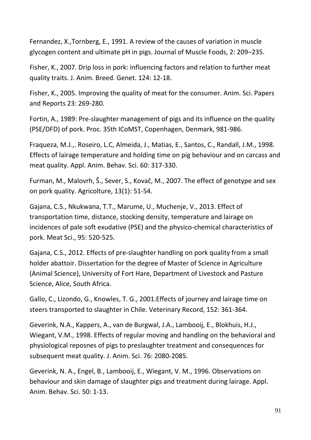Fernandez, X.,Tornberg, E., 1991. A review of the causes of variation in muscle glycogen content and ultimate pH in pigs. Journal of Muscle Foods, 2: 209–235.

Fisher, K., 2007. Drip loss in pork: influencing factors and relation to further meat quality traits. J. Anim. Breed. Genet. 124: 12-18.

Fisher, K., 2005. Improving the quality of meat for the consumer. Anim. Sci. Papers and Reports 23: 269-280.

Fortin, A., 1989: Pre-slaughter management of pigs and its influence on the quality (PSE/DFD) of pork. Proc. 35th ICoMST, Copenhagen, Denmark, 981-986.

Fraqueza, M.J.,. Roseiro, L.C, Almeida, J., Matias, E., Santos, C., Randall, J.M., 1998. Effects of lairage temperature and holding time on pig behaviour and on carcass and meat quality. Appl. Anim. Behav. Sci. 60: 317-330.

Furman, M., Malovrh, Š., Sever, S., Kovač, M., 2007. The effect of genotype and sex on pork quality. Agricolture, 13(1): 51-54.

Gajana, C.S., Nkukwana, T.T., Marume, U., Muchenje, V., 2013. Effect of transportation time, distance, stocking density, temperature and lairage on incidences of pale soft exudative (PSE) and the physico-chemical characteristics of pork. Meat Sci., 95: 520-525.

Gajana, C.S., 2012. Effects of pre-slaughter handling on pork quality from a small holder abattoir. Dissertation for the degree of Master of Science in Agriculture (Animal Science), University of Fort Hare, Department of Livestock and Pasture Science, Alice, South Africa.

Gallo, C., Lizondo, G., Knowles, T. G., 2001.Effects of journey and lairage time on steers transported to slaughter in Chile. Veterinary Record, 152: 361-364.

Geverink, N.A., Kappers, A., van de Burgwal, J.A., Lambooij, E., Blokhuis, H.J., Wiegant, V.M., 1998. Effects of regular moving and handling on the behavioral and physiological reposnes of pigs to preslaughter treatment and consequences for subsequent meat quality. J. Anim. Sci. 76: 2080-2085.

Geverink, N. A., Engel, B., Lambooij, E., Wiegant, V. M., 1996. Observations on behaviour and skin damage of slaughter pigs and treatment during lairage. Appl. Anim. Behav. Sci. 50: 1-13.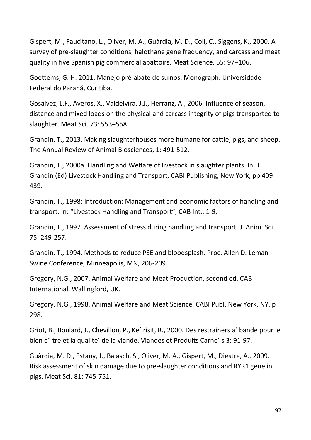Gispert, M., Faucitano, L., Oliver, M. A., Guàrdia, M. D., Coll, C., Siggens, K., 2000. A survey of pre-slaughter conditions, halothane gene frequency, and carcass and meat quality in five Spanish pig commercial abattoirs. Meat Science, 55: 97−106.

Goettems, G. H. 2011. Manejo pré-abate de suínos. Monograph. Universidade Federal do Paraná, Curitiba.

Gosalvez, L.F., Averos, X., Valdelvira, J.J., Herranz, A., 2006. Influence of season, distance and mixed loads on the physical and carcass integrity of pigs transported to slaughter. Meat Sci. 73: 553–558.

Grandin, T., 2013. Making slaughterhouses more humane for cattle, pigs, and sheep. The Annual Review of Animal Biosciences, 1: 491-512.

Grandin, T., 2000a. Handling and Welfare of livestock in slaughter plants. In: T. Grandin (Ed) Livestock Handling and Transport, CABI Publishing, New York, pp 409- 439.

Grandin, T., 1998: Introduction: Management and economic factors of handling and transport. In: "Livestock Handling and Transport", CAB Int., 1-9.

Grandin, T., 1997. Assessment of stress during handling and transport. J. Anim. Sci. 75: 249-257.

Grandin, T., 1994. Methods to reduce PSE and bloodsplash. Proc. Allen D. Leman Swine Conference, Minneapolis, MN, 206-209.

Gregory, N.G., 2007. Animal Welfare and Meat Production, second ed. CAB International, Wallingford, UK.

Gregory, N.G., 1998. Animal Welfare and Meat Science. CABI Publ. New York, NY. p 298.

Griot, B., Boulard, J., Chevillon, P., Ke´ risit, R., 2000. Des restrainers a` bande pour le bien eˆ tre et la qualite´ de la viande. Viandes et Produits Carne´ s 3: 91-97.

Guàrdia, M. D., Estany, J., Balasch, S., Oliver, M. A., Gispert, M., Diestre, A.. 2009. Risk assessment of skin damage due to pre-slaughter conditions and RYR1 gene in pigs. Meat Sci. 81: 745-751.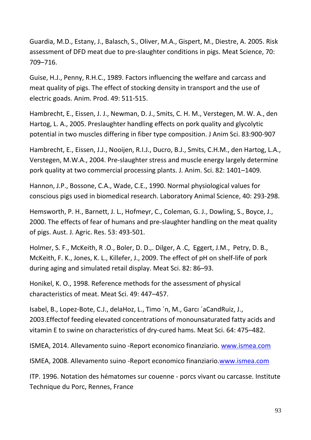Guardia, M.D., Estany, J., Balasch, S., Oliver, M.A., Gispert, M., Diestre, A. 2005. Risk assessment of DFD meat due to pre-slaughter conditions in pigs. Meat Science, 70: 709–716.

Guise, H.J., Penny, R.H.C., 1989. Factors influencing the welfare and carcass and meat quality of pigs. The effect of stocking density in transport and the use of electric goads. Anim. Prod. 49: 511-515.

Hambrecht, E., Eissen, J. J., Newman, D. J., Smits, C. H. M., Verstegen, M. W. A., den Hartog, L. A., 2005. Preslaughter handling effects on pork quality and glycolytic potential in two muscles differing in fiber type composition. J Anim Sci. 83:900-907

Hambrecht, E., Eissen, J.J., Nooijen, R.I.J., Ducro, B.J., Smits, C.H.M., den Hartog, L.A., Verstegen, M.W.A., 2004. Pre-slaughter stress and muscle energy largely determine pork quality at two commercial processing plants. J. Anim. Sci. 82: 1401–1409.

Hannon, J.P., Bossone, C.A., Wade, C.E., 1990. Normal physiological values for conscious pigs used in biomedical research. Laboratory Animal Science, 40: 293-298.

Hemsworth, P. H., Barnett, J. L., Hofmeyr, C., Coleman, G. J., Dowling, S., Boyce, J., 2000. The effects of fear of humans and pre-slaughter handling on the meat quality of pigs. Aust. J. Agric. Res. 53: 493-501.

Holmer, S. F., McKeith, R .O., Boler, D. D.,. Dilger, A .C, Eggert, J.M., Petry, D. B., McKeith, F. K., Jones, K. L., Killefer, J., 2009. The effect of pH on shelf-life of pork during aging and simulated retail display. Meat Sci. 82: 86–93.

Honikel, K. O., 1998. Reference methods for the assessment of physical characteristics of meat. Meat Sci. 49: 447–457.

Isabel, B., Lopez-Bote, C.J., delaHoz, L., Timo ´n, M., Garcı ´aCandRuiz, J., 2003.Effectof feeding elevated concentrations of monounsaturated fatty acids and vitamin E to swine on characteristics of dry-cured hams. Meat Sci. 64: 475–482.

ISMEA, 2014. Allevamento suino -Report economico finanziario. [www.ismea.com](http://www.ismea.com/)

ISMEA, 2008. Allevamento suino -Report economico finanziario[.www.ismea.com](http://www.ismea.com/)

ITP. 1996. Notation des hématomes sur couenne - porcs vivant ou carcasse. Institute Technique du Porc, Rennes, France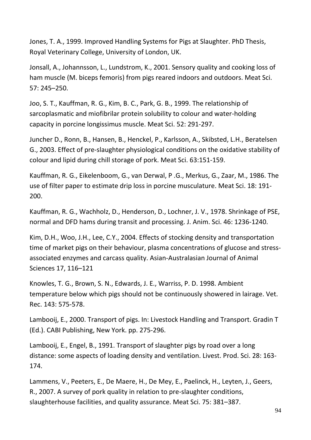Jones, T. A., 1999. Improved Handling Systems for Pigs at Slaughter. PhD Thesis, Royal Veterinary College, University of London, UK.

Jonsall, A., Johannsson, L., Lundstrom, K., 2001. Sensory quality and cooking loss of ham muscle (M. biceps femoris) from pigs reared indoors and outdoors. Meat Sci. 57: 245–250.

Joo, S. T., Kauffman, R. G., Kim, B. C., Park, G. B., 1999. The relationship of sarcoplasmatic and miofibrilar protein solubility to colour and water-holding capacity in porcine longissimus muscle. Meat Sci. 52: 291-297.

Juncher D., Ronn, B., Hansen, B., Henckel, P., Karlsson, A., Skibsted, L.H., Beratelsen G., 2003. Effect of pre-slaughter physiological conditions on the oxidative stability of colour and lipid during chill storage of pork. Meat Sci. 63:151-159.

Kauffman, R. G., Eikelenboom, G., van Derwal, P .G., Merkus, G., Zaar, M., 1986. The use of filter paper to estimate drip loss in porcine musculature. Meat Sci. 18: 191- 200.

Kauffman, R. G., Wachholz, D., Henderson, D., Lochner, J. V., 1978. Shrinkage of PSE, normal and DFD hams during transit and processing. J. Anim. Sci. 46: 1236-1240.

Kim, D.H., Woo, J.H., Lee, C.Y., 2004. Effects of stocking density and transportation time of market pigs on their behaviour, plasma concentrations of glucose and stressassociated enzymes and carcass quality. Asian-Australasian Journal of Animal Sciences 17, 116–121

Knowles, T. G., Brown, S. N., Edwards, J. E., Warriss, P. D. 1998. Ambient temperature below which pigs should not be continuously showered in lairage. Vet. Rec. 143: 575-578.

Lambooij, E., 2000. Transport of pigs. In: Livestock Handling and Transport. Gradin T (Ed.). CABI Publishing, New York. pp. 275-296.

Lambooij, E., Engel, B., 1991. Transport of slaughter pigs by road over a long distance: some aspects of loading density and ventilation. Livest. Prod. Sci. 28: 163- 174.

Lammens, V., Peeters, E., De Maere, H., De Mey, E., Paelinck, H., Leyten, J., Geers, R., 2007. A survey of pork quality in relation to pre-slaughter conditions, slaughterhouse facilities, and quality assurance. Meat Sci. 75: 381–387.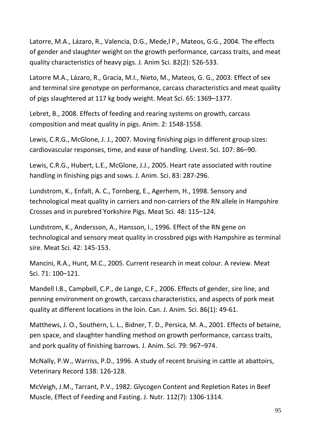Latorre, M.A., Lázaro, R., Valencia, D.G., Mede,l P., Mateos, G.G., 2004. The effects of gender and slaughter weight on the growth performance, carcass traits, and meat quality characteristics of heavy pigs. J. Anim Sci. 82(2): 526-533.

Latorre M.A., Lázaro, R., Gracia, M.I., Nieto, M., Mateos, G. G., 2003. Effect of sex and terminal sire genotype on performance, carcass characteristics and meat quality of pigs slaughtered at 117 kg body weight. Meat Sci. 65: 1369–1377.

Lebret, B., 2008. Effects of feeding and rearing systems on growth, carcass composition and meat quality in pigs. Anim. 2: 1548-1558.

Lewis, C.R.G., McGlone, J. J., 2007. Moving finishing pigs in different group sizes: cardiovascular responses, time, and ease of handling. Livest. Sci. 107: 86–90.

Lewis, C.R.G., Hubert, L.E., McGlone, J.J., 2005. Heart rate associated with routine handling in finishing pigs and sows. J. Anim. Sci. 83: 287-296.

Lundstrom, K., Enfalt, A. C., Tornberg, E., Agerhem, H., 1998. Sensory and technological meat quality in carriers and non-carriers of the RN allele in Hampshire Crosses and in purebred Yorkshire Pigs. Meat Sci. 48: 115–124.

Lundstrom, K., Andersson, A., Hansson, I., 1996. Effect of the RN gene on technological and sensory meat quality in crossbred pigs with Hampshire as terminal sire. Meat Sci. 42: 145-153.

Mancini, R.A., Hunt, M.C., 2005. Current research in meat colour. A review. Meat Sci. 71: 100–121.

Mandell I.B., Campbell, C.P., de Lange, C.F., 2006. Effects of gender, sire line, and penning environment on growth, carcass characteristics, and aspects of pork meat quality at different locations in the loin. Can. J. Anim. Sci. 86(1): 49-61.

Matthews, J. O., Southern, L. L., Bidner, T. D., Persica, M. A., 2001. Effects of betaine, pen space, and slaughter handling method on growth performance, carcass traits, and pork quality of finishing barrows. J. Anim. Sci. 79: 967–974.

McNally, P.W., Warriss, P.D., 1996. A study of recent bruising in cattle at abattoirs, Veterinary Record 138: 126-128.

McVeigh, J.M., Tarrant, P.V., 1982. Glycogen Content and Repletion Rates in Beef Muscle, Effect of Feeding and Fasting. J. Nutr. 112(7): 1306-1314.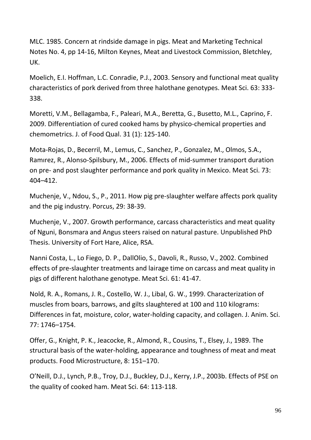MLC. 1985. Concern at rindside damage in pigs. Meat and Marketing Technical Notes No. 4, pp 14-16, Milton Keynes, Meat and Livestock Commission, Bletchley, UK.

Moelich, E.I. Hoffman, L.C. Conradie, P.J., 2003. Sensory and functional meat quality characteristics of pork derived from three halothane genotypes. Meat Sci. 63: 333- 338.

Moretti, V.M., Bellagamba, F., Paleari, M.A., Beretta, G., Busetto, M.L., Caprino, F. 2009. Differentiation of cured cooked hams by physico-chemical properties and chemometrics. J. of Food Qual. 31 (1): 125-140.

Mota-Rojas, D., Becerril, M., Lemus, C., Sanchez, P., Gonzalez, M., Olmos, S.A., Ramırez, R., Alonso-Spilsbury, M., 2006. Effects of mid-summer transport duration on pre- and post slaughter performance and pork quality in Mexico. Meat Sci. 73: 404–412.

Muchenje, V., Ndou, S., P., 2011. How pig pre-slaughter welfare affects pork quality and the pig industry. Porcus, 29: 38-39.

Muchenje, V., 2007. Growth performance, carcass characteristics and meat quality of Nguni, Bonsmara and Angus steers raised on natural pasture. Unpublished PhD Thesis. University of Fort Hare, Alice, RSA.

Nanni Costa, L., Lo Fiego, D. P., DallOlio, S., Davoli, R., Russo, V., 2002. Combined effects of pre-slaughter treatments and lairage time on carcass and meat quality in pigs of different halothane genotype. Meat Sci. 61: 41-47.

Nold, R. A., Romans, J. R., Costello, W. J., Libal, G. W., 1999. Characterization of muscles from boars, barrows, and gilts slaughtered at 100 and 110 kilograms: Differences in fat, moisture, color, water-holding capacity, and collagen. J. Anim. Sci. 77: 1746–1754.

Offer, G., Knight, P. K., Jeacocke, R., Almond, R., Cousins, T., Elsey, J., 1989. The structural basis of the water-holding, appearance and toughness of meat and meat products. Food Microstructure, 8: 151–170.

O'Neill, D.J., Lynch, P.B., Troy, D.J., Buckley, D.J., Kerry, J.P., 2003b. Effects of PSE on the quality of cooked ham. Meat Sci. 64: 113-118.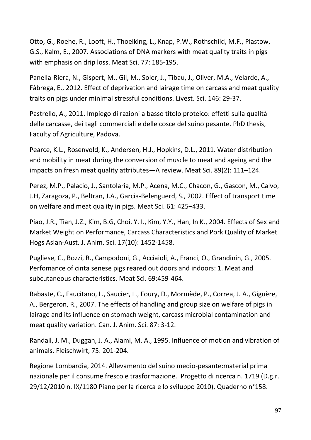Otto, G., Roehe, R., Looft, H., Thoelking, L., Knap, P.W., Rothschild, M.F., Plastow, G.S., Kalm, E., 2007. Associations of DNA markers with meat quality traits in pigs with emphasis on drip loss. Meat Sci. 77: 185-195.

Panella-Riera, N., Gispert, M., Gil, M., Soler, J., Tibau, J., Oliver, M.A., Velarde, A., Fàbrega, E., 2012. Effect of deprivation and lairage time on carcass and meat quality traits on pigs under minimal stressful conditions. Livest. Sci. 146: 29-37.

Pastrello, A., 2011. Impiego di razioni a basso titolo proteico: effetti sulla qualità delle carcasse, dei tagli commerciali e delle cosce del suino pesante. PhD thesis, Faculty of Agriculture, Padova.

Pearce, K.L., Rosenvold, K., Andersen, H.J., Hopkins, D.L., 2011. Water distribution and mobility in meat during the conversion of muscle to meat and ageing and the impacts on fresh meat quality attributes—A review. [Meat Sci.](http://www.sciencedirect.com/science/journal/03091740) [89\(2\)](http://www.sciencedirect.com/science/journal/03091740/89/2): 111–124.

Perez, M.P., Palacio, J., Santolaria, M.P., Acena, M.C., Chacon, G., Gascon, M., Calvo, J.H, Zaragoza, P., Beltran, J.A., Garcia-Belenguerd, S., 2002. Effect of transport time on welfare and meat quality in pigs. Meat Sci. 61: 425–433.

Piao, J.R., Tian, J.Z., Kim, B.G, Choi, Y. I., Kim, Y.Y., Han, In K., 2004. Effects of Sex and Market Weight on Performance, Carcass Characteristics and Pork Quality of Market Hogs Asian-Aust. J. Anim. Sci. 17(10): 1452-1458.

Pugliese, C., Bozzi, R., Campodoni, G., Acciaioli, A., Franci, O., Grandinin, G., 2005. Perfomance of cinta senese pigs reared out doors and indoors: 1. Meat and subcutaneous characteristics. Meat Sci. 69:459-464.

Rabaste, C., Faucitano, L., Saucier, L., Foury, D., Mormède, P., Correa, J. A., Giguère, A., Bergeron, R., 2007. The effects of handling and group size on welfare of pigs in lairage and its influence on stomach weight, carcass microbial contamination and meat quality variation. Can. J. Anim. Sci. 87: 3-12.

Randall, J. M., Duggan, J. A., Alami, M. A., 1995. Influence of motion and vibration of animals. Fleischwirt, 75: 201-204.

Regione Lombardia, 2014. Allevamento del suino medio-pesante:material prima nazionale per il consume fresco e trasformazione. Progetto di ricerca n. 1719 (D.g.r. 29/12/2010 n. IX/1180 Piano per la ricerca e lo sviluppo 2010), Quaderno n°158.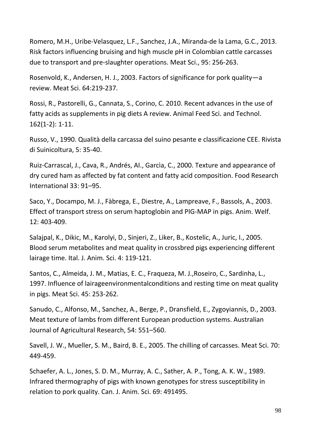Romero, M.H., Uribe-Velasquez, L.F., Sanchez, J.A., Miranda-de la Lama, G.C., 2013. Risk factors influencing bruising and high muscle pH in Colombian cattle carcasses due to transport and pre-slaughter operations. Meat Sci., 95: 256-263.

Rosenvold, K., Andersen, H. J., 2003. Factors of significance for pork quality—a review. Meat Sci. 64:219-237.

Rossi, R., Pastorelli, G., Cannata, S., Corino, C. 2010. Recent advances in the use of fatty acids as supplements in pig diets A review. Animal Feed Sci. and Technol. 162(1-2): 1-11.

Russo, V., 1990. Qualità della carcassa del suino pesante e classificazione CEE. Rivista di Suinicoltura, 5: 35-40.

Ruiz-Carrascal, J., Cava, R., Andrés, AI., Garcìa, C., 2000. Texture and appearance of dry cured ham as affected by fat content and fatty acid composition. Food Research International 33: 91–95.

Saco, Y., Docampo, M. J., Fàbrega, E., Diestre, A., Lampreave, F., Bassols, A., 2003. Effect of transport stress on serum haptoglobin and PIG-MAP in pigs. Anim. Welf. 12: 403-409.

Salajpal, K., Dikic, M., Karolyi, D., Sinjeri, Z., Liker, B., Kostelic, A., Juric, I., 2005. Blood serum metabolites and meat quality in crossbred pigs experiencing different lairage time. Ital. J. Anim. Sci. 4: 119-121.

Santos, C., Almeida, J. M., Matias, E. C., Fraqueza, M. J.,Roseiro, C., Sardinha, L., 1997. Influence of lairageenvironmentalconditions and resting time on meat quality in pigs. Meat Sci. 45: 253-262.

Sanudo, C., Alfonso, M., Sanchez, A., Berge, P., Dransfield, E., Zygoyiannis, D., 2003. Meat texture of lambs from different European production systems. Australian Journal of Agricultural Research, 54: 551–560.

Savell, J. W., Mueller, S. M., Baird, B. E., 2005. The chilling of carcasses. Meat Sci. 70: 449-459.

Schaefer, A. L., Jones, S. D. M., Murray, A. C., Sather, A. P., Tong, A. K. W., 1989. Infrared thermography of pigs with known genotypes for stress susceptibility in relation to pork quality. Can. J. Anim. Sci. 69: 491495.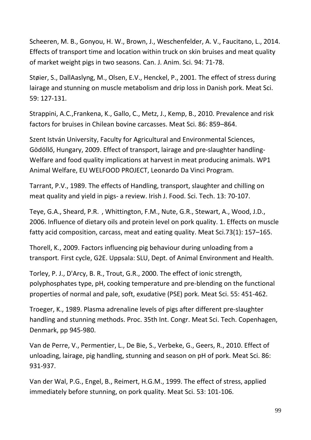Scheeren, M. B., Gonyou, H. W., Brown, J., Weschenfelder, A. V., Faucitano, L., 2014. Effects of transport time and location within truck on skin bruises and meat quality of market weight pigs in two seasons. Can. J. Anim. Sci. 94: 71-78.

Støier, S., DallAaslyng, M., Olsen, E.V., Henckel, P., 2001. The effect of stress during lairage and stunning on muscle metabolism and drip loss in Danish pork. Meat Sci. 59: 127-131.

Strappini, A.C.,Frankena, K., Gallo, C., Metz, J., Kemp, B., 2010. Prevalence and risk factors for bruises in Chilean bovine carcasses. Meat Sci. 86: 859–864.

Szent István University, Faculty for Agricultural and Environmental Sciences, Gödöllő, Hungary, 2009. Effect of transport, lairage and pre-slaughter handling-Welfare and food quality implications at harvest in meat producing animals. WP1 Animal Welfare, EU WELFOOD PROJECT, Leonardo Da Vinci Program.

Tarrant, P.V., 1989. The effects of Handling, transport, slaughter and chilling on meat quality and yield in pigs- a review. Irish J. Food. Sci. Tech. 13: 70-107.

[Teye,](http://www.sciencedirect.com/science/article/pii/S0309174005004110) G.A., [Sheard,](http://www.sciencedirect.com/science/article/pii/S0309174005004110) P.R. , [Whittington,](http://www.sciencedirect.com/science/article/pii/S0309174005004110) F.M., [Nute,](http://www.sciencedirect.com/science/article/pii/S0309174005004110) G.R., [Stewart,](http://www.sciencedirect.com/science/article/pii/S0309174005004110) A., [Wood,](http://www.sciencedirect.com/science/article/pii/S0309174005004110) J.D., 2006. Influence of dietary oils and protein level on pork quality. 1. Effects on muscle fatty acid composition, carcass, meat and eating quality. [Meat Sci.73\(1\)](http://www.sciencedirect.com/science/journal/03091740/73/1): 157–165.

Thorell, K., 2009. Factors influencing pig behaviour during unloading from a transport*.* First cycle, G2E. Uppsala: SLU, Dept. of Animal Environment and Health.

Torley, P. J., D'Arcy, B. R., Trout, G.R., 2000. The effect of ionic strength, polyphosphates type, pH, cooking temperature and pre-blending on the functional properties of normal and pale, soft, exudative (PSE) pork. Meat Sci. 55: 451-462.

Troeger, K., 1989. Plasma adrenaline levels of pigs after different pre-slaughter handling and stunning methods. Proc. 35th Int. Congr. Meat Sci. Tech. Copenhagen, Denmark, pp 945-980.

Van de Perre, V., Permentier, L., De Bie, S., Verbeke, G., Geers, R., 2010. Effect of unloading, lairage, pig handling, stunning and season on pH of pork. Meat Sci. 86: 931-937.

Van der Wal, P.G., Engel, B., Reimert, H.G.M., 1999. The effect of stress, applied immediately before stunning, on pork quality. Meat Sci. 53: 101-106.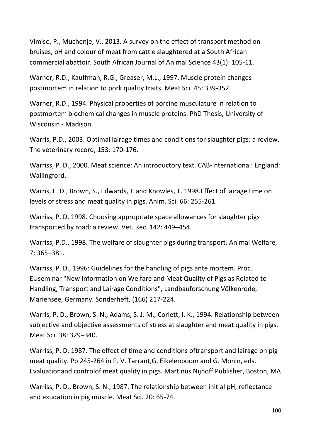Vimiso, P., Muchenje, V., 2013. A survey on the effect of transport method on bruises, pH and colour of meat from cattle slaughtered at a South African commercial abattoir. South African Journal of Animal Science 43(1): 105-11.

Warner, R.D., Kauffman, R.G., Greaser, M.L., 1997. Muscle protein changes postmortem in relation to pork quality traits. Meat Sci. 45: 339-352.

Warner, R.D., 1994. Physical properties of porcine musculature in relation to postmortem biochemical changes in muscle proteins. PhD Thesis, University of Wisconsin - Madison.

Warris, P.D., 2003. Optimal lairage times and conditions for slaughter pigs: a review. The veterinary record, 153: 170-176.

Warriss, P. D., 2000. Meat science: An introductory text. CAB-International: England: Wallingford.

Warris, F. D., Brown, S., Edwards, J. and Knowles, T. 1998.Effect of lairage time on levels of stress and meat quality in pigs. Anim. Sci. 66: 255-261.

Warriss, P. D. 1998. Choosing appropriate space allowances for slaughter pigs transported by road: a review. Vet. Rec. 142: 449–454.

Warriss, P.D., 1998. The welfare of slaughter pigs during transport. Animal Welfare, 7: 365–381.

Warriss, P. D., 1996: Guidelines for the handling of pigs ante mortem. Proc. EUseminar "New Information on Welfare and Meat Quality of Pigs as Related to Handling, Transport and Lairage Conditions", Landbauforschung Völkenrode, Mariensee, Germany. Sonderheft, (166) 217-224.

Warris, P. D., Brown, S. N., Adams, S. J. M., Corlett, I. K., 1994. Relationship between subjective and objective assessments of stress at slaughter and meat quality in pigs. Meat Sci. 38: 329–340.

Warriss, P. D. 1987. The effect of time and conditions oftransport and lairage on pig meat quality. Pp 245-264 in P. V. Tarrant,G. Eikelenboom and G. Monin, eds. Evaluationand controlof meat quality in pigs. Martinus Nijhoff Publisher, Boston, MA

Warriss, P. D., Brown, S. N., 1987. The relationship between initial pH, reflectance and exudation in pig muscle. Meat Sci. 20: 65-74.